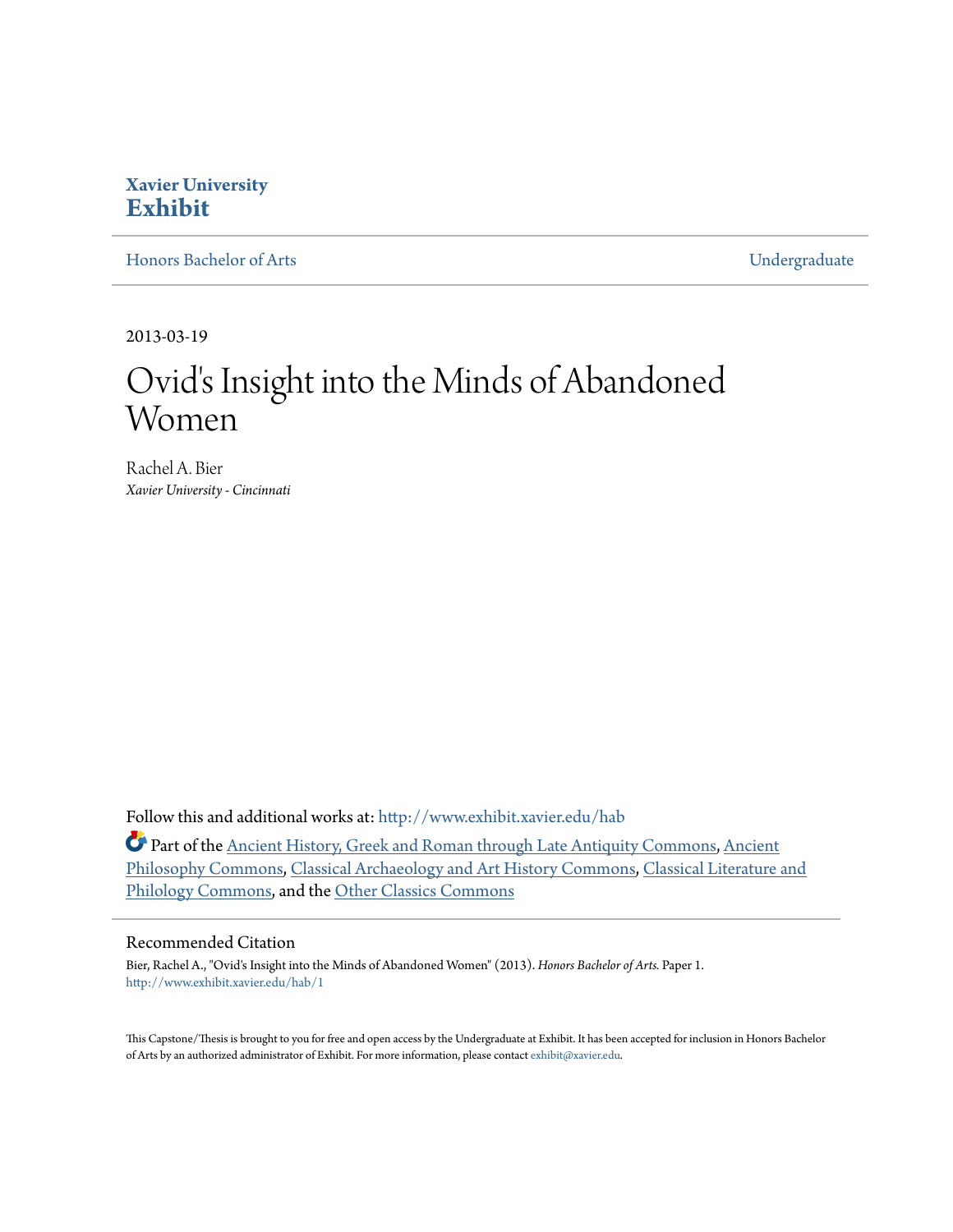# **Xavier University [Exhibit](http://www.exhibit.xavier.edu?utm_source=www.exhibit.xavier.edu%2Fhab%2F1&utm_medium=PDF&utm_campaign=PDFCoverPages)**

[Honors Bachelor of Arts](http://www.exhibit.xavier.edu/hab?utm_source=www.exhibit.xavier.edu%2Fhab%2F1&utm_medium=PDF&utm_campaign=PDFCoverPages) [Undergraduate](http://www.exhibit.xavier.edu/undergraduate?utm_source=www.exhibit.xavier.edu%2Fhab%2F1&utm_medium=PDF&utm_campaign=PDFCoverPages)

2013-03-19

# Ovid's Insight into the Minds of Abandoned Women

Rachel A. Bier *Xavier University - Cincinnati*

Follow this and additional works at: [http://www.exhibit.xavier.edu/hab](http://www.exhibit.xavier.edu/hab?utm_source=www.exhibit.xavier.edu%2Fhab%2F1&utm_medium=PDF&utm_campaign=PDFCoverPages)

Part of the [Ancient History, Greek and Roman through Late Antiquity Commons](http://network.bepress.com/hgg/discipline/447?utm_source=www.exhibit.xavier.edu%2Fhab%2F1&utm_medium=PDF&utm_campaign=PDFCoverPages), [Ancient](http://network.bepress.com/hgg/discipline/448?utm_source=www.exhibit.xavier.edu%2Fhab%2F1&utm_medium=PDF&utm_campaign=PDFCoverPages) [Philosophy Commons,](http://network.bepress.com/hgg/discipline/448?utm_source=www.exhibit.xavier.edu%2Fhab%2F1&utm_medium=PDF&utm_campaign=PDFCoverPages) [Classical Archaeology and Art History Commons](http://network.bepress.com/hgg/discipline/450?utm_source=www.exhibit.xavier.edu%2Fhab%2F1&utm_medium=PDF&utm_campaign=PDFCoverPages), [Classical Literature and](http://network.bepress.com/hgg/discipline/451?utm_source=www.exhibit.xavier.edu%2Fhab%2F1&utm_medium=PDF&utm_campaign=PDFCoverPages) [Philology Commons,](http://network.bepress.com/hgg/discipline/451?utm_source=www.exhibit.xavier.edu%2Fhab%2F1&utm_medium=PDF&utm_campaign=PDFCoverPages) and the [Other Classics Commons](http://network.bepress.com/hgg/discipline/453?utm_source=www.exhibit.xavier.edu%2Fhab%2F1&utm_medium=PDF&utm_campaign=PDFCoverPages)

#### Recommended Citation

Bier, Rachel A., "Ovid's Insight into the Minds of Abandoned Women" (2013). *Honors Bachelor of Arts.* Paper 1. [http://www.exhibit.xavier.edu/hab/1](http://www.exhibit.xavier.edu/hab/1?utm_source=www.exhibit.xavier.edu%2Fhab%2F1&utm_medium=PDF&utm_campaign=PDFCoverPages)

This Capstone/Thesis is brought to you for free and open access by the Undergraduate at Exhibit. It has been accepted for inclusion in Honors Bachelor of Arts by an authorized administrator of Exhibit. For more information, please contact [exhibit@xavier.edu.](mailto:exhibit@xavier.edu)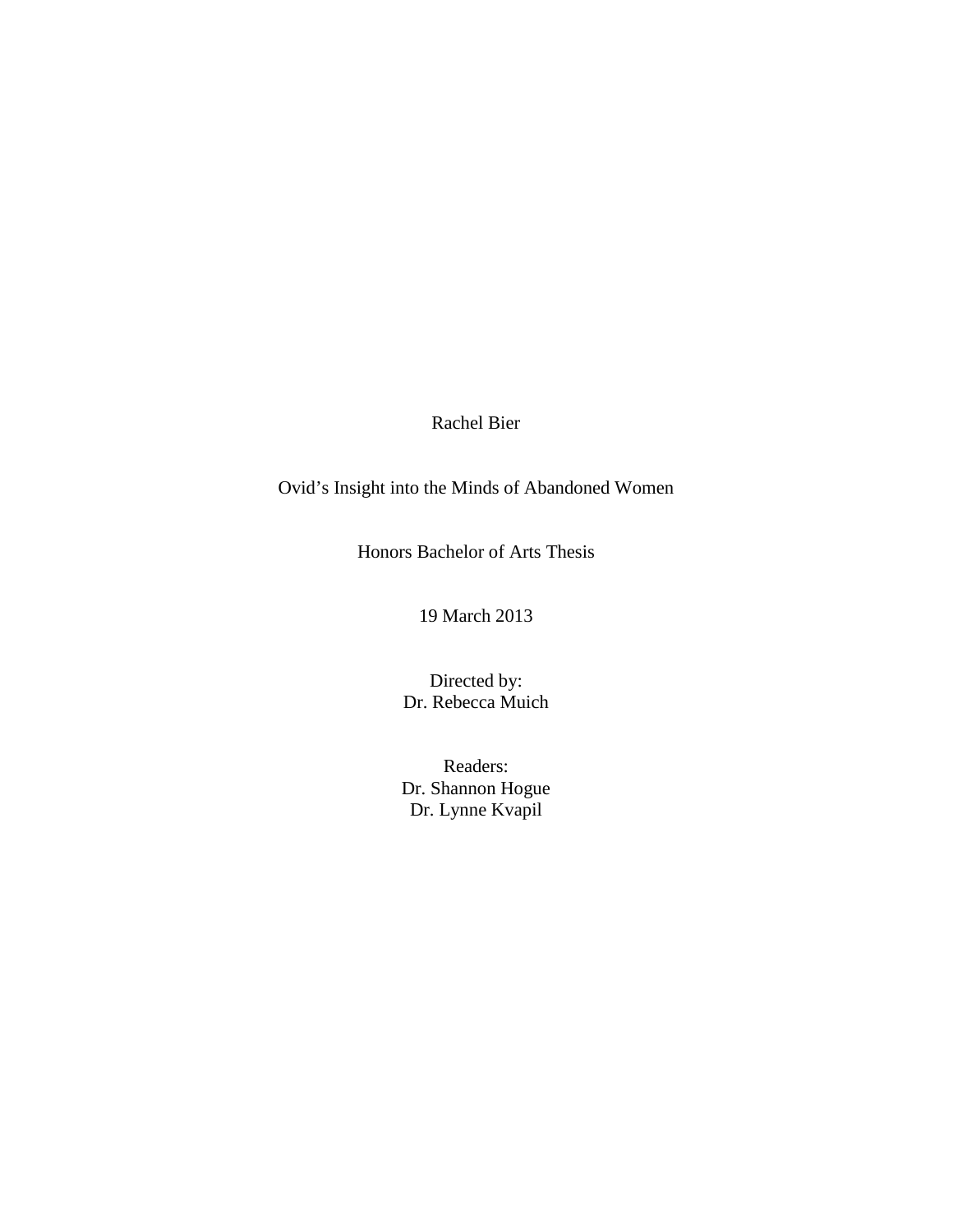Rachel Bier

Ovid's Insight into the Minds of Abandoned Women

Honors Bachelor of Arts Thesis

19 March 2013

Directed by: Dr. Rebecca Muich

Readers: Dr. Shannon Hogue Dr. Lynne Kvapil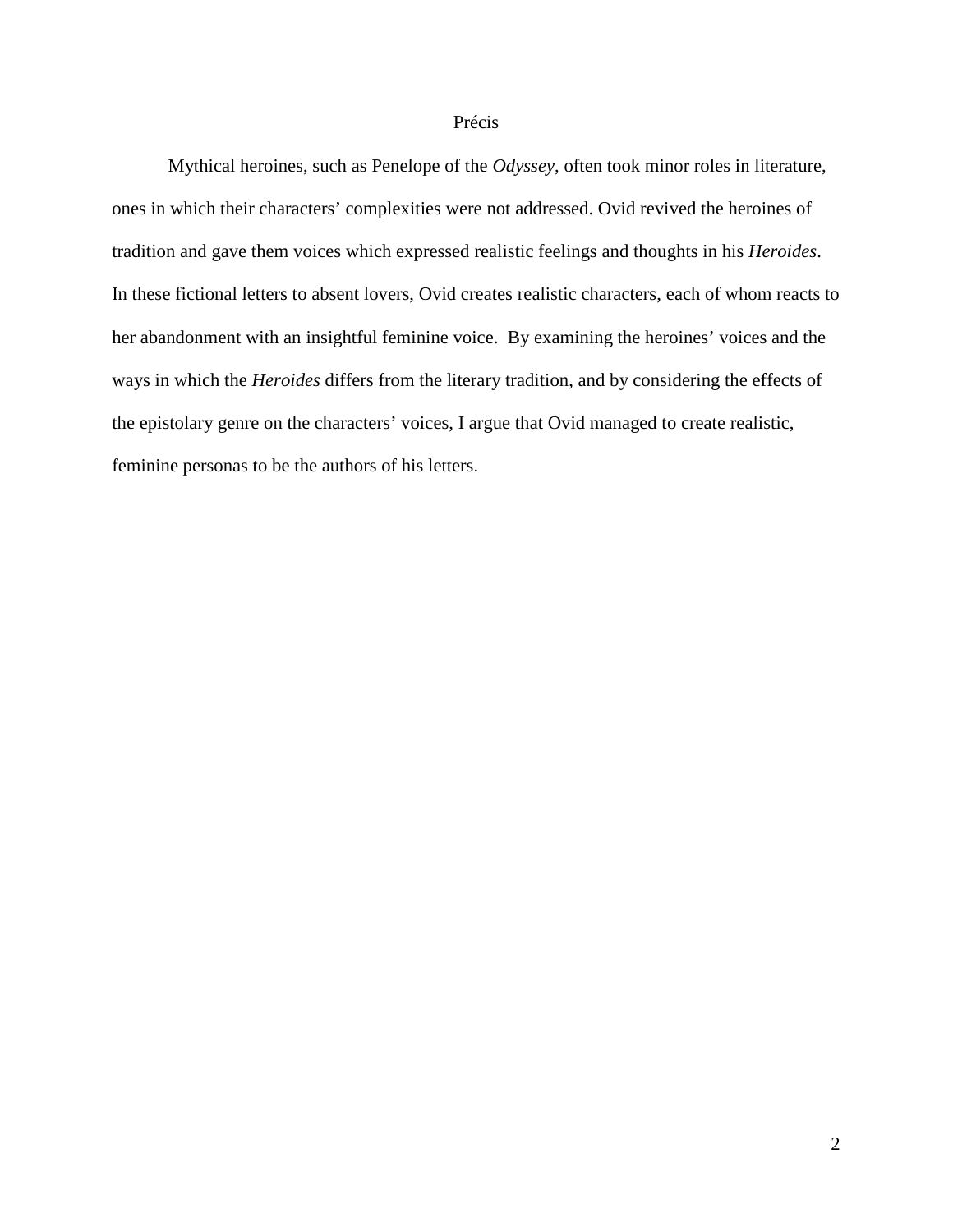#### Précis

Mythical heroines, such as Penelope of the *Odyssey*, often took minor roles in literature, ones in which their characters' complexities were not addressed. Ovid revived the heroines of tradition and gave them voices which expressed realistic feelings and thoughts in his *Heroides*. In these fictional letters to absent lovers, Ovid creates realistic characters, each of whom reacts to her abandonment with an insightful feminine voice. By examining the heroines' voices and the ways in which the *Heroides* differs from the literary tradition, and by considering the effects of the epistolary genre on the characters' voices, I argue that Ovid managed to create realistic, feminine personas to be the authors of his letters.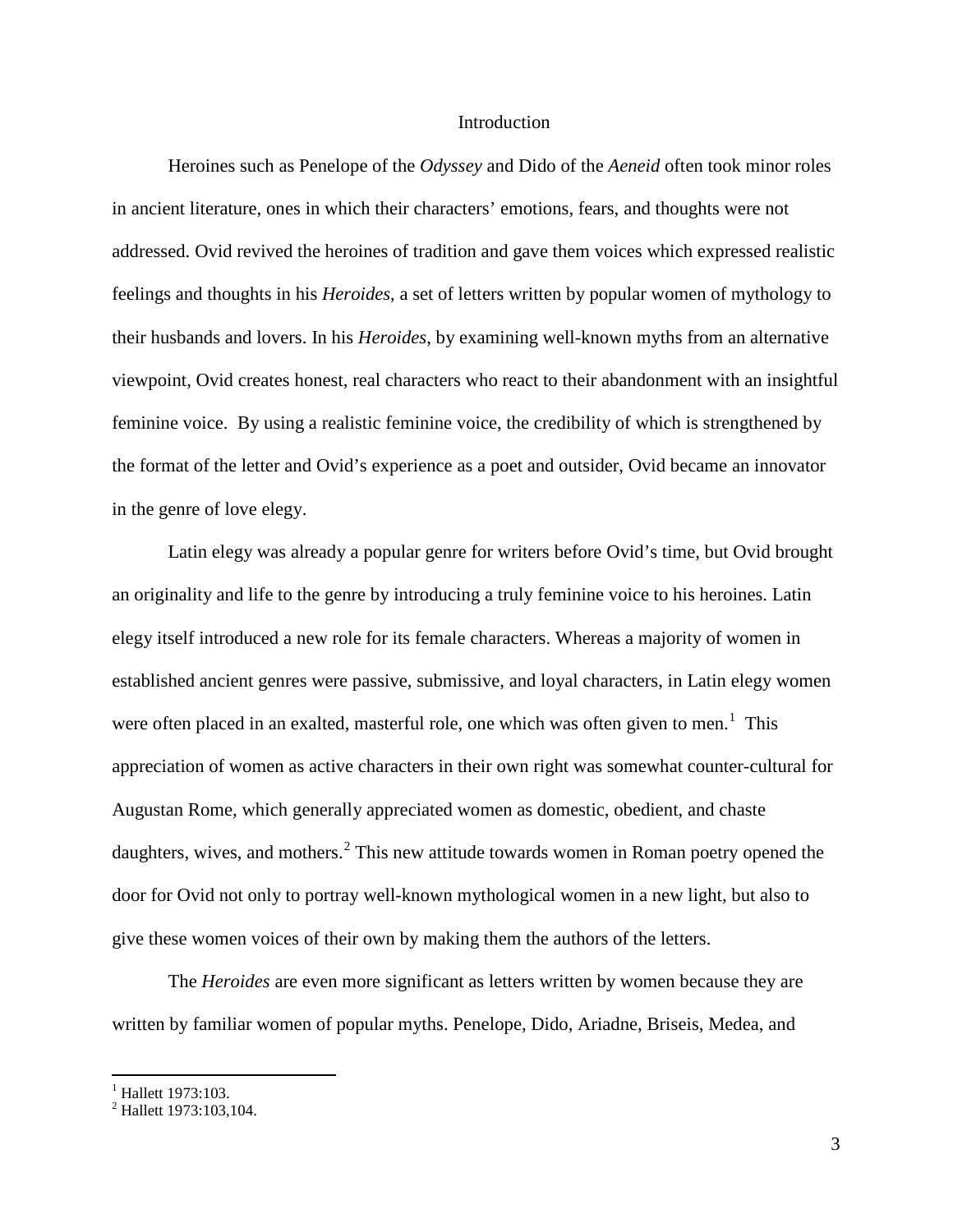#### Introduction

Heroines such as Penelope of the *Odyssey* and Dido of the *Aeneid* often took minor roles in ancient literature, ones in which their characters' emotions, fears, and thoughts were not addressed. Ovid revived the heroines of tradition and gave them voices which expressed realistic feelings and thoughts in his *Heroides*, a set of letters written by popular women of mythology to their husbands and lovers. In his *Heroides*, by examining well-known myths from an alternative viewpoint, Ovid creates honest, real characters who react to their abandonment with an insightful feminine voice. By using a realistic feminine voice, the credibility of which is strengthened by the format of the letter and Ovid's experience as a poet and outsider, Ovid became an innovator in the genre of love elegy.

Latin elegy was already a popular genre for writers before Ovid's time, but Ovid brought an originality and life to the genre by introducing a truly feminine voice to his heroines. Latin elegy itself introduced a new role for its female characters. Whereas a majority of women in established ancient genres were passive, submissive, and loyal characters, in Latin elegy women were often placed in an exalted, masterful role, one which was often given to men.<sup>[1](#page-3-0)</sup> This appreciation of women as active characters in their own right was somewhat counter-cultural for Augustan Rome, which generally appreciated women as domestic, obedient, and chaste daughters, wives, and mothers.<sup>[2](#page-3-1)</sup> This new attitude towards women in Roman poetry opened the door for Ovid not only to portray well-known mythological women in a new light, but also to give these women voices of their own by making them the authors of the letters.

The *Heroides* are even more significant as letters written by women because they are written by familiar women of popular myths. Penelope, Dido, Ariadne, Briseis, Medea, and

<span id="page-3-0"></span> $^{1}$  Hallett 1973:103.

<span id="page-3-1"></span><sup>2</sup> Hallett 1973:103,104.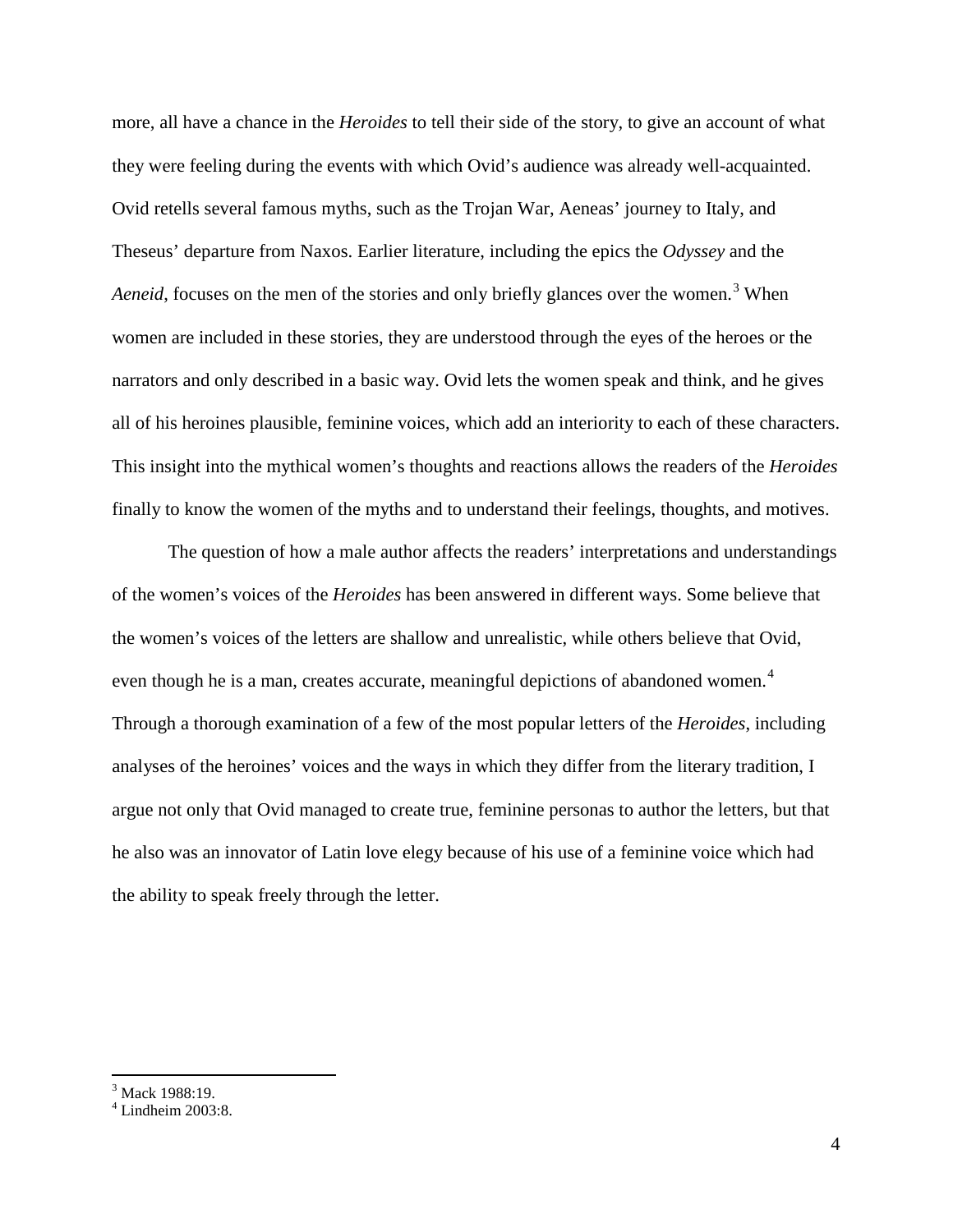more, all have a chance in the *Heroides* to tell their side of the story, to give an account of what they were feeling during the events with which Ovid's audience was already well-acquainted. Ovid retells several famous myths, such as the Trojan War, Aeneas' journey to Italy, and Theseus' departure from Naxos. Earlier literature, including the epics the *Odyssey* and the *Aeneid*, focuses on the men of the stories and only briefly glances over the women.<sup>[3](#page-4-0)</sup> When women are included in these stories, they are understood through the eyes of the heroes or the narrators and only described in a basic way. Ovid lets the women speak and think, and he gives all of his heroines plausible, feminine voices, which add an interiority to each of these characters. This insight into the mythical women's thoughts and reactions allows the readers of the *Heroides* finally to know the women of the myths and to understand their feelings, thoughts, and motives.

The question of how a male author affects the readers' interpretations and understandings of the women's voices of the *Heroides* has been answered in different ways. Some believe that the women's voices of the letters are shallow and unrealistic, while others believe that Ovid, even though he is a man, creates accurate, meaningful depictions of abandoned women.<sup>[4](#page-4-1)</sup> Through a thorough examination of a few of the most popular letters of the *Heroides*, including analyses of the heroines' voices and the ways in which they differ from the literary tradition, I argue not only that Ovid managed to create true, feminine personas to author the letters, but that he also was an innovator of Latin love elegy because of his use of a feminine voice which had the ability to speak freely through the letter.

<span id="page-4-0"></span> $3$  Mack 1988:19.

<span id="page-4-1"></span> $4$  Lindheim 2003:8.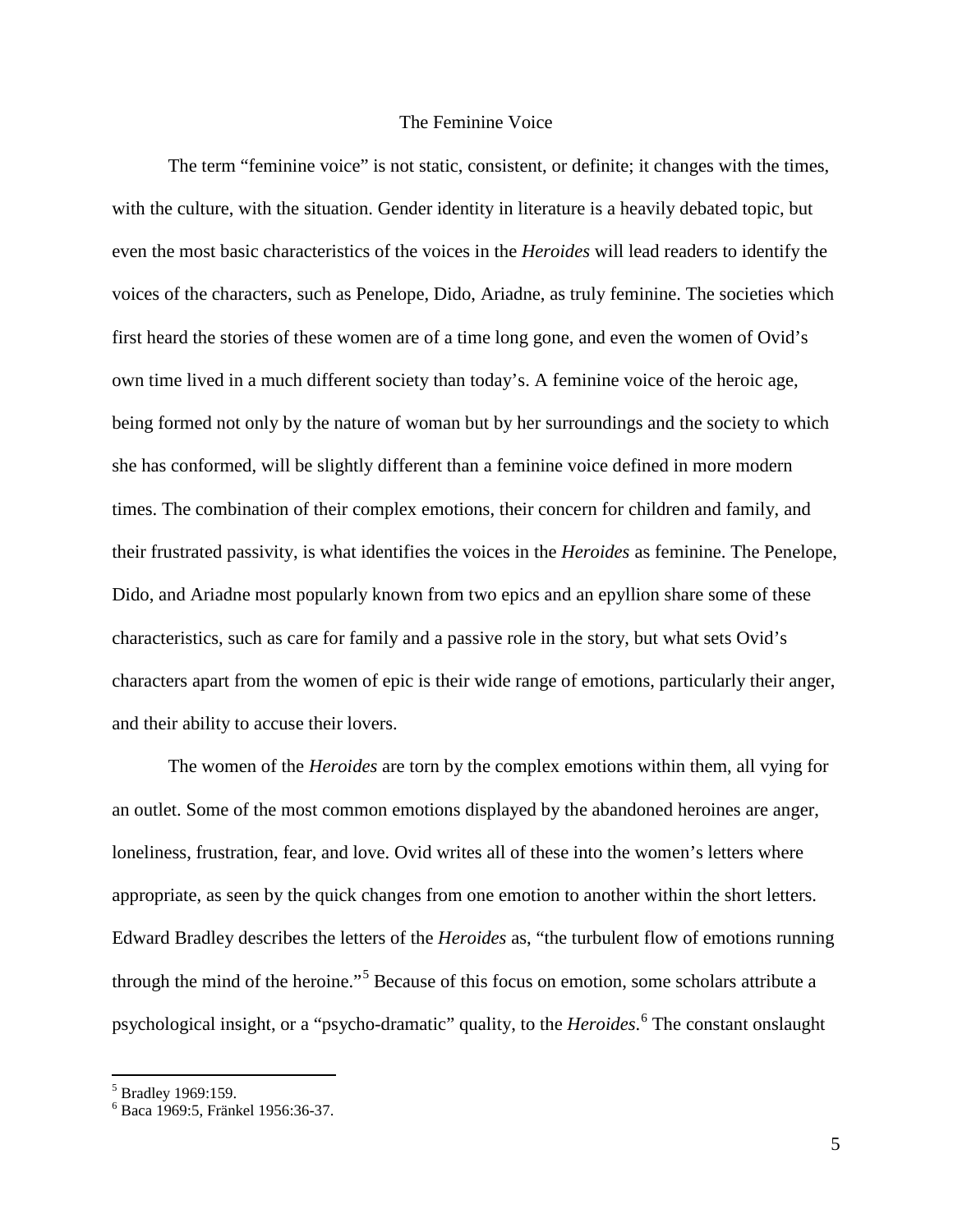### The Feminine Voice

The term "feminine voice" is not static, consistent, or definite; it changes with the times, with the culture, with the situation. Gender identity in literature is a heavily debated topic, but even the most basic characteristics of the voices in the *Heroides* will lead readers to identify the voices of the characters, such as Penelope, Dido, Ariadne, as truly feminine. The societies which first heard the stories of these women are of a time long gone, and even the women of Ovid's own time lived in a much different society than today's. A feminine voice of the heroic age, being formed not only by the nature of woman but by her surroundings and the society to which she has conformed, will be slightly different than a feminine voice defined in more modern times. The combination of their complex emotions, their concern for children and family, and their frustrated passivity, is what identifies the voices in the *Heroides* as feminine. The Penelope, Dido, and Ariadne most popularly known from two epics and an epyllion share some of these characteristics, such as care for family and a passive role in the story, but what sets Ovid's characters apart from the women of epic is their wide range of emotions, particularly their anger, and their ability to accuse their lovers.

The women of the *Heroides* are torn by the complex emotions within them, all vying for an outlet. Some of the most common emotions displayed by the abandoned heroines are anger, loneliness, frustration, fear, and love. Ovid writes all of these into the women's letters where appropriate, as seen by the quick changes from one emotion to another within the short letters. Edward Bradley describes the letters of the *Heroides* as, "the turbulent flow of emotions running through the mind of the heroine."<sup>[5](#page-5-0)</sup> Because of this focus on emotion, some scholars attribute a psychological insight, or a "psycho-dramatic" quality, to the *Heroides*. [6](#page-5-1) The constant onslaught

<span id="page-5-0"></span> $<sup>5</sup>$  Bradley 1969:159.</sup>

<span id="page-5-1"></span><sup>6</sup> Baca 1969:5, Fränkel 1956:36-37.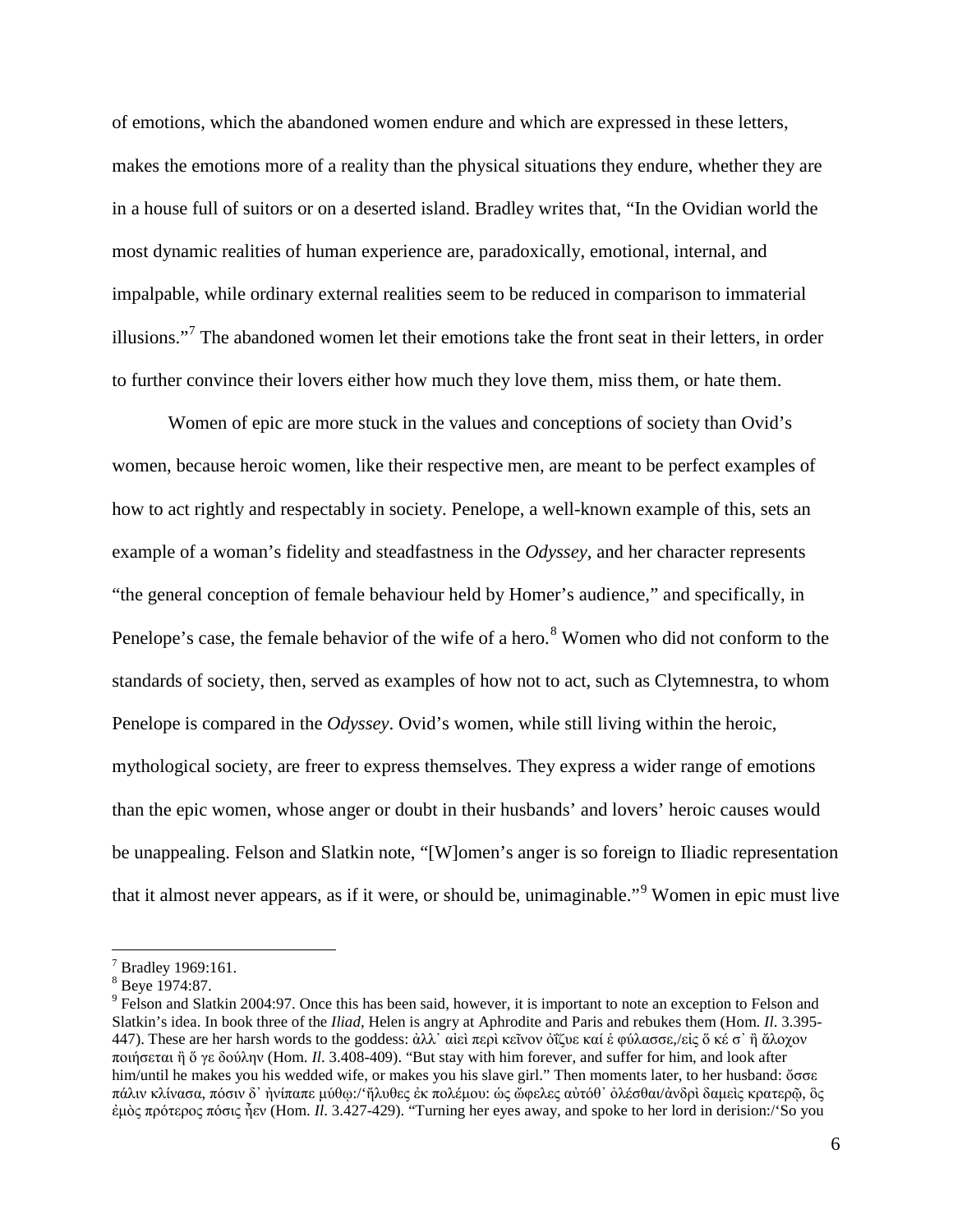of emotions, which the abandoned women endure and which are expressed in these letters, makes the emotions more of a reality than the physical situations they endure, whether they are in a house full of suitors or on a deserted island. Bradley writes that, "In the Ovidian world the most dynamic realities of human experience are, paradoxically, emotional, internal, and impalpable, while ordinary external realities seem to be reduced in comparison to immaterial illusions."<sup>[7](#page-6-0)</sup> The abandoned women let their emotions take the front seat in their letters, in order to further convince their lovers either how much they love them, miss them, or hate them.

Women of epic are more stuck in the values and conceptions of society than Ovid's women, because heroic women, like their respective men, are meant to be perfect examples of how to act rightly and respectably in society. Penelope, a well-known example of this, sets an example of a woman's fidelity and steadfastness in the *Odyssey*, and her character represents "the general conception of female behaviour held by Homer's audience," and specifically, in Penelope's case, the female behavior of the wife of a hero.<sup>[8](#page-6-1)</sup> Women who did not conform to the standards of society, then, served as examples of how not to act, such as Clytemnestra, to whom Penelope is compared in the *Odyssey*. Ovid's women, while still living within the heroic, mythological society, are freer to express themselves. They express a wider range of emotions than the epic women, whose anger or doubt in their husbands' and lovers' heroic causes would be unappealing. Felson and Slatkin note, "[W]omen's anger is so foreign to Iliadic representation that it almost never appears, as if it were, or should be, unimaginable."[9](#page-6-2) Women in epic must live

<sup>&</sup>lt;sup>7</sup> Bradley 1969:161.

<span id="page-6-1"></span><span id="page-6-0"></span><sup>8</sup> Beye 1974:87.

<span id="page-6-2"></span><sup>&</sup>lt;sup>9</sup> Felson and Slatkin 2004:97. Once this has been said, however, it is important to note an exception to Felson and Slatkin's idea. In book three of the *Iliad*, Helen is angry at Aphrodite and Paris and rebukes them (Hom. *Il*. 3.395- 447). These are her harsh words to the goddess: [ἀλλ᾽](http://www.perseus.tufts.edu/hopper/morph?l=a%29ll%27&la=greek&can=a%29ll%270&prior=*)/olumpon) [αἰεὶ](http://www.perseus.tufts.edu/hopper/morph?l=ai%29ei%5C&la=greek&can=ai%29ei%5C0&prior=a)ll) [περὶ](http://www.perseus.tufts.edu/hopper/morph?l=peri%5C&la=greek&can=peri%5C1&prior=ai)ei\) [κεῖνον](http://www.perseus.tufts.edu/hopper/morph?l=kei%3Dnon&la=greek&can=kei%3Dnon0&prior=peri\) [ὀΐζυε](http://www.perseus.tufts.edu/hopper/morph?l=o%29i%2F%2Bzue&la=greek&can=o%29i%2F%2Bzue0&prior=kei=non) [καί](http://www.perseus.tufts.edu/hopper/morph?l=kai%2F&la=greek&can=kai%2F1&prior=o)i/+zue) [ἑ](http://www.perseus.tufts.edu/hopper/morph?l=e%28&la=greek&can=e%280&prior=kai/) [φύλασσε](http://www.perseus.tufts.edu/hopper/morph?l=fu%2Flasse&la=greek&can=fu%2Flasse0&prior=e(),/[εἰς](http://www.perseus.tufts.edu/hopper/morph?l=ei%29s&la=greek&can=ei%29s0&prior=fu/lasse) [ὅ](http://www.perseus.tufts.edu/hopper/morph?l=o%28%2F&la=greek&can=o%28%2F1&prior=ei)s) [κέ](http://www.perseus.tufts.edu/hopper/morph?l=ke%2F&la=greek&can=ke%2F0&prior=o(/) [σ᾽](http://www.perseus.tufts.edu/hopper/morph?l=s%27&la=greek&can=s%270&prior=ke/) [ἢ](http://www.perseus.tufts.edu/hopper/morph?l=h%29%5C&la=greek&can=h%29%5C2&prior=s) [ἄλοχον](http://www.perseus.tufts.edu/hopper/morph?l=a%29%2Floxon&la=greek&can=a%29%2Floxon0&prior=h)\) [ποιήσεται](http://www.perseus.tufts.edu/hopper/morph?l=poih%2Fsetai&la=greek&can=poih%2Fsetai0&prior=a)/loxon) [ἢ](http://www.perseus.tufts.edu/hopper/morph?l=h%29%5C&la=greek&can=h%29%5C3&prior=poih/setai) [ὅ](http://www.perseus.tufts.edu/hopper/morph?l=o%28%2F&la=greek&can=o%28%2F2&prior=h)\) [γε](http://www.perseus.tufts.edu/hopper/morph?l=ge&la=greek&can=ge0&prior=o(/) [δούλην](http://www.perseus.tufts.edu/hopper/morph?l=dou%2Flhn&la=greek&can=dou%2Flhn0&prior=ge) (Hom. *Il*. 3.408-409). "But stay with him forever, and suffer for him, and look after him/until he makes you his wedded wife, or makes you his slave girl." Then moments later, to her husband: [ὄσσε](http://www.perseus.tufts.edu/hopper/morph?l=o%29%2Fsse&la=greek&can=o%29%2Fsse0&prior=ai)gio/xoio) [πάλιν](http://www.perseus.tufts.edu/hopper/morph?l=pa%2Flin&la=greek&can=pa%2Flin0&prior=o)/sse) [κλίνασα](http://www.perseus.tufts.edu/hopper/morph?l=kli%2Fnasa&la=greek&can=kli%2Fnasa0&prior=pa/lin), [πόσιν](http://www.perseus.tufts.edu/hopper/morph?l=po%2Fsin&la=greek&can=po%2Fsin0&prior=kli/nasa) [δ᾽](http://www.perseus.tufts.edu/hopper/morph?l=d%27&la=greek&can=d%273&prior=po/sin) [ἠνίπαπε](http://www.perseus.tufts.edu/hopper/morph?l=h%29ni%2Fpape&la=greek&can=h%29ni%2Fpape0&prior=d) [μύθῳ](http://www.perseus.tufts.edu/hopper/morph?l=mu%2Fqw%7C&la=greek&can=mu%2Fqw%7C0&prior=h)ni/pape):/'[ἤλυθες](http://www.perseus.tufts.edu/hopper/morph?l=h%29%2Fluqes&la=greek&can=h%29%2Fluqes0&prior=mu/qw|) [ἐκ](http://www.perseus.tufts.edu/hopper/morph?l=e%29k&la=greek&can=e%29k0&prior=h)/luqes) [πολέμου](http://www.perseus.tufts.edu/hopper/morph?l=pole%2Fmou&la=greek&can=pole%2Fmou0&prior=e)k): [ὡς](http://www.perseus.tufts.edu/hopper/morph?l=w%28s&la=greek&can=w%28s0&prior=pole/mou) [ὤφελες](http://www.perseus.tufts.edu/hopper/morph?l=w%29%2Ffeles&la=greek&can=w%29%2Ffeles0&prior=w(s) [αὐτόθ᾽](http://www.perseus.tufts.edu/hopper/morph?l=au%29to%2Fq%27&la=greek&can=au%29to%2Fq%270&prior=w)/feles) [ὀλέσθαι](http://www.perseus.tufts.edu/hopper/morph?l=o%29le%2Fsqai&la=greek&can=o%29le%2Fsqai0&prior=au)to/q)/[ἀνδρὶ](http://www.perseus.tufts.edu/hopper/morph?l=a%29ndri%5C&la=greek&can=a%29ndri%5C0&prior=o)le/sqai) [δαμεὶς](http://www.perseus.tufts.edu/hopper/morph?l=damei%5Cs&la=greek&can=damei%5Cs0&prior=a)ndri\) [κρατερῷ](http://www.perseus.tufts.edu/hopper/morph?l=kraterw%3D%7C&la=greek&can=kraterw%3D%7C0&prior=damei\s), [ὃς](http://www.perseus.tufts.edu/hopper/morph?l=o%28%5Cs&la=greek&can=o%28%5Cs0&prior=kraterw=|) [ἐμὸς](http://www.perseus.tufts.edu/hopper/morph?l=e%29mo%5Cs&la=greek&can=e%29mo%5Cs0&prior=o(\s) [πρότερος](http://www.perseus.tufts.edu/hopper/morph?l=pro%2Fteros&la=greek&can=pro%2Fteros0&prior=e)mo\s) [πόσις](http://www.perseus.tufts.edu/hopper/morph?l=po%2Fsis&la=greek&can=po%2Fsis0&prior=pro/teros) [ἦεν](http://www.perseus.tufts.edu/hopper/morph?l=h%29%3Den&la=greek&can=h%29%3Den0&prior=po/sis) (Hom. *Il*. 3.427-429). "Turning her eyes away, and spoke to her lord in derision:/'So you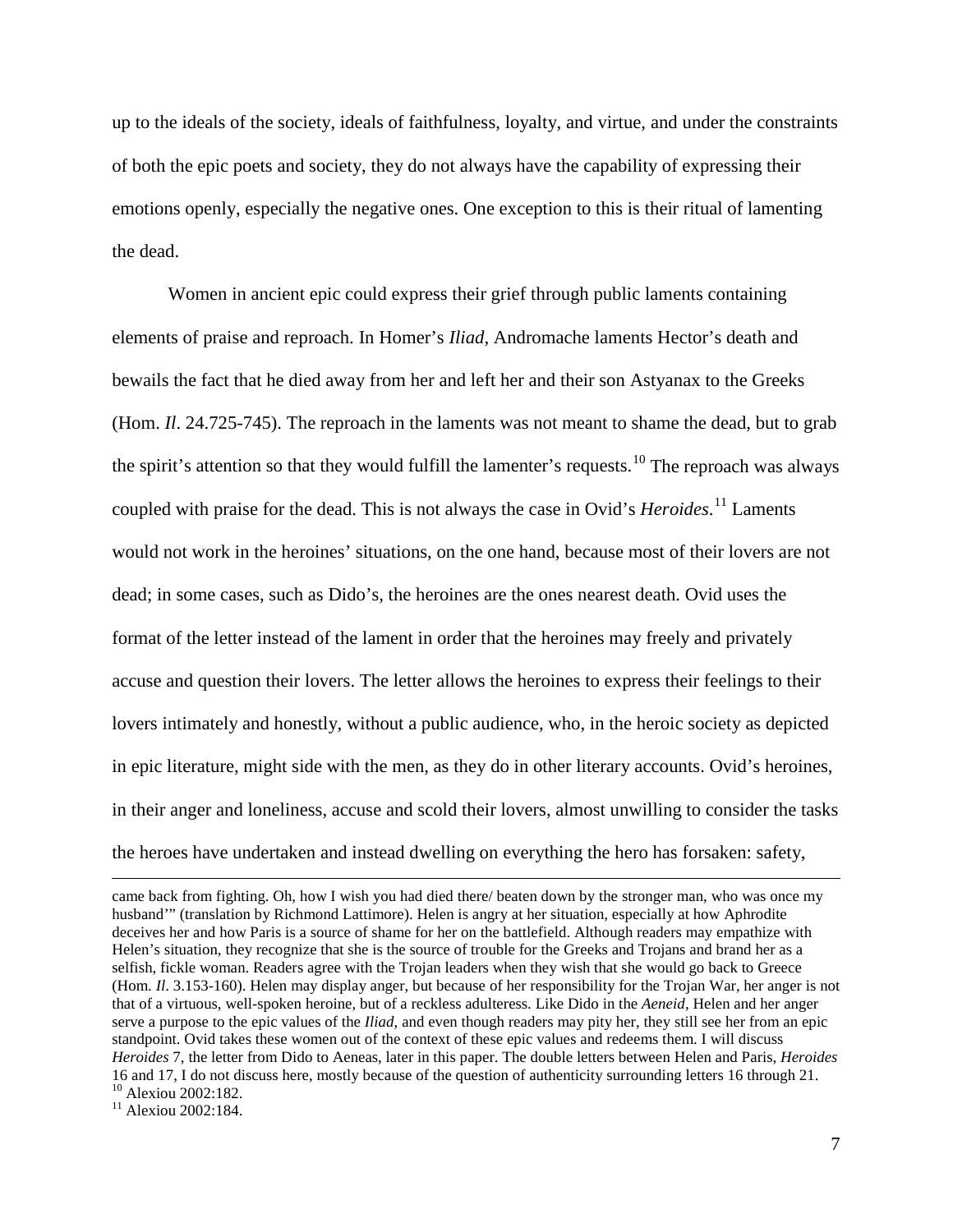up to the ideals of the society, ideals of faithfulness, loyalty, and virtue, and under the constraints of both the epic poets and society, they do not always have the capability of expressing their emotions openly, especially the negative ones. One exception to this is their ritual of lamenting the dead.

Women in ancient epic could express their grief through public laments containing elements of praise and reproach. In Homer's *Iliad*, Andromache laments Hector's death and bewails the fact that he died away from her and left her and their son Astyanax to the Greeks (Hom. *Il*. 24.725-745). The reproach in the laments was not meant to shame the dead, but to grab the spirit's attention so that they would fulfill the lamenter's requests.<sup>[10](#page-7-0)</sup> The reproach was always coupled with praise for the dead. This is not always the case in Ovid's *Heroides*. [11](#page-7-1) Laments would not work in the heroines' situations, on the one hand, because most of their lovers are not dead; in some cases, such as Dido's, the heroines are the ones nearest death. Ovid uses the format of the letter instead of the lament in order that the heroines may freely and privately accuse and question their lovers. The letter allows the heroines to express their feelings to their lovers intimately and honestly, without a public audience, who, in the heroic society as depicted in epic literature, might side with the men, as they do in other literary accounts. Ovid's heroines, in their anger and loneliness, accuse and scold their lovers, almost unwilling to consider the tasks the heroes have undertaken and instead dwelling on everything the hero has forsaken: safety,

came back from fighting. Oh, how I wish you had died there/ beaten down by the stronger man, who was once my husband'" (translation by Richmond Lattimore). Helen is angry at her situation, especially at how Aphrodite deceives her and how Paris is a source of shame for her on the battlefield. Although readers may empathize with Helen's situation, they recognize that she is the source of trouble for the Greeks and Trojans and brand her as a selfish, fickle woman. Readers agree with the Trojan leaders when they wish that she would go back to Greece (Hom. *Il*. 3.153-160). Helen may display anger, but because of her responsibility for the Trojan War, her anger is not that of a virtuous, well-spoken heroine, but of a reckless adulteress. Like Dido in the *Aeneid*, Helen and her anger serve a purpose to the epic values of the *Iliad*, and even though readers may pity her, they still see her from an epic standpoint. Ovid takes these women out of the context of these epic values and redeems them. I will discuss *Heroides* 7, the letter from Dido to Aeneas, later in this paper. The double letters between Helen and Paris, *Heroides*  16 and 17, I do not discuss here, mostly because of the question of authenticity surrounding letters 16 through 21. <sup>10</sup> Alexiou 2002:182.<br><sup>11</sup> Alexiou 2002:184.

<span id="page-7-1"></span><span id="page-7-0"></span>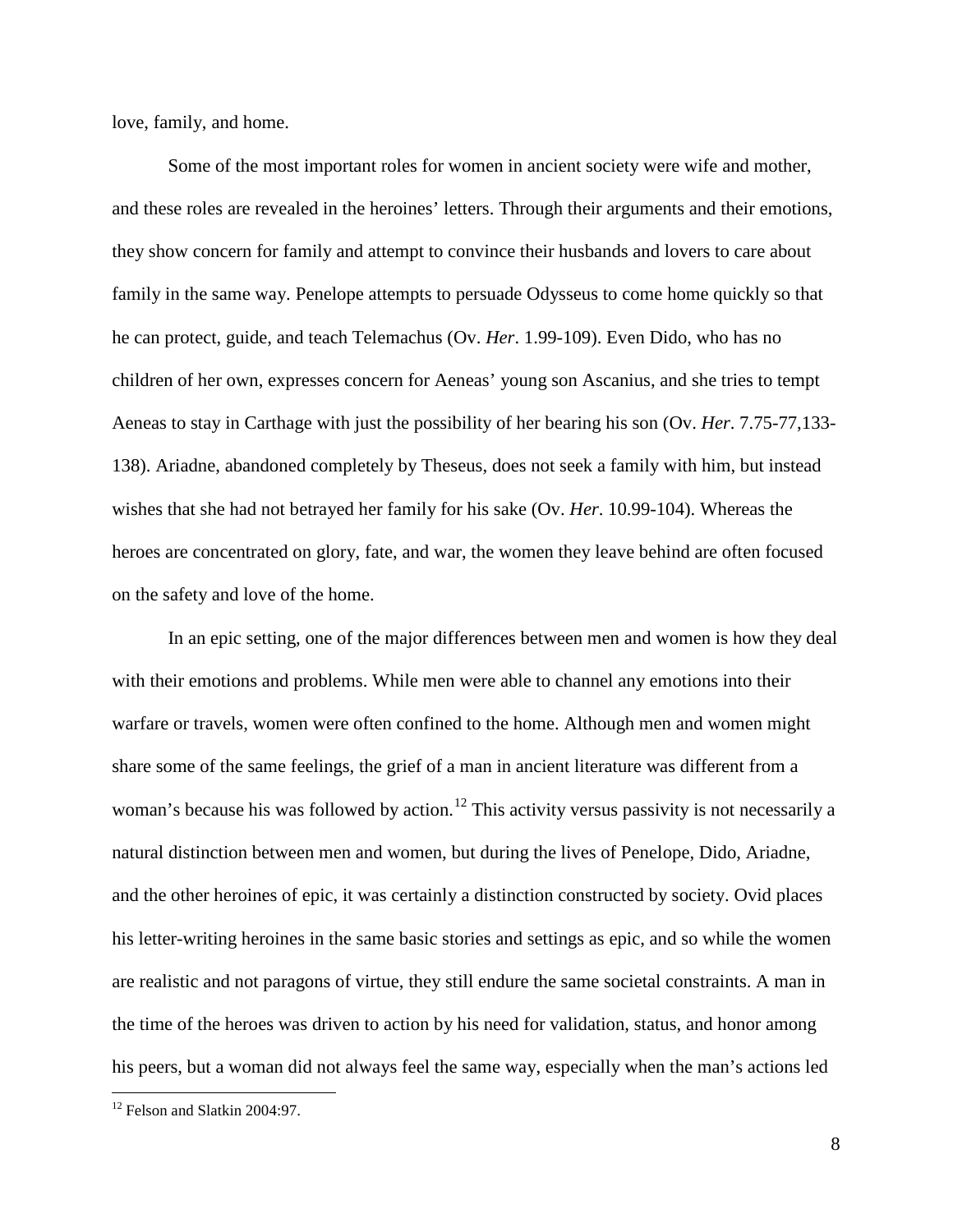love, family, and home.

Some of the most important roles for women in ancient society were wife and mother, and these roles are revealed in the heroines' letters. Through their arguments and their emotions, they show concern for family and attempt to convince their husbands and lovers to care about family in the same way. Penelope attempts to persuade Odysseus to come home quickly so that he can protect, guide, and teach Telemachus (Ov. *Her*. 1.99-109). Even Dido, who has no children of her own, expresses concern for Aeneas' young son Ascanius, and she tries to tempt Aeneas to stay in Carthage with just the possibility of her bearing his son (Ov. *Her*. 7.75-77,133- 138). Ariadne, abandoned completely by Theseus, does not seek a family with him, but instead wishes that she had not betrayed her family for his sake (Ov. *Her*. 10.99-104). Whereas the heroes are concentrated on glory, fate, and war, the women they leave behind are often focused on the safety and love of the home.

In an epic setting, one of the major differences between men and women is how they deal with their emotions and problems. While men were able to channel any emotions into their warfare or travels, women were often confined to the home. Although men and women might share some of the same feelings, the grief of a man in ancient literature was different from a woman's because his was followed by action.<sup>[12](#page-8-0)</sup> This activity versus passivity is not necessarily a natural distinction between men and women, but during the lives of Penelope, Dido, Ariadne, and the other heroines of epic, it was certainly a distinction constructed by society. Ovid places his letter-writing heroines in the same basic stories and settings as epic, and so while the women are realistic and not paragons of virtue, they still endure the same societal constraints. A man in the time of the heroes was driven to action by his need for validation, status, and honor among his peers, but a woman did not always feel the same way, especially when the man's actions led

<span id="page-8-0"></span><sup>&</sup>lt;sup>12</sup> Felson and Slatkin 2004:97.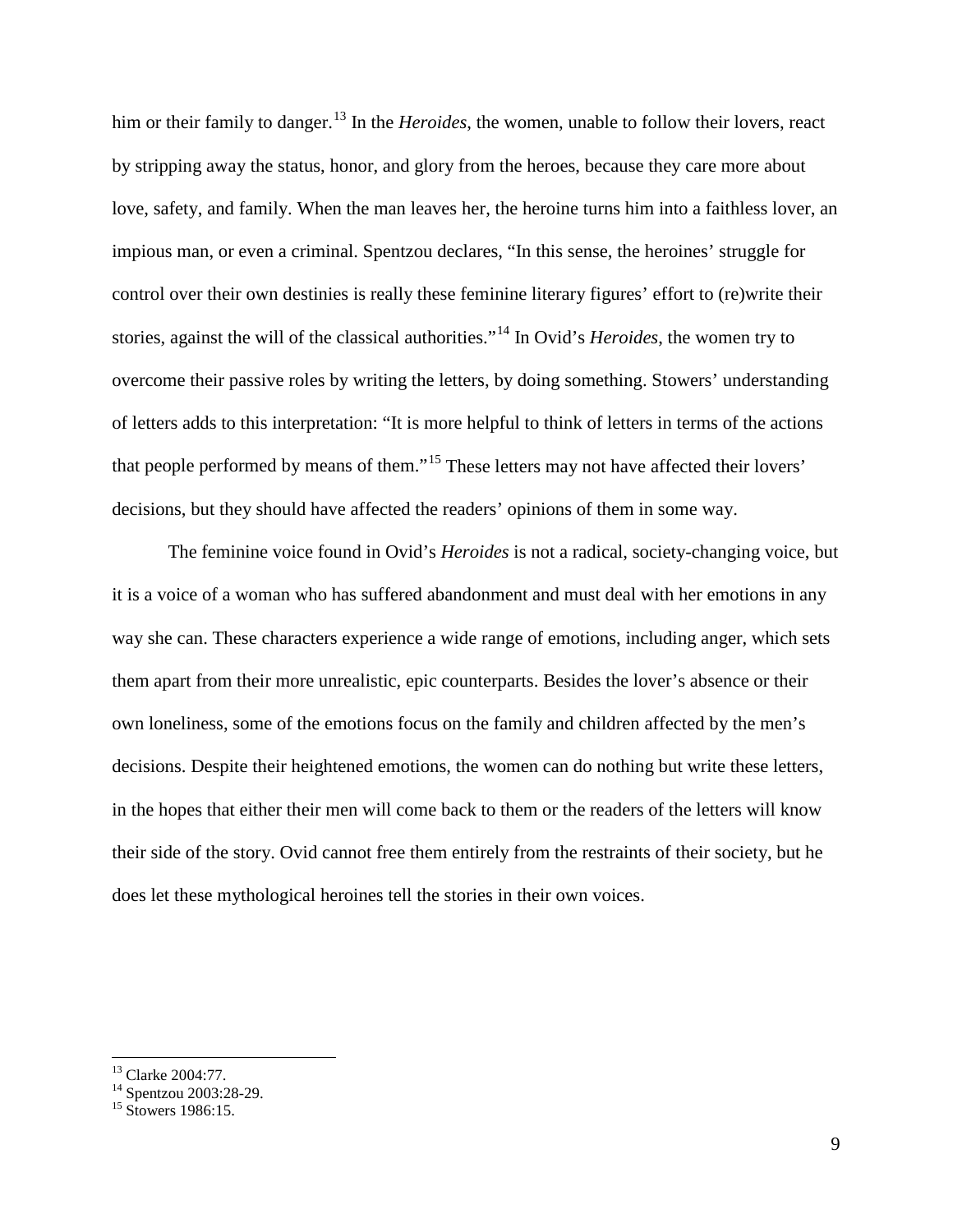him or their family to danger.<sup>[13](#page-9-0)</sup> In the *Heroides*, the women, unable to follow their lovers, react by stripping away the status, honor, and glory from the heroes, because they care more about love, safety, and family. When the man leaves her, the heroine turns him into a faithless lover, an impious man, or even a criminal. Spentzou declares, "In this sense, the heroines' struggle for control over their own destinies is really these feminine literary figures' effort to (re)write their stories, against the will of the classical authorities."[14](#page-9-1) In Ovid's *Heroides*, the women try to overcome their passive roles by writing the letters, by doing something. Stowers' understanding of letters adds to this interpretation: "It is more helpful to think of letters in terms of the actions that people performed by means of them."[15](#page-9-2) These letters may not have affected their lovers' decisions, but they should have affected the readers' opinions of them in some way.

The feminine voice found in Ovid's *Heroides* is not a radical, society-changing voice, but it is a voice of a woman who has suffered abandonment and must deal with her emotions in any way she can. These characters experience a wide range of emotions, including anger, which sets them apart from their more unrealistic, epic counterparts. Besides the lover's absence or their own loneliness, some of the emotions focus on the family and children affected by the men's decisions. Despite their heightened emotions, the women can do nothing but write these letters, in the hopes that either their men will come back to them or the readers of the letters will know their side of the story. Ovid cannot free them entirely from the restraints of their society, but he does let these mythological heroines tell the stories in their own voices.

<span id="page-9-1"></span><span id="page-9-0"></span><sup>&</sup>lt;sup>13</sup> Clarke 2004:77.<br><sup>14</sup> Spentzou 2003:28-29.<br><sup>15</sup> Stowers 1986:15.

<span id="page-9-2"></span>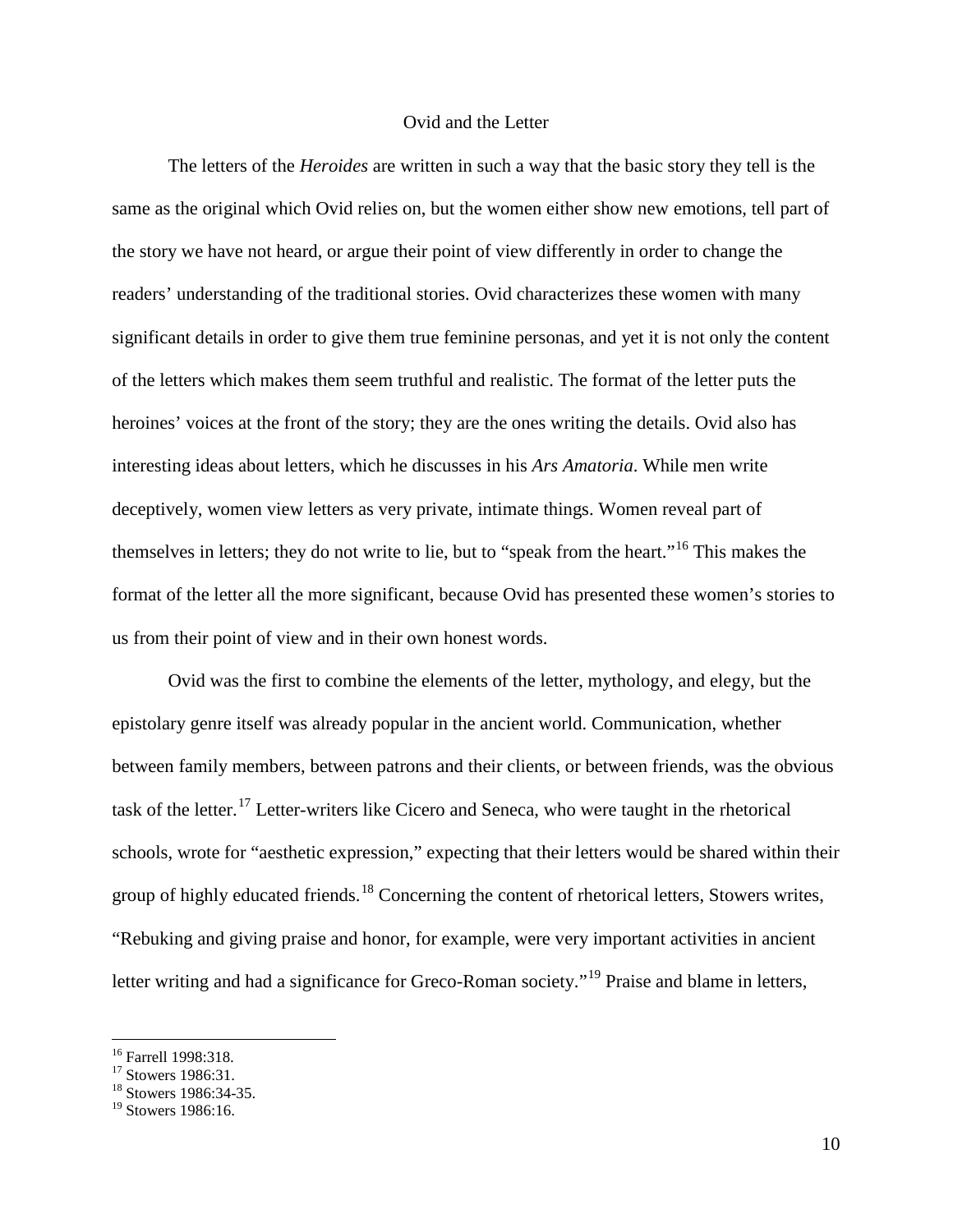#### Ovid and the Letter

The letters of the *Heroides* are written in such a way that the basic story they tell is the same as the original which Ovid relies on, but the women either show new emotions, tell part of the story we have not heard, or argue their point of view differently in order to change the readers' understanding of the traditional stories. Ovid characterizes these women with many significant details in order to give them true feminine personas, and yet it is not only the content of the letters which makes them seem truthful and realistic. The format of the letter puts the heroines' voices at the front of the story; they are the ones writing the details. Ovid also has interesting ideas about letters, which he discusses in his *Ars Amatoria*. While men write deceptively, women view letters as very private, intimate things. Women reveal part of themselves in letters; they do not write to lie, but to "speak from the heart."[16](#page-10-0) This makes the format of the letter all the more significant, because Ovid has presented these women's stories to us from their point of view and in their own honest words.

Ovid was the first to combine the elements of the letter, mythology, and elegy, but the epistolary genre itself was already popular in the ancient world. Communication, whether between family members, between patrons and their clients, or between friends, was the obvious task of the letter.[17](#page-10-1) Letter-writers like Cicero and Seneca, who were taught in the rhetorical schools, wrote for "aesthetic expression," expecting that their letters would be shared within their group of highly educated friends.<sup>[18](#page-10-2)</sup> Concerning the content of rhetorical letters, Stowers writes, "Rebuking and giving praise and honor, for example, were very important activities in ancient letter writing and had a significance for Greco-Roman society."<sup>[19](#page-10-3)</sup> Praise and blame in letters,

<span id="page-10-1"></span><span id="page-10-0"></span><sup>&</sup>lt;sup>16</sup> Farrell 1998:318.<br><sup>17</sup> Stowers 1986:31.<br><sup>18</sup> Stowers 1986:34-35.

<span id="page-10-3"></span><span id="page-10-2"></span> $^{19}$  Stowers 1986:16.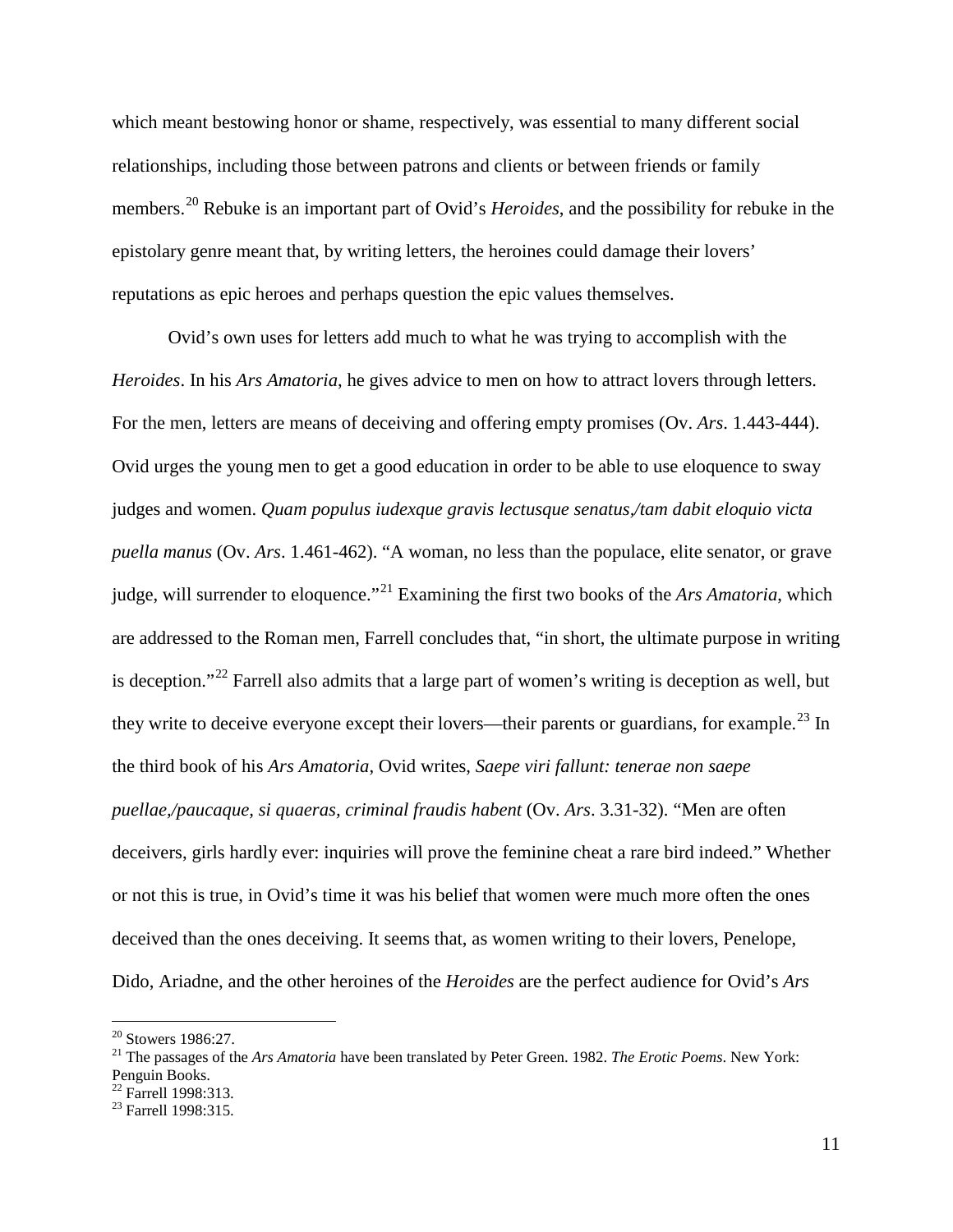which meant bestowing honor or shame, respectively, was essential to many different social relationships, including those between patrons and clients or between friends or family members.[20](#page-11-0) Rebuke is an important part of Ovid's *Heroides*, and the possibility for rebuke in the epistolary genre meant that, by writing letters, the heroines could damage their lovers' reputations as epic heroes and perhaps question the epic values themselves.

Ovid's own uses for letters add much to what he was trying to accomplish with the *Heroides*. In his *Ars Amatoria*, he gives advice to men on how to attract lovers through letters. For the men, letters are means of deceiving and offering empty promises (Ov. *Ars*. 1.443-444). Ovid urges the young men to get a good education in order to be able to use eloquence to sway judges and women. *Quam populus iudexque gravis lectusque senatus,/tam dabit eloquio victa puella manus* (Ov. *Ars*. 1.461-462). "A woman, no less than the populace, elite senator, or grave judge, will surrender to eloquence."[21](#page-11-1) Examining the first two books of the *Ars Amatoria*, which are addressed to the Roman men, Farrell concludes that, "in short, the ultimate purpose in writing is deception."<sup>[22](#page-11-2)</sup> Farrell also admits that a large part of women's writing is deception as well, but they write to deceive everyone except their lovers—their parents or guardians, for example.<sup>[23](#page-11-3)</sup> In the third book of his *Ars Amatoria*, Ovid writes, *Saepe viri fallunt: tenerae non saepe puellae,/paucaque, si quaeras, criminal fraudis habent* (Ov. *Ars*. 3.31-32). "Men are often deceivers, girls hardly ever: inquiries will prove the feminine cheat a rare bird indeed." Whether or not this is true, in Ovid's time it was his belief that women were much more often the ones deceived than the ones deceiving. It seems that, as women writing to their lovers, Penelope, Dido, Ariadne, and the other heroines of the *Heroides* are the perfect audience for Ovid's *Ars* 

<span id="page-11-1"></span><span id="page-11-0"></span><sup>20</sup> Stowers 1986:27. 21 The passages of the *Ars Amatoria* have been translated by Peter Green. 1982. *The Erotic Poems*. New York: Penguin Books.

<span id="page-11-2"></span> $\frac{22}{23}$  Farrell 1998:313.<br><sup>23</sup> Farrell 1998:315.

<span id="page-11-3"></span>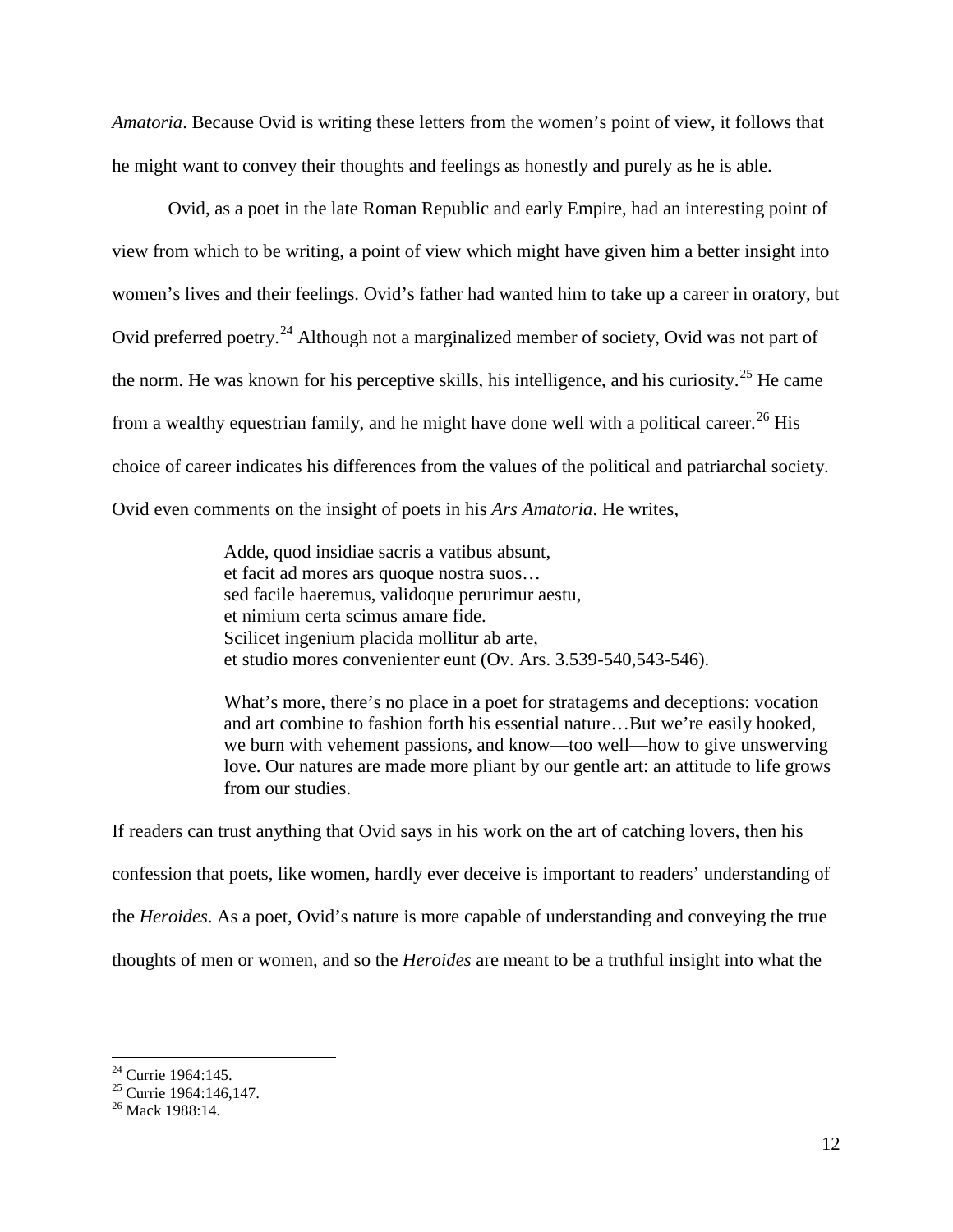*Amatoria*. Because Ovid is writing these letters from the women's point of view, it follows that he might want to convey their thoughts and feelings as honestly and purely as he is able.

Ovid, as a poet in the late Roman Republic and early Empire, had an interesting point of view from which to be writing, a point of view which might have given him a better insight into women's lives and their feelings. Ovid's father had wanted him to take up a career in oratory, but Ovid preferred poetry.<sup>[24](#page-12-0)</sup> Although not a marginalized member of society, Ovid was not part of the norm. He was known for his perceptive skills, his intelligence, and his curiosity.<sup>[25](#page-12-1)</sup> He came from a wealthy equestrian family, and he might have done well with a political career.<sup>[26](#page-12-2)</sup> His choice of career indicates his differences from the values of the political and patriarchal society. Ovid even comments on the insight of poets in his *Ars Amatoria*. He writes,

> Adde, quod insidiae sacris a vatibus absunt, et facit ad mores ars quoque nostra suos… sed facile haeremus, validoque perurimur aestu, et nimium certa scimus amare fide. Scilicet ingenium placida mollitur ab arte, et studio mores convenienter eunt (Ov. Ars. 3.539-540,543-546).

What's more, there's no place in a poet for stratagems and deceptions: vocation and art combine to fashion forth his essential nature…But we're easily hooked, we burn with vehement passions, and know—too well—how to give unswerving love. Our natures are made more pliant by our gentle art: an attitude to life grows from our studies.

If readers can trust anything that Ovid says in his work on the art of catching lovers, then his confession that poets, like women, hardly ever deceive is important to readers' understanding of the *Heroides*. As a poet, Ovid's nature is more capable of understanding and conveying the true thoughts of men or women, and so the *Heroides* are meant to be a truthful insight into what the

<span id="page-12-1"></span><span id="page-12-0"></span><sup>&</sup>lt;sup>24</sup> Currie 1964:145.<br><sup>25</sup> Currie 1964:146,147.<br><sup>26</sup> Mack 1988:14.

<span id="page-12-2"></span>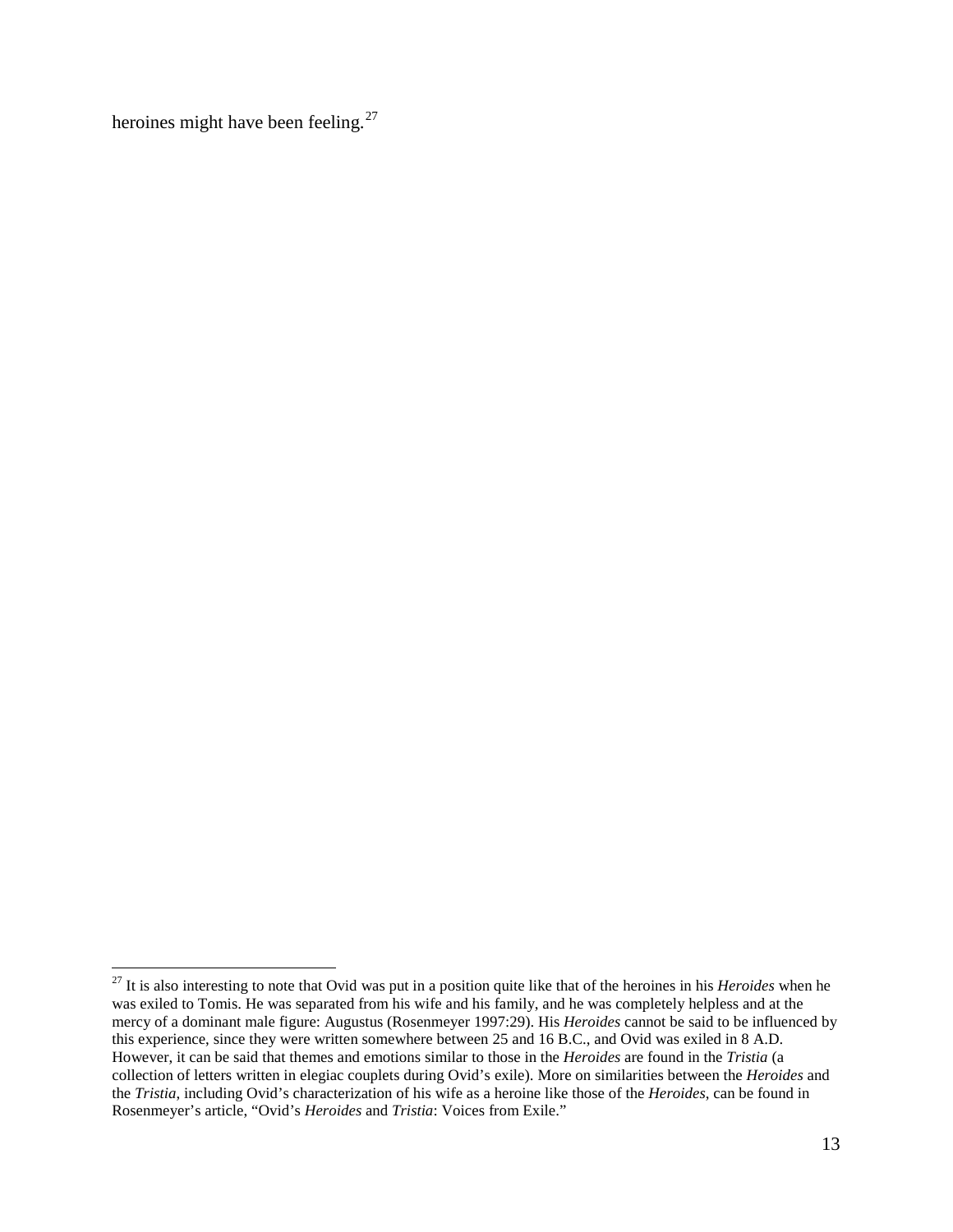heroines might have been feeling.<sup>[27](#page-13-0)</sup>

<span id="page-13-0"></span><sup>&</sup>lt;sup>27</sup> It is also interesting to note that Ovid was put in a position quite like that of the heroines in his *Heroides* when he was exiled to Tomis. He was separated from his wife and his family, and he was completely helpless and at the mercy of a dominant male figure: Augustus (Rosenmeyer 1997:29). His *Heroides* cannot be said to be influenced by this experience, since they were written somewhere between 25 and 16 B.C., and Ovid was exiled in 8 A.D. However, it can be said that themes and emotions similar to those in the *Heroides* are found in the *Tristia* (a collection of letters written in elegiac couplets during Ovid's exile). More on similarities between the *Heroides* and the *Tristia*, including Ovid's characterization of his wife as a heroine like those of the *Heroides*, can be found in Rosenmeyer's article, "Ovid's *Heroides* and *Tristia*: Voices from Exile."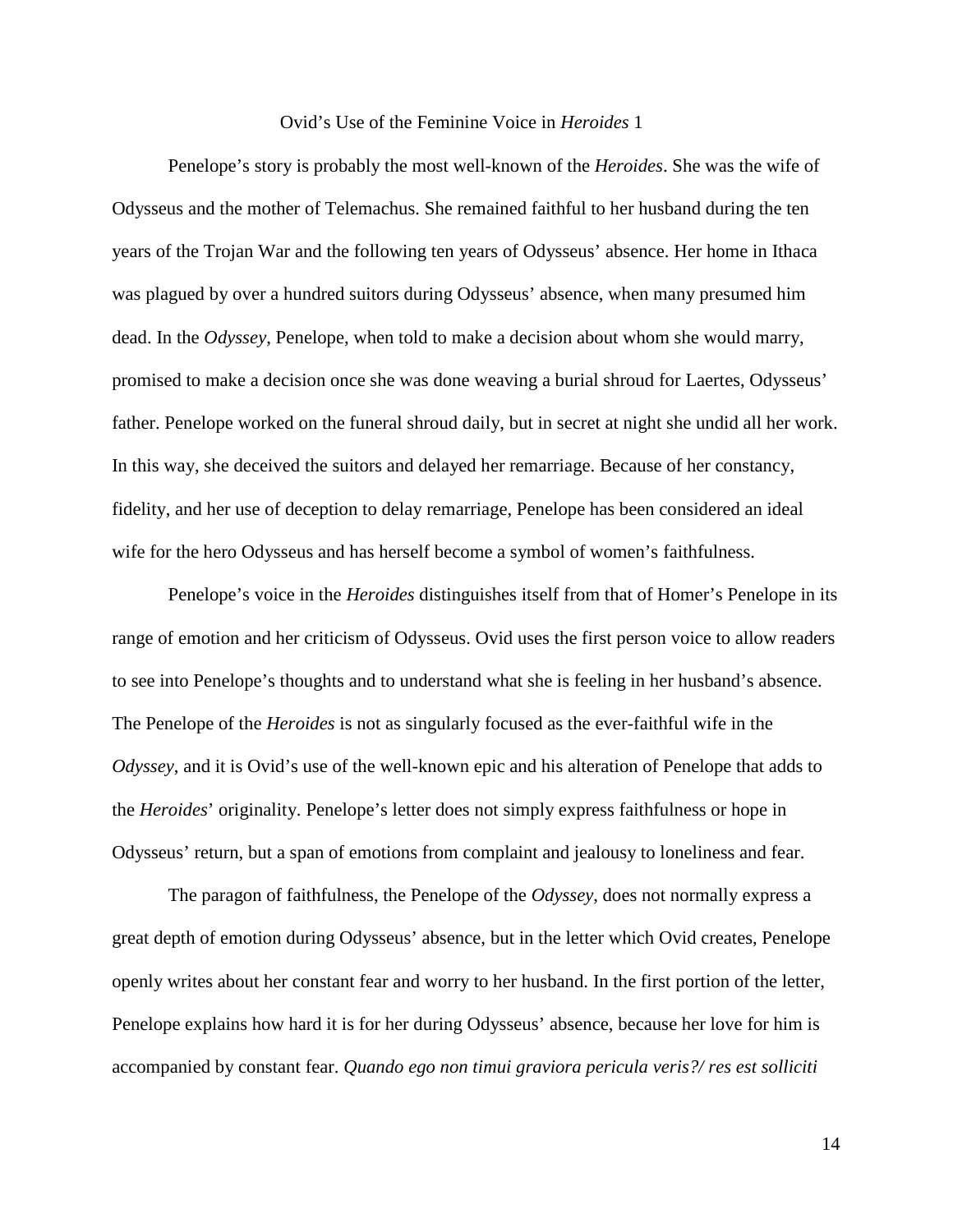#### Ovid's Use of the Feminine Voice in *Heroides* 1

Penelope's story is probably the most well-known of the *Heroides*. She was the wife of Odysseus and the mother of Telemachus. She remained faithful to her husband during the ten years of the Trojan War and the following ten years of Odysseus' absence. Her home in Ithaca was plagued by over a hundred suitors during Odysseus' absence, when many presumed him dead. In the *Odyssey*, Penelope, when told to make a decision about whom she would marry, promised to make a decision once she was done weaving a burial shroud for Laertes, Odysseus' father. Penelope worked on the funeral shroud daily, but in secret at night she undid all her work. In this way, she deceived the suitors and delayed her remarriage. Because of her constancy, fidelity, and her use of deception to delay remarriage, Penelope has been considered an ideal wife for the hero Odysseus and has herself become a symbol of women's faithfulness.

Penelope's voice in the *Heroides* distinguishes itself from that of Homer's Penelope in its range of emotion and her criticism of Odysseus. Ovid uses the first person voice to allow readers to see into Penelope's thoughts and to understand what she is feeling in her husband's absence. The Penelope of the *Heroides* is not as singularly focused as the ever-faithful wife in the *Odyssey*, and it is Ovid's use of the well-known epic and his alteration of Penelope that adds to the *Heroides*' originality. Penelope's letter does not simply express faithfulness or hope in Odysseus' return, but a span of emotions from complaint and jealousy to loneliness and fear.

The paragon of faithfulness, the Penelope of the *Odyssey*, does not normally express a great depth of emotion during Odysseus' absence, but in the letter which Ovid creates, Penelope openly writes about her constant fear and worry to her husband. In the first portion of the letter, Penelope explains how hard it is for her during Odysseus' absence, because her love for him is accompanied by constant fear. *Quando ego non timui graviora pericula veris?/ res est solliciti* 

14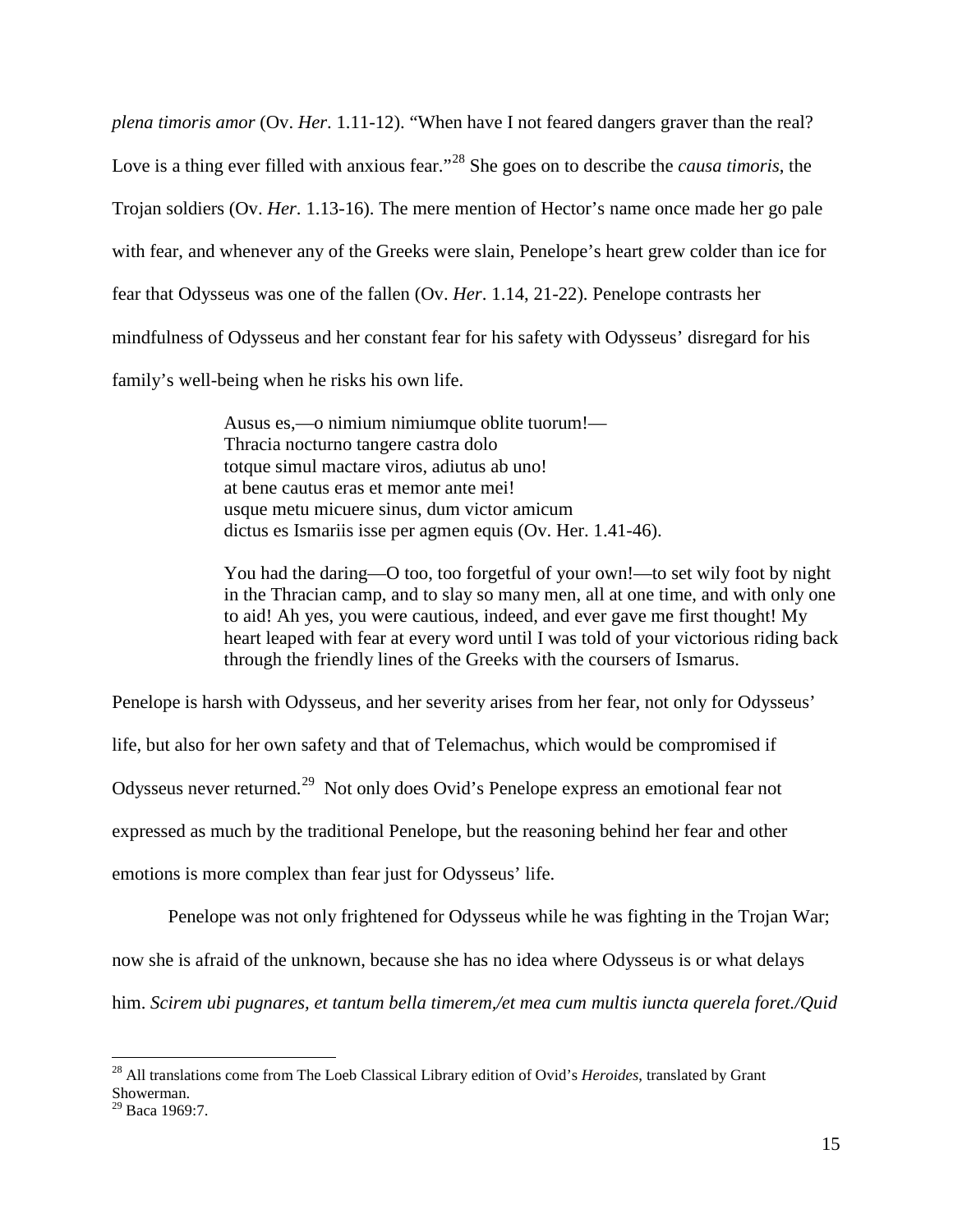*plena timoris amor* (Ov. *Her*. 1.11-12). "When have I not feared dangers graver than the real? Love is a thing ever filled with anxious fear."[28](#page-15-0) She goes on to describe the *causa timoris*, the Trojan soldiers (Ov. *Her*. 1.13-16). The mere mention of Hector's name once made her go pale with fear, and whenever any of the Greeks were slain, Penelope's heart grew colder than ice for fear that Odysseus was one of the fallen (Ov. *Her*. 1.14, 21-22). Penelope contrasts her mindfulness of Odysseus and her constant fear for his safety with Odysseus' disregard for his family's well-being when he risks his own life.

> Ausus es,—o nimium nimiumque oblite tuorum!— Thracia nocturno tangere castra dolo totque simul mactare viros, adiutus ab uno! at bene cautus eras et memor ante mei! usque metu micuere sinus, dum victor amicum dictus es Ismariis isse per agmen equis (Ov. Her. 1.41-46).

You had the daring—O too, too forgetful of your own!—to set wily foot by night in the Thracian camp, and to slay so many men, all at one time, and with only one to aid! Ah yes, you were cautious, indeed, and ever gave me first thought! My heart leaped with fear at every word until I was told of your victorious riding back through the friendly lines of the Greeks with the coursers of Ismarus.

Penelope is harsh with Odysseus, and her severity arises from her fear, not only for Odysseus' life, but also for her own safety and that of Telemachus, which would be compromised if Odysseus never returned.[29](#page-15-1) Not only does Ovid's Penelope express an emotional fear not expressed as much by the traditional Penelope, but the reasoning behind her fear and other emotions is more complex than fear just for Odysseus' life.

Penelope was not only frightened for Odysseus while he was fighting in the Trojan War;

now she is afraid of the unknown, because she has no idea where Odysseus is or what delays

him. *Scirem ubi pugnares, et tantum bella timerem,/et mea cum multis iuncta querela foret./Quid* 

<span id="page-15-0"></span> <sup>28</sup> All translations come from The Loeb Classical Library edition of Ovid's *Heroides*, translated by Grant Showerman.

<span id="page-15-1"></span> $29$  Baca 1969:7.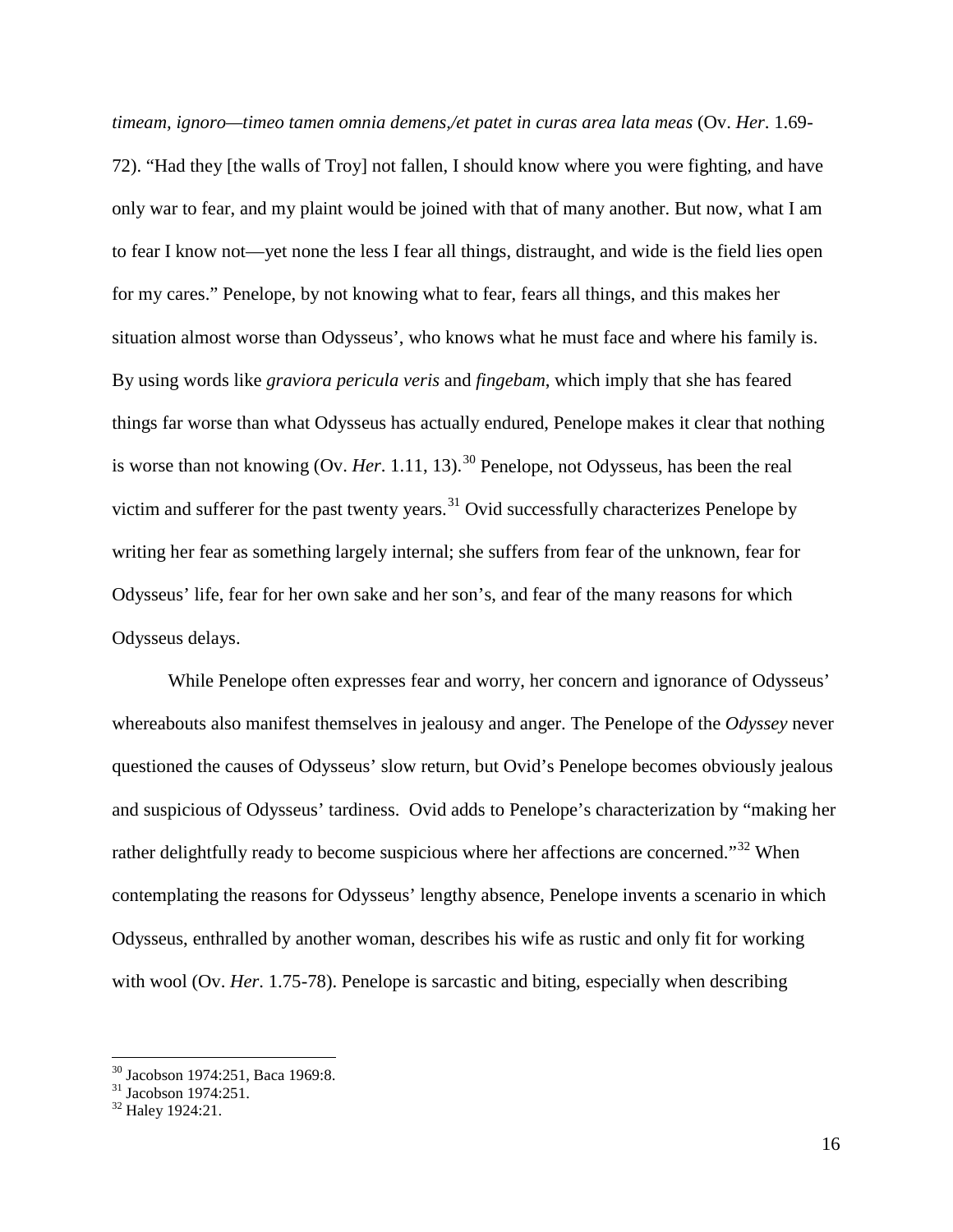*timeam, ignoro—timeo tamen omnia demens,/et patet in curas area lata meas* (Ov. *Her*. 1.69- 72). "Had they [the walls of Troy] not fallen, I should know where you were fighting, and have only war to fear, and my plaint would be joined with that of many another. But now, what I am to fear I know not—yet none the less I fear all things, distraught, and wide is the field lies open for my cares." Penelope, by not knowing what to fear, fears all things, and this makes her situation almost worse than Odysseus', who knows what he must face and where his family is. By using words like *graviora pericula veris* and *fingebam*, which imply that she has feared things far worse than what Odysseus has actually endured, Penelope makes it clear that nothing is worse than not knowing  $(Ov, Her, 1.11, 13)$ .<sup>[30](#page-16-0)</sup> Penelope, not Odysseus, has been the real victim and sufferer for the past twenty years.<sup>[31](#page-16-1)</sup> Ovid successfully characterizes Penelope by writing her fear as something largely internal; she suffers from fear of the unknown, fear for Odysseus' life, fear for her own sake and her son's, and fear of the many reasons for which Odysseus delays.

While Penelope often expresses fear and worry, her concern and ignorance of Odysseus' whereabouts also manifest themselves in jealousy and anger. The Penelope of the *Odyssey* never questioned the causes of Odysseus' slow return, but Ovid's Penelope becomes obviously jealous and suspicious of Odysseus' tardiness. Ovid adds to Penelope's characterization by "making her rather delightfully ready to become suspicious where her affections are concerned."<sup>[32](#page-16-2)</sup> When contemplating the reasons for Odysseus' lengthy absence, Penelope invents a scenario in which Odysseus, enthralled by another woman, describes his wife as rustic and only fit for working with wool (Ov. *Her.* 1.75-78). Penelope is sarcastic and biting, especially when describing

<span id="page-16-1"></span><span id="page-16-0"></span><sup>&</sup>lt;sup>30</sup> Jacobson 1974:251, Baca 1969:8.<br><sup>31</sup> Jacobson 1974:251.<br><sup>32</sup> Haley 1924:21.

<span id="page-16-2"></span>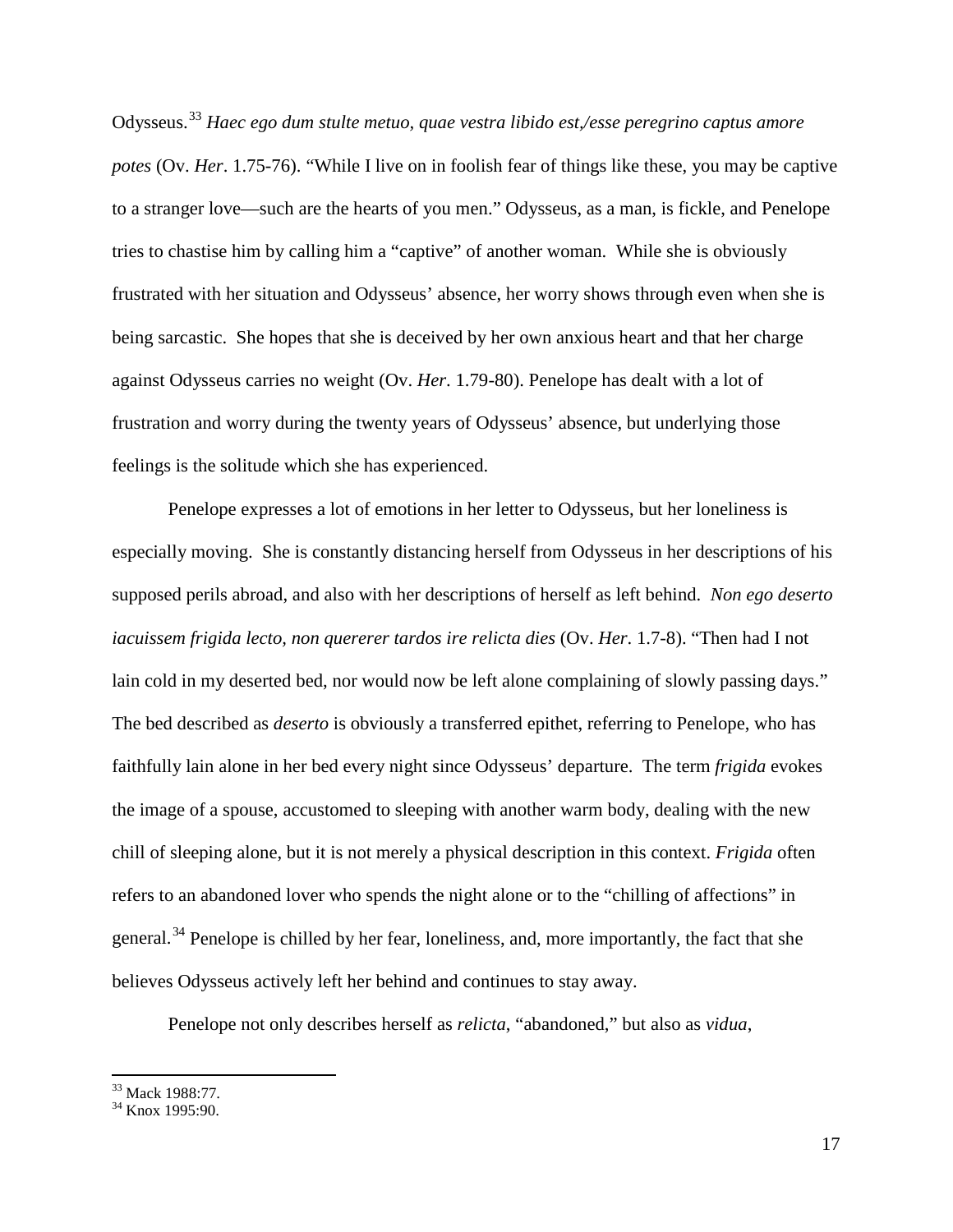Odysseus.[33](#page-17-0) *Haec ego dum stulte metuo, quae vestra libido est,/esse peregrino captus amore potes* (Ov. *Her*. 1.75-76). "While I live on in foolish fear of things like these, you may be captive to a stranger love—such are the hearts of you men." Odysseus, as a man, is fickle, and Penelope tries to chastise him by calling him a "captive" of another woman. While she is obviously frustrated with her situation and Odysseus' absence, her worry shows through even when she is being sarcastic. She hopes that she is deceived by her own anxious heart and that her charge against Odysseus carries no weight (Ov. *Her*. 1.79-80). Penelope has dealt with a lot of frustration and worry during the twenty years of Odysseus' absence, but underlying those feelings is the solitude which she has experienced.

Penelope expresses a lot of emotions in her letter to Odysseus, but her loneliness is especially moving. She is constantly distancing herself from Odysseus in her descriptions of his supposed perils abroad, and also with her descriptions of herself as left behind. *Non ego deserto iacuissem frigida lecto, non quererer tardos ire relicta dies* (Ov. *Her*. 1.7-8). "Then had I not lain cold in my deserted bed, nor would now be left alone complaining of slowly passing days." The bed described as *deserto* is obviously a transferred epithet, referring to Penelope, who has faithfully lain alone in her bed every night since Odysseus' departure. The term *frigida* evokes the image of a spouse, accustomed to sleeping with another warm body, dealing with the new chill of sleeping alone, but it is not merely a physical description in this context. *Frigida* often refers to an abandoned lover who spends the night alone or to the "chilling of affections" in general.<sup>[34](#page-17-1)</sup> Penelope is chilled by her fear, loneliness, and, more importantly, the fact that she believes Odysseus actively left her behind and continues to stay away.

Penelope not only describes herself as *relicta*, "abandoned," but also as *vidua*,

<span id="page-17-1"></span><span id="page-17-0"></span><sup>&</sup>lt;sup>33</sup> Mack 1988:77.<br><sup>34</sup> Knox 1995:90.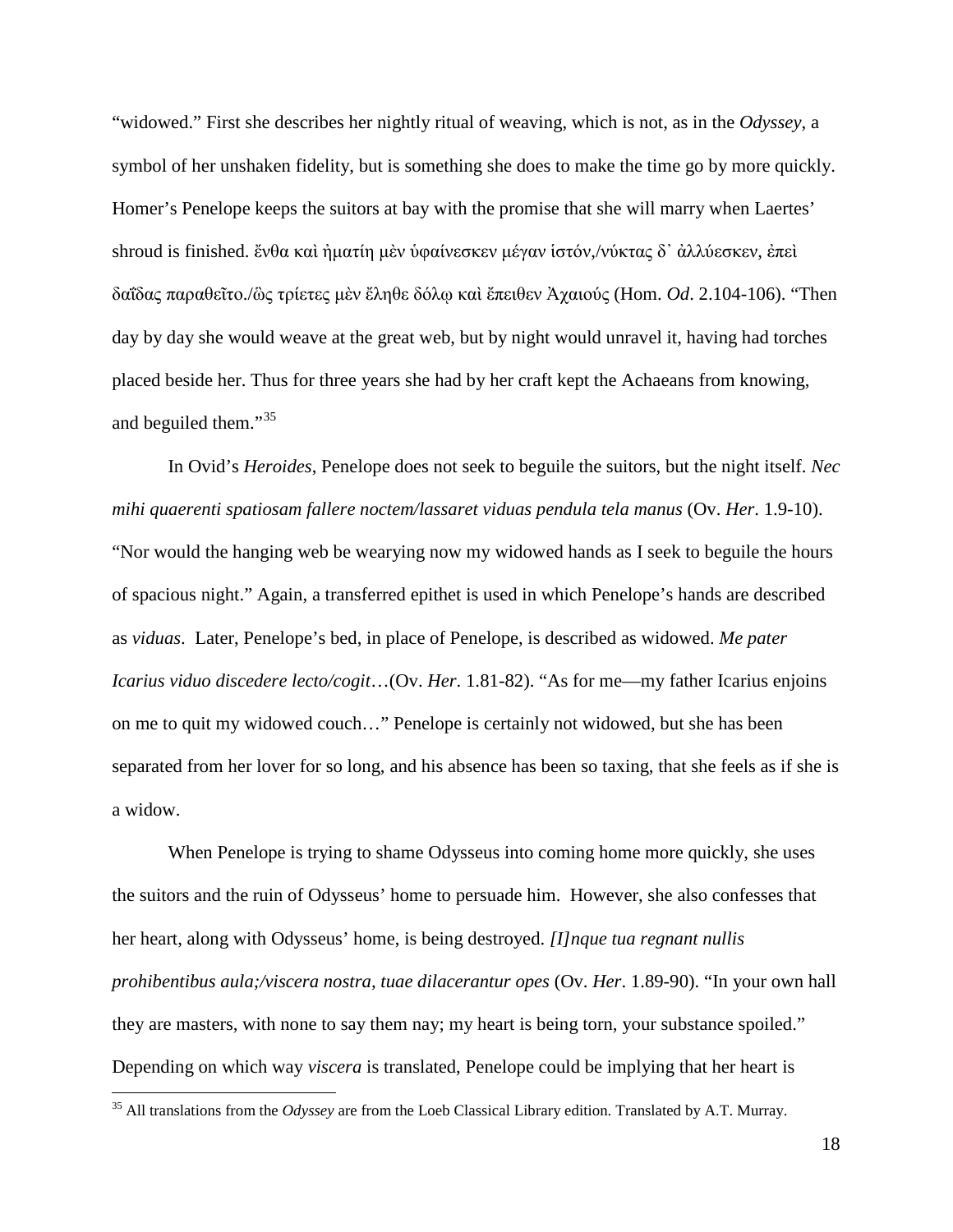"widowed." First she describes her nightly ritual of weaving, which is not, as in the *Odyssey*, a symbol of her unshaken fidelity, but is something she does to make the time go by more quickly. Homer's Penelope keeps the suitors at bay with the promise that she will marry when Laertes' shroud is finished. [ἔνθα](http://www.perseus.tufts.edu/hopper/morph?l=e%29%2Fnqa&la=greek&can=e%29%2Fnqa0&prior=a)gh/nwr) [καὶ](http://www.perseus.tufts.edu/hopper/morph?l=kai%5C&la=greek&can=kai%5C2&prior=e)/nqa) [ἠματίη](http://www.perseus.tufts.edu/hopper/morph?l=h%29mati%2Fh&la=greek&can=h%29mati%2Fh0&prior=kai\) [μὲν](http://www.perseus.tufts.edu/hopper/morph?l=me%5Cn&la=greek&can=me%5Cn0&prior=h)mati/h) [ὑφαίνεσκεν](http://www.perseus.tufts.edu/hopper/morph?l=u%28fai%2Fnesken&la=greek&can=u%28fai%2Fnesken0&prior=me\n) [μέγαν](http://www.perseus.tufts.edu/hopper/morph?l=me%2Fgan&la=greek&can=me%2Fgan1&prior=u(fai/nesken) [ἱστόν](http://www.perseus.tufts.edu/hopper/morph?l=i%28sto%2Fn&la=greek&can=i%28sto%2Fn0&prior=me/gan),/[νύκτας](http://www.perseus.tufts.edu/hopper/morph?l=nu%2Fktas&la=greek&can=nu%2Fktas0&prior=i(sto/n) [δ᾽](http://www.perseus.tufts.edu/hopper/morph?l=d%27&la=greek&can=d%274&prior=nu/ktas) [ἀλλύεσκεν](http://www.perseus.tufts.edu/hopper/morph?l=a%29llu%2Fesken&la=greek&can=a%29llu%2Fesken0&prior=d), [ἐπεὶ](http://www.perseus.tufts.edu/hopper/morph?l=e%29pei%5C&la=greek&can=e%29pei%5C1&prior=a)llu/esken) [δαΐδας](http://www.perseus.tufts.edu/hopper/morph?l=dai%2F%2Bdas&la=greek&can=dai%2F%2Bdas0&prior=e)pei\) [παραθεῖτο](http://www.perseus.tufts.edu/hopper/morph?l=paraqei%3Dto&la=greek&can=paraqei%3Dto0&prior=dai/+das)./[ὣς](http://www.perseus.tufts.edu/hopper/morph?l=w%28%5Cs&la=greek&can=w%28%5Cs1&prior=paraqei=to) [τρίετες](http://www.perseus.tufts.edu/hopper/morph?l=tri%2Fetes&la=greek&can=tri%2Fetes0&prior=w(\s) [μὲν](http://www.perseus.tufts.edu/hopper/morph?l=me%5Cn&la=greek&can=me%5Cn1&prior=tri/etes) [ἔληθε](http://www.perseus.tufts.edu/hopper/morph?l=e%29%2Flhqe&la=greek&can=e%29%2Flhqe0&prior=me\n) [δόλῳ](http://www.perseus.tufts.edu/hopper/morph?l=do%2Flw%7C&la=greek&can=do%2Flw%7C0&prior=e)/lhqe) [καὶ](http://www.perseus.tufts.edu/hopper/morph?l=kai%5C&la=greek&can=kai%5C3&prior=do/lw|) [ἔπειθεν](http://www.perseus.tufts.edu/hopper/morph?l=e%29%2Fpeiqen&la=greek&can=e%29%2Fpeiqen0&prior=kai\) [Ἀχαιούς](http://www.perseus.tufts.edu/hopper/morph?l=*%29axaiou%2Fs&la=greek&can=*%29axaiou%2Fs0&prior=e)/peiqen) (Hom. *Od*. 2.104-106). "Then day by day she would weave at the great web, but by night would unravel it, having had torches placed beside her. Thus for three years she had by her craft kept the Achaeans from knowing, and beguiled them."<sup>[35](#page-18-0)</sup>

In Ovid's *Heroides*, Penelope does not seek to beguile the suitors, but the night itself. *Nec mihi quaerenti spatiosam fallere noctem/lassaret viduas pendula tela manus* (Ov. *Her*. 1.9-10). "Nor would the hanging web be wearying now my widowed hands as I seek to beguile the hours of spacious night." Again, a transferred epithet is used in which Penelope's hands are described as *viduas*. Later, Penelope's bed, in place of Penelope, is described as widowed. *Me pater Icarius viduo discedere lecto/cogit*…(Ov. *Her*. 1.81-82). "As for me—my father Icarius enjoins on me to quit my widowed couch…" Penelope is certainly not widowed, but she has been separated from her lover for so long, and his absence has been so taxing, that she feels as if she is a widow.

When Penelope is trying to shame Odysseus into coming home more quickly, she uses the suitors and the ruin of Odysseus' home to persuade him. However, she also confesses that her heart, along with Odysseus' home, is being destroyed. *[I]nque tua regnant nullis prohibentibus aula;/viscera nostra, tuae dilacerantur opes* (Ov. *Her*. 1.89-90). "In your own hall they are masters, with none to say them nay; my heart is being torn, your substance spoiled." Depending on which way *viscera* is translated, Penelope could be implying that her heart is

<span id="page-18-0"></span> <sup>35</sup> All translations from the *Odyssey* are from the Loeb Classical Library edition. Translated by A.T. Murray.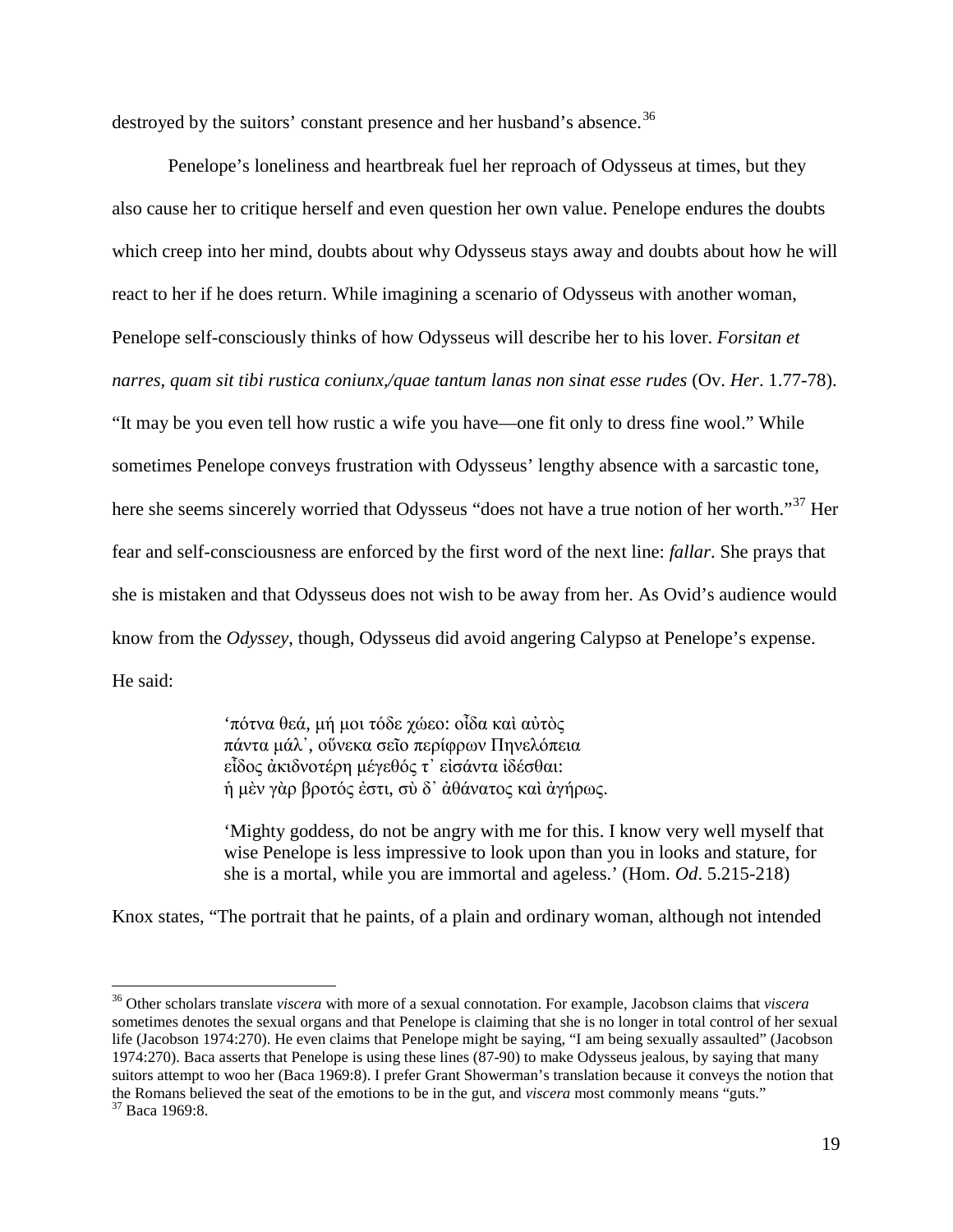destroyed by the suitors' constant presence and her husband's absence.<sup>[36](#page-19-0)</sup>

Penelope's loneliness and heartbreak fuel her reproach of Odysseus at times, but they also cause her to critique herself and even question her own value. Penelope endures the doubts which creep into her mind, doubts about why Odysseus stays away and doubts about how he will react to her if he does return. While imagining a scenario of Odysseus with another woman, Penelope self-consciously thinks of how Odysseus will describe her to his lover. *Forsitan et narres, quam sit tibi rustica coniunx,/quae tantum lanas non sinat esse rudes* (Ov. *Her*. 1.77-78). "It may be you even tell how rustic a wife you have—one fit only to dress fine wool." While sometimes Penelope conveys frustration with Odysseus' lengthy absence with a sarcastic tone, here she seems sincerely worried that Odysseus "does not have a true notion of her worth."<sup>[37](#page-19-1)</sup> Her fear and self-consciousness are enforced by the first word of the next line: *fallar*. She prays that she is mistaken and that Odysseus does not wish to be away from her. As Ovid's audience would know from the *Odyssey*, though, Odysseus did avoid angering Calypso at Penelope's expense. He said:

> '[πότνα](http://www.perseus.tufts.edu/hopper/morph?l=po%2Ftna&la=greek&can=po%2Ftna0&prior=*)odusseu/s) [θεά](http://www.perseus.tufts.edu/hopper/morph?l=qea%2F&la=greek&can=qea%2F0&prior=po/tna), [μή](http://www.perseus.tufts.edu/hopper/morph?l=mh%2F&la=greek&can=mh%2F0&prior=qea/) [μοι](http://www.perseus.tufts.edu/hopper/morph?l=moi&la=greek&can=moi0&prior=mh/) [τόδε](http://www.perseus.tufts.edu/hopper/morph?l=to%2Fde&la=greek&can=to%2Fde1&prior=moi) [χώεο](http://www.perseus.tufts.edu/hopper/morph?l=xw%2Feo&la=greek&can=xw%2Feo0&prior=to/de): [οἶδα](http://www.perseus.tufts.edu/hopper/morph?l=oi%29%3Dda&la=greek&can=oi%29%3Dda0&prior=xw/eo) [καὶ](http://www.perseus.tufts.edu/hopper/morph?l=kai%5C&la=greek&can=kai%5C5&prior=oi)=da) [αὐτὸς](http://www.perseus.tufts.edu/hopper/morph?l=au%29to%5Cs&la=greek&can=au%29to%5Cs0&prior=kai\) [πάντα](http://www.perseus.tufts.edu/hopper/morph?l=pa%2Fnta&la=greek&can=pa%2Fnta1&prior=au)to\s) [μάλ᾽](http://www.perseus.tufts.edu/hopper/morph?l=ma%2Fl%27&la=greek&can=ma%2Fl%270&prior=pa/nta), [οὕνεκα](http://www.perseus.tufts.edu/hopper/morph?l=ou%28%2Fneka&la=greek&can=ou%28%2Fneka0&prior=ma/l) [σεῖο](http://www.perseus.tufts.edu/hopper/morph?l=sei%3Do&la=greek&can=sei%3Do0&prior=ou(/neka) [περίφρων](http://www.perseus.tufts.edu/hopper/morph?l=peri%2Ffrwn&la=greek&can=peri%2Ffrwn0&prior=sei=o) [Πηνελόπεια](http://www.perseus.tufts.edu/hopper/morph?l=*phnelo%2Fpeia&la=greek&can=*phnelo%2Fpeia0&prior=peri/frwn) [εἶδος](http://www.perseus.tufts.edu/hopper/morph?l=ei%29%3Ddos&la=greek&can=ei%29%3Ddos1&prior=*phnelo/peia) [ἀκιδνοτέρη](http://www.perseus.tufts.edu/hopper/morph?l=a%29kidnote%2Frh&la=greek&can=a%29kidnote%2Frh0&prior=ei)=dos) [μέγεθός](http://www.perseus.tufts.edu/hopper/morph?l=me%2Fgeqo%2Fs&la=greek&can=me%2Fgeqo%2Fs0&prior=a)kidnote/rh) [τ᾽](http://www.perseus.tufts.edu/hopper/morph?l=t%27&la=greek&can=t%272&prior=me/geqo/s) [εἰσάντα](http://www.perseus.tufts.edu/hopper/morph?l=ei%29sa%2Fnta&la=greek&can=ei%29sa%2Fnta0&prior=t) [ἰδέσθαι](http://www.perseus.tufts.edu/hopper/morph?l=i%29de%2Fsqai&la=greek&can=i%29de%2Fsqai1&prior=ei)sa/nta): [ἡ](http://www.perseus.tufts.edu/hopper/morph?l=h%28&la=greek&can=h%280&prior=i)de/sqai) [μὲν](http://www.perseus.tufts.edu/hopper/morph?l=me%5Cn&la=greek&can=me%5Cn2&prior=h() [γὰρ](http://www.perseus.tufts.edu/hopper/morph?l=ga%5Cr&la=greek&can=ga%5Cr0&prior=me\n) [βροτός](http://www.perseus.tufts.edu/hopper/morph?l=broto%2Fs&la=greek&can=broto%2Fs0&prior=ga\r) [ἐστι](http://www.perseus.tufts.edu/hopper/morph?l=e%29sti&la=greek&can=e%29sti0&prior=broto/s), [σὺ](http://www.perseus.tufts.edu/hopper/morph?l=su%5C&la=greek&can=su%5C1&prior=e)sti) [δ᾽](http://www.perseus.tufts.edu/hopper/morph?l=d%27&la=greek&can=d%275&prior=su\) [ἀθάνατος](http://www.perseus.tufts.edu/hopper/morph?l=a%29qa%2Fnatos&la=greek&can=a%29qa%2Fnatos0&prior=d) [καὶ](http://www.perseus.tufts.edu/hopper/morph?l=kai%5C&la=greek&can=kai%5C6&prior=a)qa/natos) [ἀγήρως](http://www.perseus.tufts.edu/hopper/morph?l=a%29gh%2Frws&la=greek&can=a%29gh%2Frws0&prior=kai\).

'Mighty goddess, do not be angry with me for this. I know very well myself that wise Penelope is less impressive to look upon than you in looks and stature, for she is a mortal, while you are immortal and ageless.' (Hom. *Od*. 5.215-218)

Knox states, "The portrait that he paints, of a plain and ordinary woman, although not intended

<span id="page-19-1"></span><span id="page-19-0"></span> <sup>36</sup> Other scholars translate *viscera* with more of a sexual connotation. For example, Jacobson claims that *viscera* sometimes denotes the sexual organs and that Penelope is claiming that she is no longer in total control of her sexual life (Jacobson 1974:270). He even claims that Penelope might be saying, "I am being sexually assaulted" (Jacobson 1974:270). Baca asserts that Penelope is using these lines (87-90) to make Odysseus jealous, by saying that many suitors attempt to woo her (Baca 1969:8). I prefer Grant Showerman's translation because it conveys the notion that the Romans believed the seat of the emotions to be in the gut, and *viscera* most commonly means "guts." Baca 1969:8.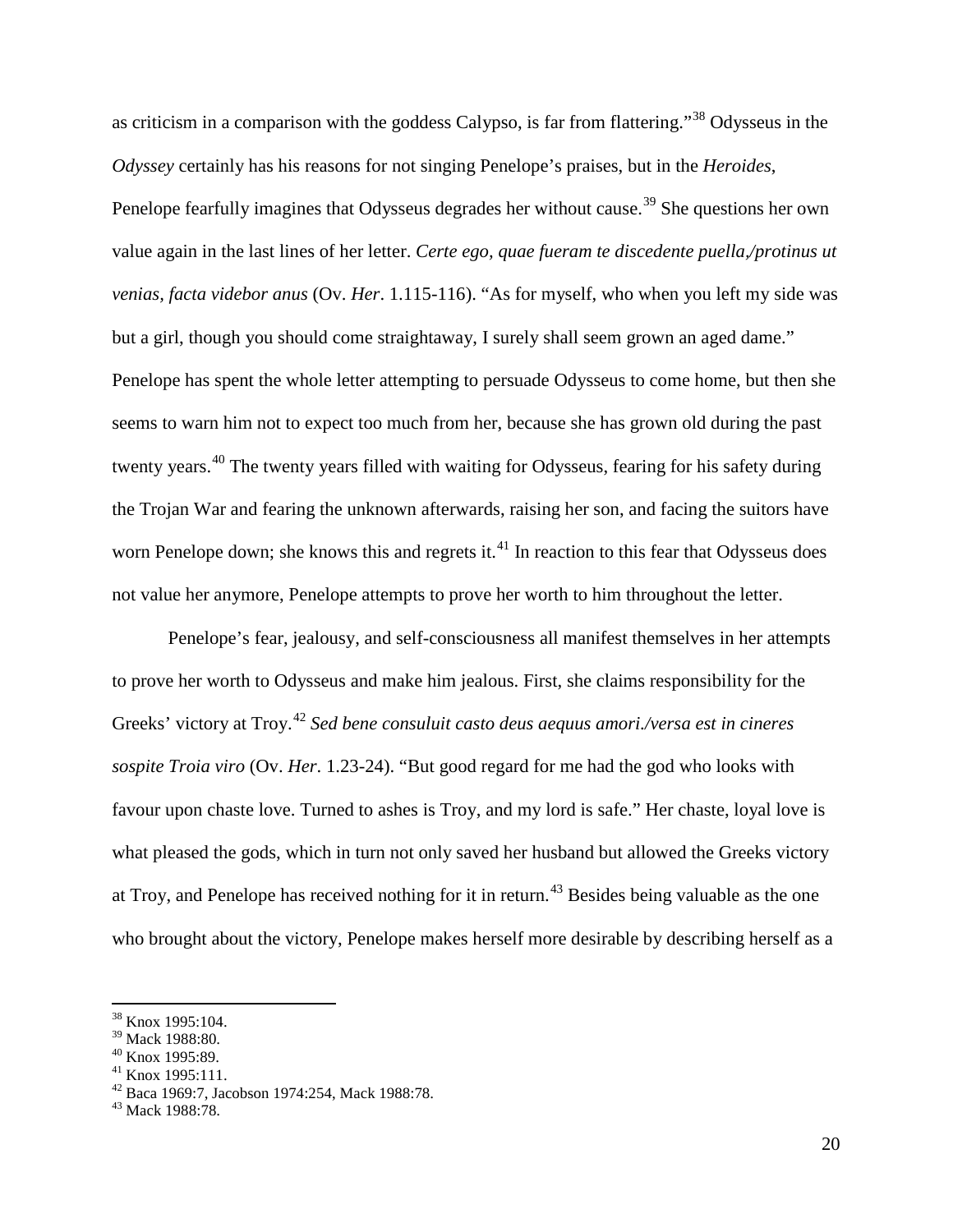as criticism in a comparison with the goddess Calypso, is far from flattering."[38](#page-20-0) Odysseus in the *Odyssey* certainly has his reasons for not singing Penelope's praises, but in the *Heroides*, Penelope fearfully imagines that Odysseus degrades her without cause.<sup>[39](#page-20-1)</sup> She questions her own value again in the last lines of her letter. *Certe ego, quae fueram te discedente puella,/protinus ut venias, facta videbor anus* (Ov. *Her*. 1.115-116). "As for myself, who when you left my side was but a girl, though you should come straightaway, I surely shall seem grown an aged dame." Penelope has spent the whole letter attempting to persuade Odysseus to come home, but then she seems to warn him not to expect too much from her, because she has grown old during the past twenty years.<sup>[40](#page-20-2)</sup> The twenty years filled with waiting for Odysseus, fearing for his safety during the Trojan War and fearing the unknown afterwards, raising her son, and facing the suitors have worn Penelope down; she knows this and regrets it. $41$  In reaction to this fear that Odysseus does not value her anymore, Penelope attempts to prove her worth to him throughout the letter.

Penelope's fear, jealousy, and self-consciousness all manifest themselves in her attempts to prove her worth to Odysseus and make him jealous. First, she claims responsibility for the Greeks' victory at Troy.<sup>[42](#page-20-4)</sup> Sed bene consuluit casto deus aequus amori./versa est in cineres *sospite Troia viro* (Ov. *Her*. 1.23-24). "But good regard for me had the god who looks with favour upon chaste love. Turned to ashes is Troy, and my lord is safe." Her chaste, loyal love is what pleased the gods, which in turn not only saved her husband but allowed the Greeks victory at Troy, and Penelope has received nothing for it in return.<sup>[43](#page-20-5)</sup> Besides being valuable as the one who brought about the victory, Penelope makes herself more desirable by describing herself as a

<span id="page-20-0"></span> $\frac{38}{39}$  Knox 1995:104.<br> $\frac{39}{39}$  Mack 1988:80.

<span id="page-20-4"></span><span id="page-20-3"></span>

<span id="page-20-2"></span><span id="page-20-1"></span><sup>&</sup>lt;sup>40</sup> Knox 1995:89.<br><sup>41</sup> Knox 1995:111.<br><sup>42</sup> Baca 1969:7, Jacobson 1974:254, Mack 1988:78.<br><sup>43</sup> Mack 1988:78.

<span id="page-20-5"></span>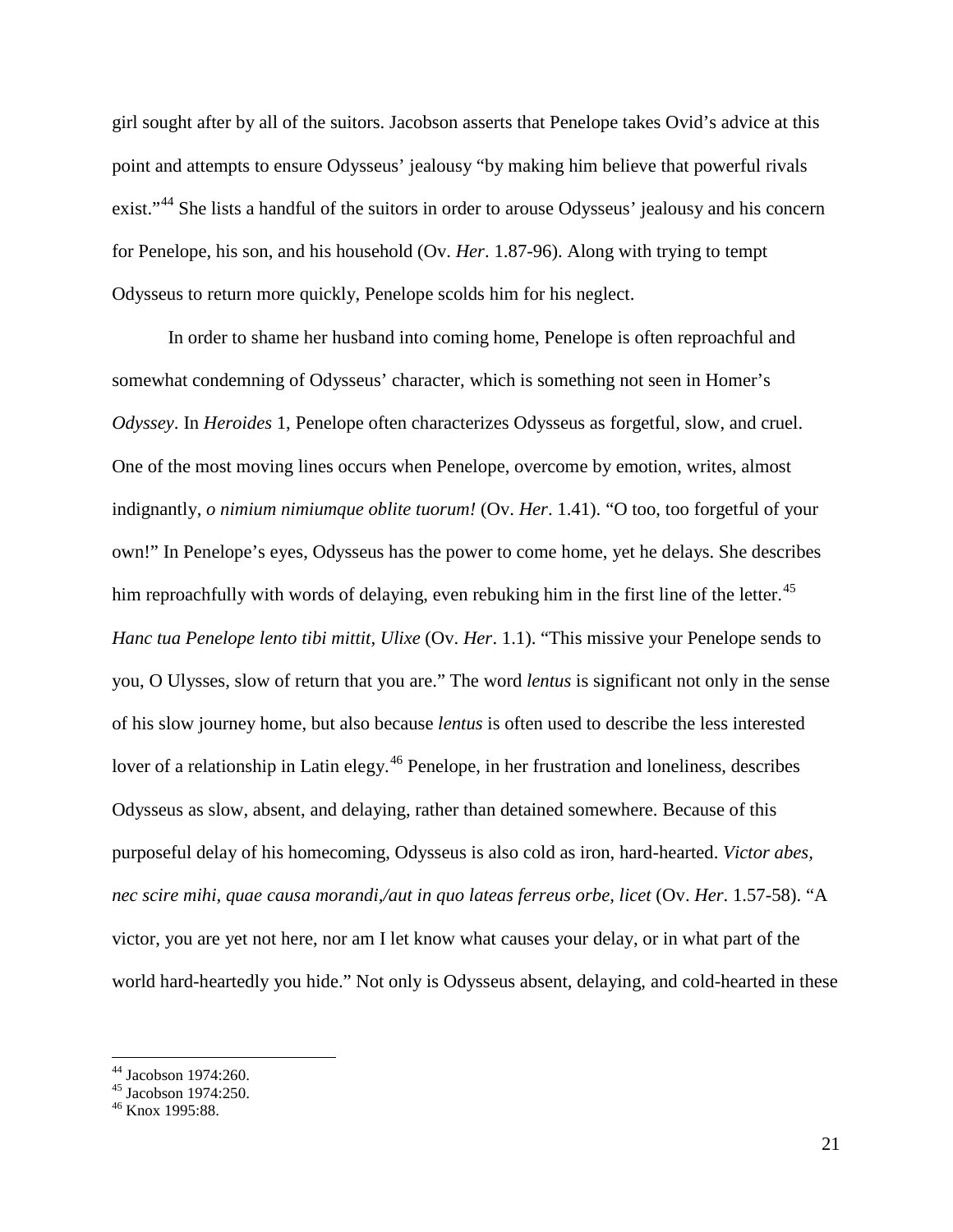girl sought after by all of the suitors. Jacobson asserts that Penelope takes Ovid's advice at this point and attempts to ensure Odysseus' jealousy "by making him believe that powerful rivals exist."<sup>[44](#page-21-0)</sup> She lists a handful of the suitors in order to arouse Odysseus' jealousy and his concern for Penelope, his son, and his household (Ov. *Her*. 1.87-96). Along with trying to tempt Odysseus to return more quickly, Penelope scolds him for his neglect.

In order to shame her husband into coming home, Penelope is often reproachful and somewhat condemning of Odysseus' character, which is something not seen in Homer's *Odyssey*. In *Heroides* 1, Penelope often characterizes Odysseus as forgetful, slow, and cruel. One of the most moving lines occurs when Penelope, overcome by emotion, writes, almost indignantly, *o nimium nimiumque oblite tuorum!* (Ov. *Her*. 1.41). "O too, too forgetful of your own!" In Penelope's eyes, Odysseus has the power to come home, yet he delays. She describes him reproachfully with words of delaying, even rebuking him in the first line of the letter.<sup>[45](#page-21-1)</sup> *Hanc tua Penelope lento tibi mittit, Ulixe* (Ov. *Her*. 1.1). "This missive your Penelope sends to you, O Ulysses, slow of return that you are." The word *lentus* is significant not only in the sense of his slow journey home, but also because *lentus* is often used to describe the less interested lover of a relationship in Latin elegy.<sup>[46](#page-21-2)</sup> Penelope, in her frustration and loneliness, describes Odysseus as slow, absent, and delaying, rather than detained somewhere. Because of this purposeful delay of his homecoming, Odysseus is also cold as iron, hard-hearted. *Victor abes, nec scire mihi, quae causa morandi,/aut in quo lateas ferreus orbe, licet* (Ov. *Her*. 1.57-58). "A victor, you are yet not here, nor am I let know what causes your delay, or in what part of the world hard-heartedly you hide." Not only is Odysseus absent, delaying, and cold-hearted in these

<span id="page-21-0"></span><sup>&</sup>lt;sup>44</sup> Jacobson 1974:260.<br><sup>45</sup> Jacobson 1974:250.<br><sup>46</sup> Knox 1995:88.

<span id="page-21-1"></span>

<span id="page-21-2"></span>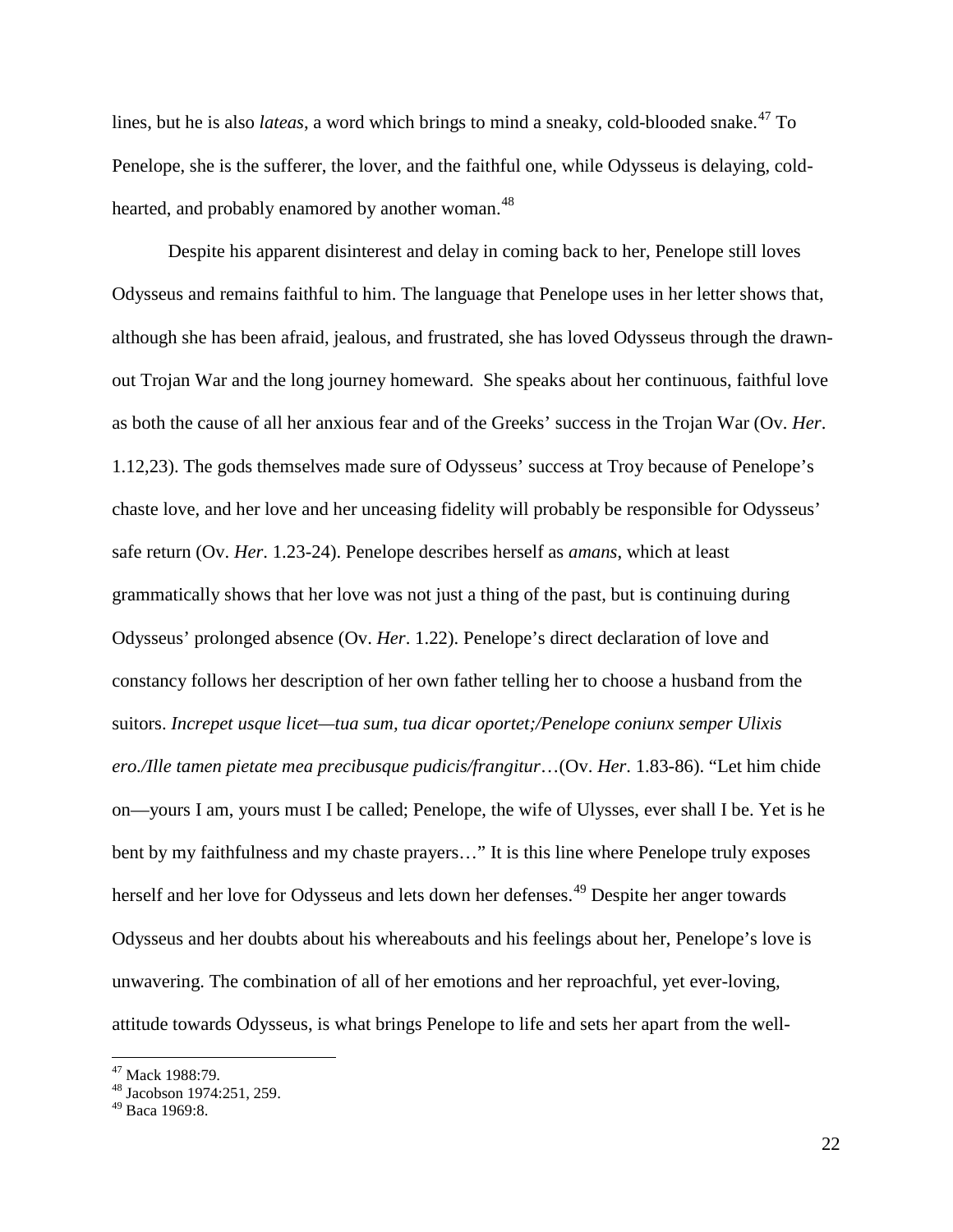lines, but he is also *lateas*, a word which brings to mind a sneaky, cold-blooded snake.<sup>[47](#page-22-0)</sup> To Penelope, she is the sufferer, the lover, and the faithful one, while Odysseus is delaying, cold-hearted, and probably enamored by another woman.<sup>[48](#page-22-1)</sup>

Despite his apparent disinterest and delay in coming back to her, Penelope still loves Odysseus and remains faithful to him. The language that Penelope uses in her letter shows that, although she has been afraid, jealous, and frustrated, she has loved Odysseus through the drawnout Trojan War and the long journey homeward. She speaks about her continuous, faithful love as both the cause of all her anxious fear and of the Greeks' success in the Trojan War (Ov. *Her*. 1.12,23). The gods themselves made sure of Odysseus' success at Troy because of Penelope's chaste love, and her love and her unceasing fidelity will probably be responsible for Odysseus' safe return (Ov. *Her*. 1.23-24). Penelope describes herself as *amans*, which at least grammatically shows that her love was not just a thing of the past, but is continuing during Odysseus' prolonged absence (Ov. *Her*. 1.22). Penelope's direct declaration of love and constancy follows her description of her own father telling her to choose a husband from the suitors. *Increpet usque licet—tua sum, tua dicar oportet;/Penelope coniunx semper Ulixis ero./Ille tamen pietate mea precibusque pudicis/frangitur*…(Ov. *Her*. 1.83-86). "Let him chide on—yours I am, yours must I be called; Penelope, the wife of Ulysses, ever shall I be. Yet is he bent by my faithfulness and my chaste prayers..." It is this line where Penelope truly exposes herself and her love for Odysseus and lets down her defenses.<sup>[49](#page-22-2)</sup> Despite her anger towards Odysseus and her doubts about his whereabouts and his feelings about her, Penelope's love is unwavering. The combination of all of her emotions and her reproachful, yet ever-loving, attitude towards Odysseus, is what brings Penelope to life and sets her apart from the well-

<span id="page-22-1"></span><span id="page-22-0"></span> $^{47}$  Mack 1988:79.<br> $^{48}$  Jacobson 1974:251, 259.

<span id="page-22-2"></span><sup>49</sup> Baca 1969:8.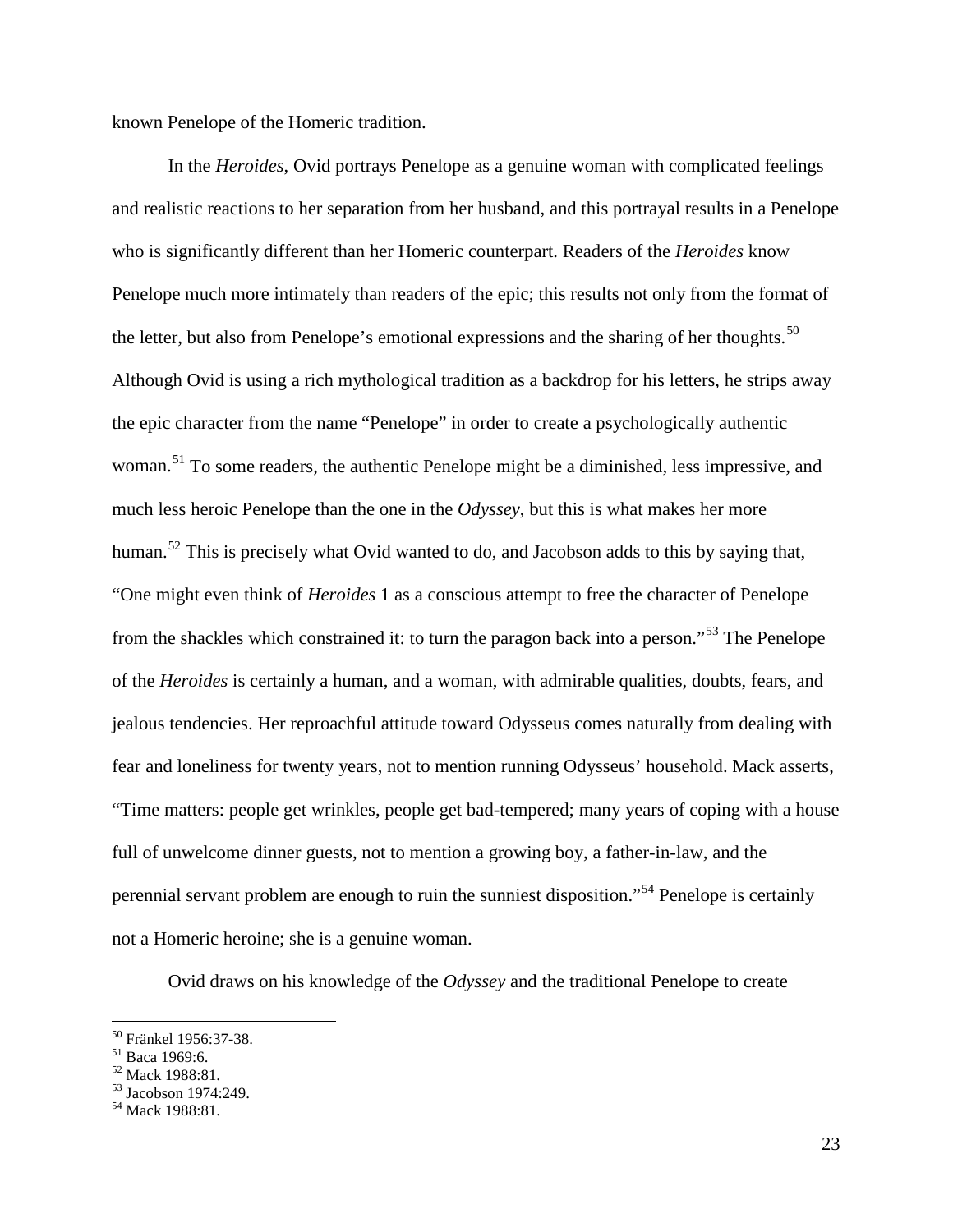known Penelope of the Homeric tradition.

In the *Heroides*, Ovid portrays Penelope as a genuine woman with complicated feelings and realistic reactions to her separation from her husband, and this portrayal results in a Penelope who is significantly different than her Homeric counterpart. Readers of the *Heroides* know Penelope much more intimately than readers of the epic; this results not only from the format of the letter, but also from Penelope's emotional expressions and the sharing of her thoughts.<sup>[50](#page-23-0)</sup> Although Ovid is using a rich mythological tradition as a backdrop for his letters, he strips away the epic character from the name "Penelope" in order to create a psychologically authentic woman.<sup>[51](#page-23-1)</sup> To some readers, the authentic Penelope might be a diminished, less impressive, and much less heroic Penelope than the one in the *Odyssey*, but this is what makes her more human.<sup>[52](#page-23-2)</sup> This is precisely what Ovid wanted to do, and Jacobson adds to this by saying that, "One might even think of *Heroides* 1 as a conscious attempt to free the character of Penelope from the shackles which constrained it: to turn the paragon back into a person."<sup>[53](#page-23-3)</sup> The Penelope of the *Heroides* is certainly a human, and a woman, with admirable qualities, doubts, fears, and jealous tendencies. Her reproachful attitude toward Odysseus comes naturally from dealing with fear and loneliness for twenty years, not to mention running Odysseus' household. Mack asserts, "Time matters: people get wrinkles, people get bad-tempered; many years of coping with a house full of unwelcome dinner guests, not to mention a growing boy, a father-in-law, and the perennial servant problem are enough to ruin the sunniest disposition."[54](#page-23-4) Penelope is certainly not a Homeric heroine; she is a genuine woman.

Ovid draws on his knowledge of the *Odyssey* and the traditional Penelope to create

<span id="page-23-1"></span>

<span id="page-23-3"></span><span id="page-23-2"></span>

<span id="page-23-0"></span><sup>&</sup>lt;sup>50</sup> Fränkel 1956:37-38.<br>
<sup>51</sup> Baca 1969:6.<br>
<sup>52</sup> Mack 1988:81.<br>
<sup>53</sup> Jacobson 1974:249.<br>
<sup>54</sup> Mack 1988:81.

<span id="page-23-4"></span>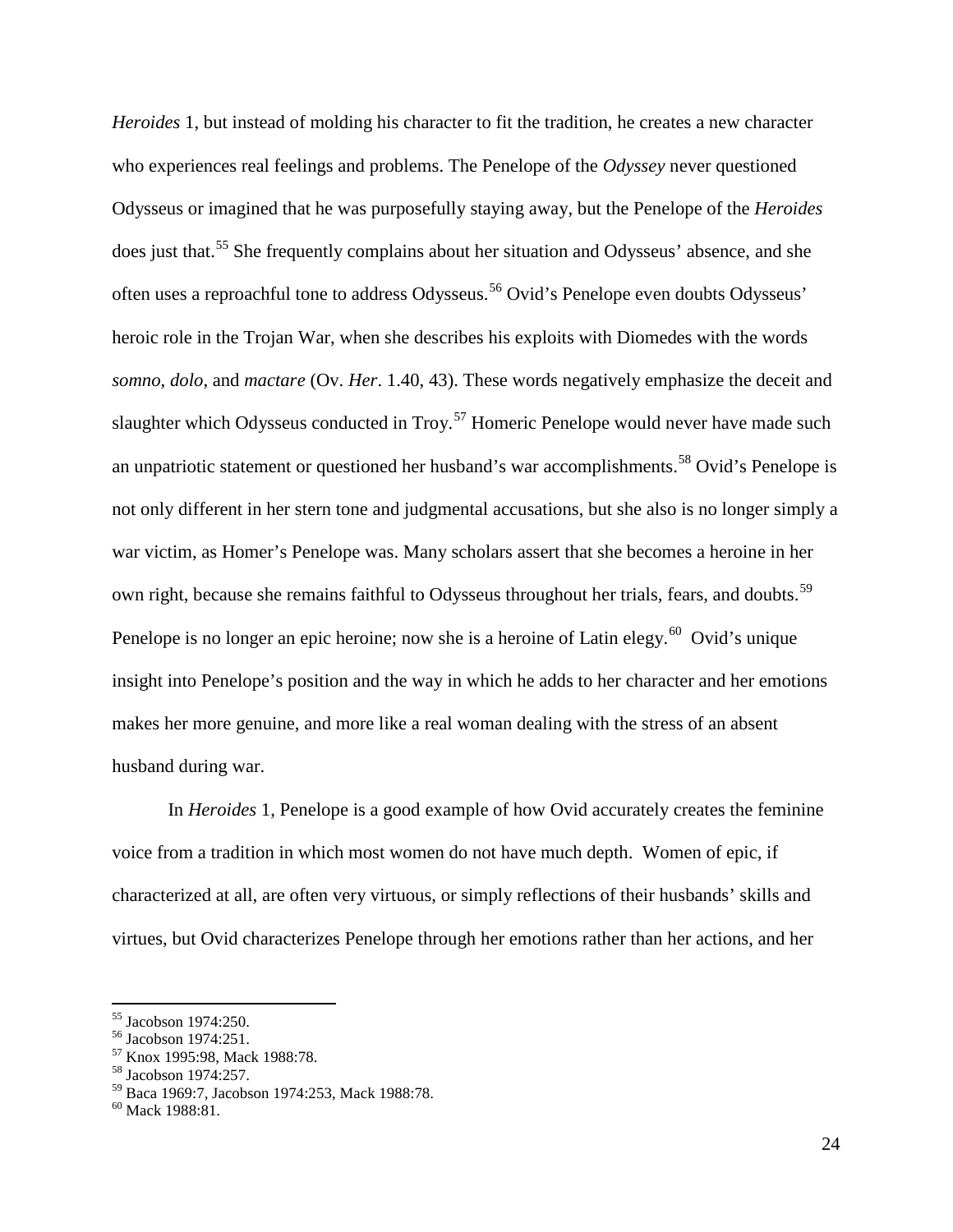*Heroides* 1, but instead of molding his character to fit the tradition, he creates a new character who experiences real feelings and problems. The Penelope of the *Odyssey* never questioned Odysseus or imagined that he was purposefully staying away, but the Penelope of the *Heroides* does just that.<sup>[55](#page-24-0)</sup> She frequently complains about her situation and Odysseus' absence, and she often uses a reproachful tone to address Odysseus.<sup>[56](#page-24-1)</sup> Ovid's Penelope even doubts Odysseus' heroic role in the Trojan War, when she describes his exploits with Diomedes with the words *somno*, *dolo*, and *mactare* (Ov. *Her*. 1.40, 43). These words negatively emphasize the deceit and slaughter which Odysseus conducted in Troy.<sup>[57](#page-24-2)</sup> Homeric Penelope would never have made such an unpatriotic statement or questioned her husband's war accomplishments.<sup>[58](#page-24-3)</sup> Ovid's Penelope is not only different in her stern tone and judgmental accusations, but she also is no longer simply a war victim, as Homer's Penelope was. Many scholars assert that she becomes a heroine in her own right, because she remains faithful to Odysseus throughout her trials, fears, and doubts.<sup>[59](#page-24-4)</sup> Penelope is no longer an epic heroine; now she is a heroine of Latin elegy.<sup>[60](#page-24-5)</sup> Ovid's unique insight into Penelope's position and the way in which he adds to her character and her emotions makes her more genuine, and more like a real woman dealing with the stress of an absent husband during war.

In *Heroides* 1, Penelope is a good example of how Ovid accurately creates the feminine voice from a tradition in which most women do not have much depth. Women of epic, if characterized at all, are often very virtuous, or simply reflections of their husbands' skills and virtues, but Ovid characterizes Penelope through her emotions rather than her actions, and her

<span id="page-24-2"></span><span id="page-24-1"></span>

<span id="page-24-0"></span><sup>&</sup>lt;sup>55</sup> Jacobson 1974:250.<br><sup>56</sup> Jacobson 1974:251.<br><sup>57</sup> Knox 1995:98, Mack 1988:78.<br><sup>58</sup> Jacobson 1974:257.

<span id="page-24-4"></span><span id="page-24-3"></span> $^{59}$  Baca 1969:7, Jacobson 1974:253, Mack 1988:78. 60 Mack 1988:81.

<span id="page-24-5"></span>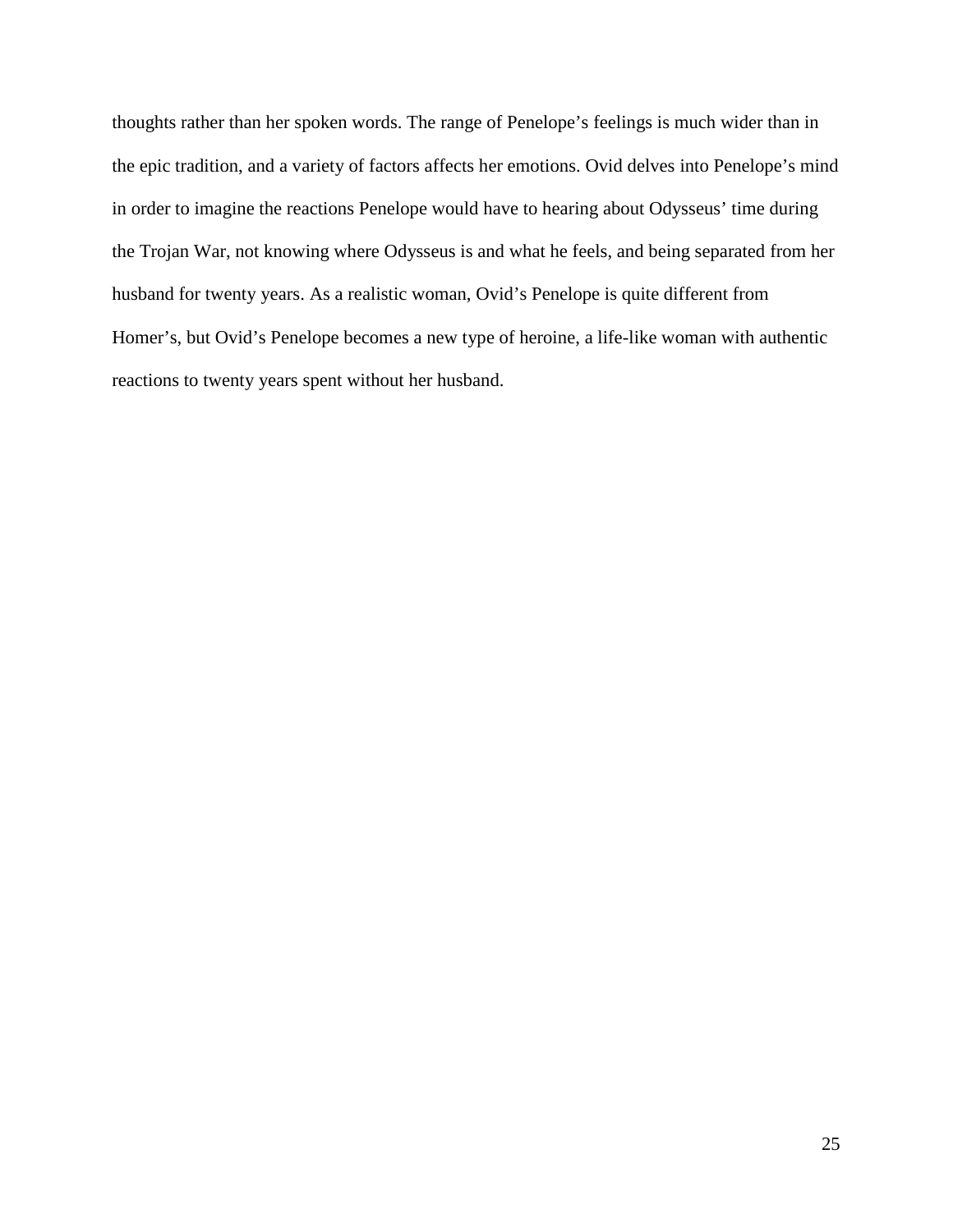thoughts rather than her spoken words. The range of Penelope's feelings is much wider than in the epic tradition, and a variety of factors affects her emotions. Ovid delves into Penelope's mind in order to imagine the reactions Penelope would have to hearing about Odysseus' time during the Trojan War, not knowing where Odysseus is and what he feels, and being separated from her husband for twenty years. As a realistic woman, Ovid's Penelope is quite different from Homer's, but Ovid's Penelope becomes a new type of heroine, a life-like woman with authentic reactions to twenty years spent without her husband.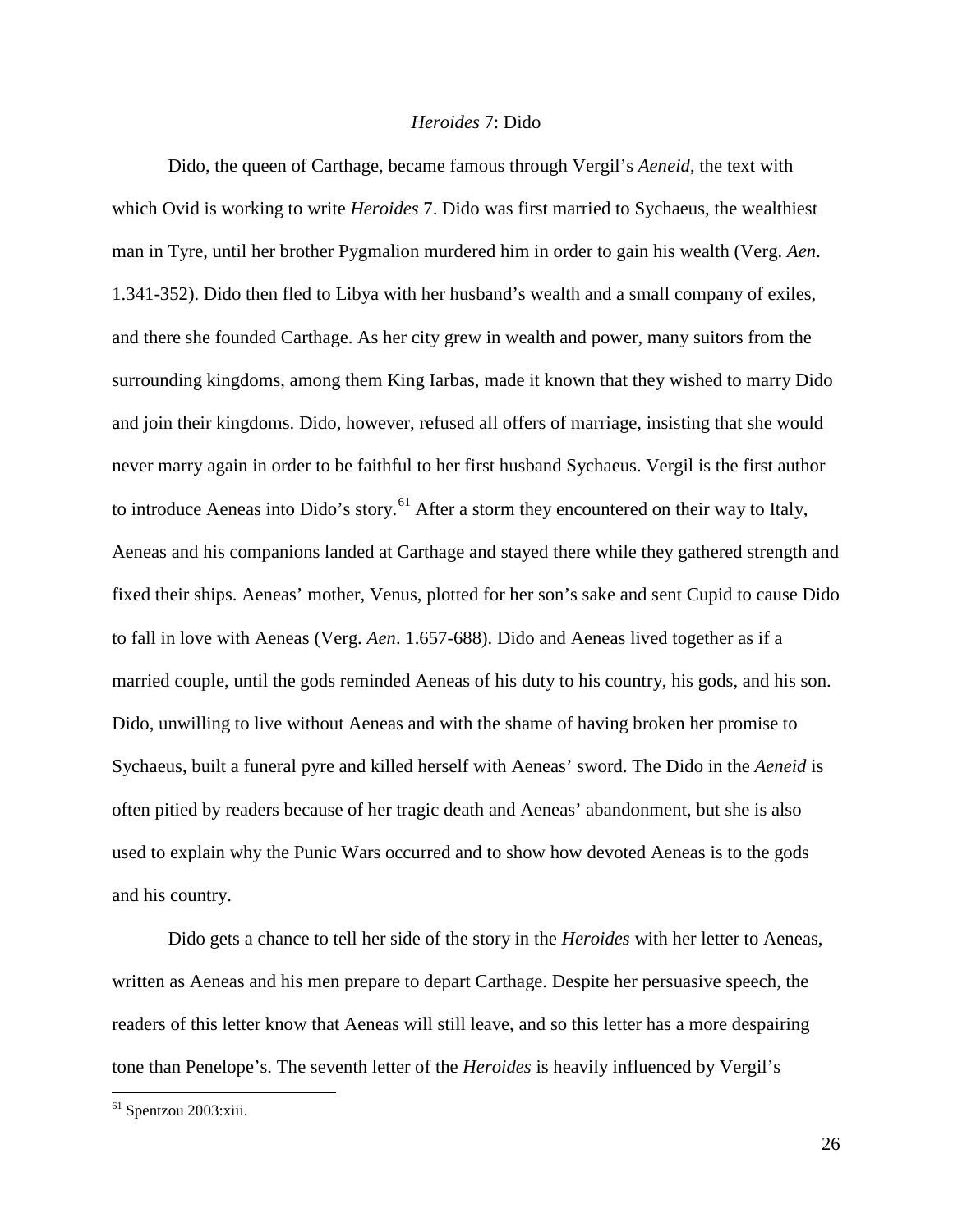## *Heroides* 7: Dido

Dido, the queen of Carthage, became famous through Vergil's *Aeneid*, the text with which Ovid is working to write *Heroides* 7. Dido was first married to Sychaeus, the wealthiest man in Tyre, until her brother Pygmalion murdered him in order to gain his wealth (Verg. *Aen*. 1.341-352). Dido then fled to Libya with her husband's wealth and a small company of exiles, and there she founded Carthage. As her city grew in wealth and power, many suitors from the surrounding kingdoms, among them King Iarbas, made it known that they wished to marry Dido and join their kingdoms. Dido, however, refused all offers of marriage, insisting that she would never marry again in order to be faithful to her first husband Sychaeus. Vergil is the first author to introduce Aeneas into Dido's story.<sup>[61](#page-26-0)</sup> After a storm they encountered on their way to Italy, Aeneas and his companions landed at Carthage and stayed there while they gathered strength and fixed their ships. Aeneas' mother, Venus, plotted for her son's sake and sent Cupid to cause Dido to fall in love with Aeneas (Verg. *Aen*. 1.657-688). Dido and Aeneas lived together as if a married couple, until the gods reminded Aeneas of his duty to his country, his gods, and his son. Dido, unwilling to live without Aeneas and with the shame of having broken her promise to Sychaeus, built a funeral pyre and killed herself with Aeneas' sword. The Dido in the *Aeneid* is often pitied by readers because of her tragic death and Aeneas' abandonment, but she is also used to explain why the Punic Wars occurred and to show how devoted Aeneas is to the gods and his country.

Dido gets a chance to tell her side of the story in the *Heroides* with her letter to Aeneas, written as Aeneas and his men prepare to depart Carthage. Despite her persuasive speech, the readers of this letter know that Aeneas will still leave, and so this letter has a more despairing tone than Penelope's. The seventh letter of the *Heroides* is heavily influenced by Vergil's

<span id="page-26-0"></span> <sup>61</sup> Spentzou 2003:xiii.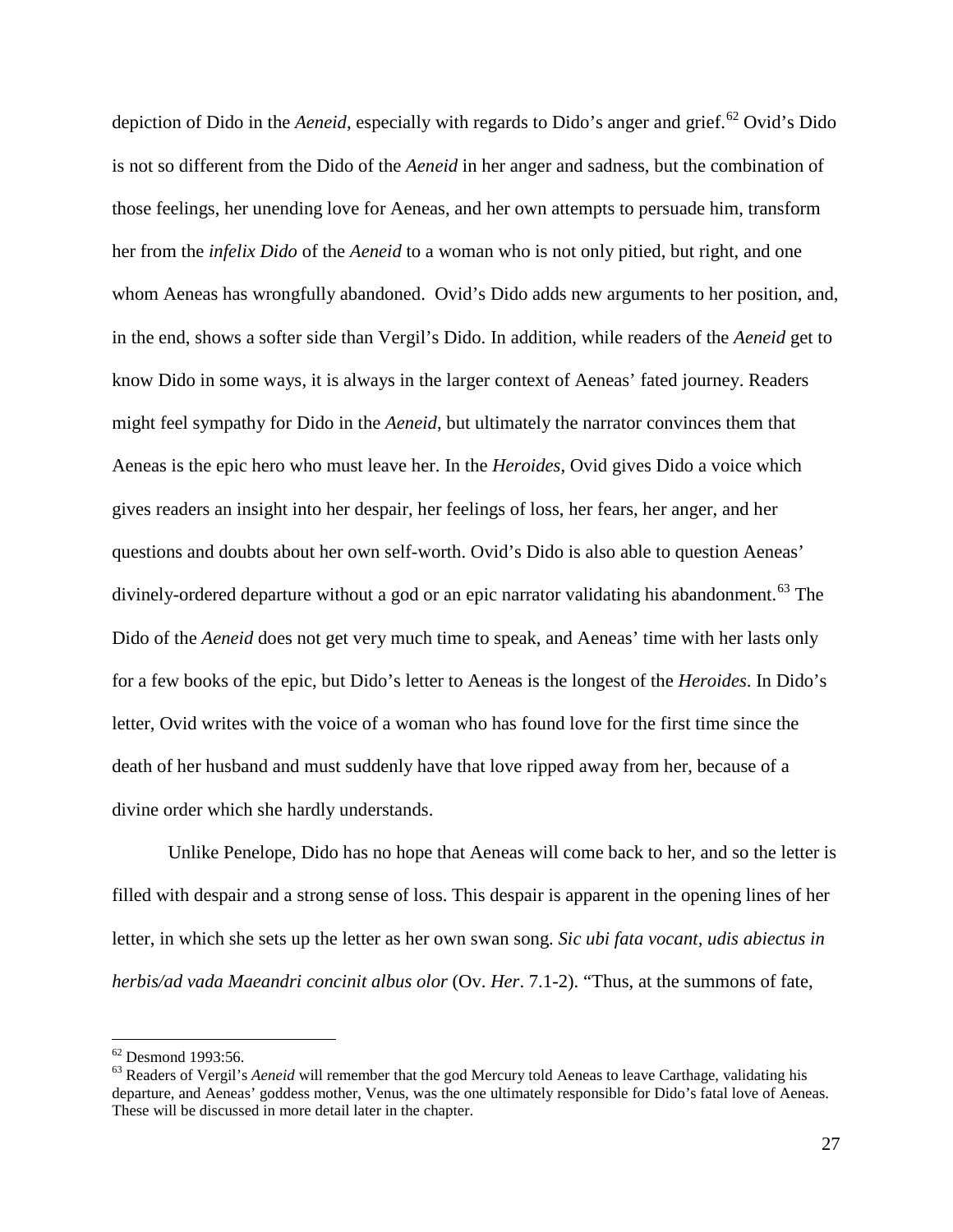depiction of Dido in the *Aeneid*, especially with regards to Dido's anger and grief.<sup>[62](#page-27-0)</sup> Ovid's Dido is not so different from the Dido of the *Aeneid* in her anger and sadness, but the combination of those feelings, her unending love for Aeneas, and her own attempts to persuade him, transform her from the *infelix Dido* of the *Aeneid* to a woman who is not only pitied, but right, and one whom Aeneas has wrongfully abandoned. Ovid's Dido adds new arguments to her position, and, in the end, shows a softer side than Vergil's Dido. In addition, while readers of the *Aeneid* get to know Dido in some ways, it is always in the larger context of Aeneas' fated journey. Readers might feel sympathy for Dido in the *Aeneid*, but ultimately the narrator convinces them that Aeneas is the epic hero who must leave her. In the *Heroides*, Ovid gives Dido a voice which gives readers an insight into her despair, her feelings of loss, her fears, her anger, and her questions and doubts about her own self-worth. Ovid's Dido is also able to question Aeneas' divinely-ordered departure without a god or an epic narrator validating his abandonment.<sup>[63](#page-27-1)</sup> The Dido of the *Aeneid* does not get very much time to speak, and Aeneas' time with her lasts only for a few books of the epic, but Dido's letter to Aeneas is the longest of the *Heroides*. In Dido's letter, Ovid writes with the voice of a woman who has found love for the first time since the death of her husband and must suddenly have that love ripped away from her, because of a divine order which she hardly understands.

Unlike Penelope, Dido has no hope that Aeneas will come back to her, and so the letter is filled with despair and a strong sense of loss. This despair is apparent in the opening lines of her letter, in which she sets up the letter as her own swan song. *Sic ubi fata vocant, udis abiectus in herbis/ad vada Maeandri concinit albus olor* (Ov. *Her*. 7.1-2). "Thus, at the summons of fate,

<span id="page-27-1"></span><span id="page-27-0"></span><sup>&</sup>lt;sup>62</sup> Desmond 1993:56.<br><sup>63</sup> Readers of Vergil's *Aeneid* will remember that the god Mercury told Aeneas to leave Carthage, validating his departure, and Aeneas' goddess mother, Venus, was the one ultimately responsible for Dido's fatal love of Aeneas. These will be discussed in more detail later in the chapter.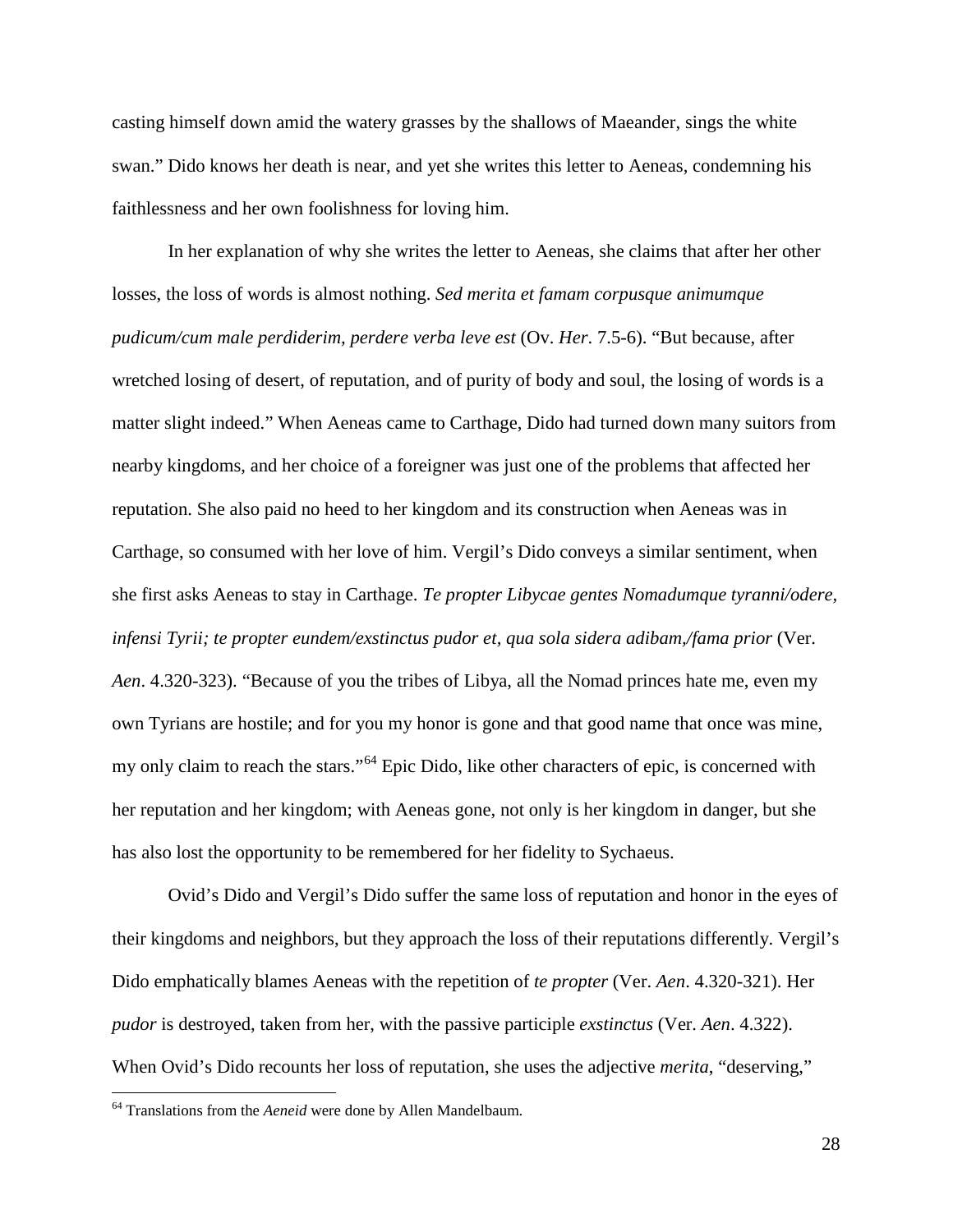casting himself down amid the watery grasses by the shallows of Maeander, sings the white swan." Dido knows her death is near, and yet she writes this letter to Aeneas, condemning his faithlessness and her own foolishness for loving him.

In her explanation of why she writes the letter to Aeneas, she claims that after her other losses, the loss of words is almost nothing. *Sed merita et famam corpusque animumque pudicum/cum male perdiderim, perdere verba leve est* (Ov. *Her*. 7.5-6). "But because, after wretched losing of desert, of reputation, and of purity of body and soul, the losing of words is a matter slight indeed." When Aeneas came to Carthage, Dido had turned down many suitors from nearby kingdoms, and her choice of a foreigner was just one of the problems that affected her reputation. She also paid no heed to her kingdom and its construction when Aeneas was in Carthage, so consumed with her love of him. Vergil's Dido conveys a similar sentiment, when she first asks Aeneas to stay in Carthage. *Te propter Libycae gentes Nomadumque tyranni/odere, infensi Tyrii; te propter eundem/exstinctus pudor et, qua sola sidera adibam,/fama prior* (Ver. *Aen*. 4.320-323). "Because of you the tribes of Libya, all the Nomad princes hate me, even my own Tyrians are hostile; and for you my honor is gone and that good name that once was mine, my only claim to reach the stars."<sup>[64](#page-28-0)</sup> Epic Dido, like other characters of epic, is concerned with her reputation and her kingdom; with Aeneas gone, not only is her kingdom in danger, but she has also lost the opportunity to be remembered for her fidelity to Sychaeus.

Ovid's Dido and Vergil's Dido suffer the same loss of reputation and honor in the eyes of their kingdoms and neighbors, but they approach the loss of their reputations differently. Vergil's Dido emphatically blames Aeneas with the repetition of *te propter* (Ver. *Aen*. 4.320-321). Her *pudor* is destroyed, taken from her, with the passive participle *exstinctus* (Ver. *Aen*. 4.322). When Ovid's Dido recounts her loss of reputation, she uses the adjective *merita*, "deserving,"

<span id="page-28-0"></span><sup>&</sup>lt;sup>64</sup> Translations from the *Aeneid* were done by Allen Mandelbaum.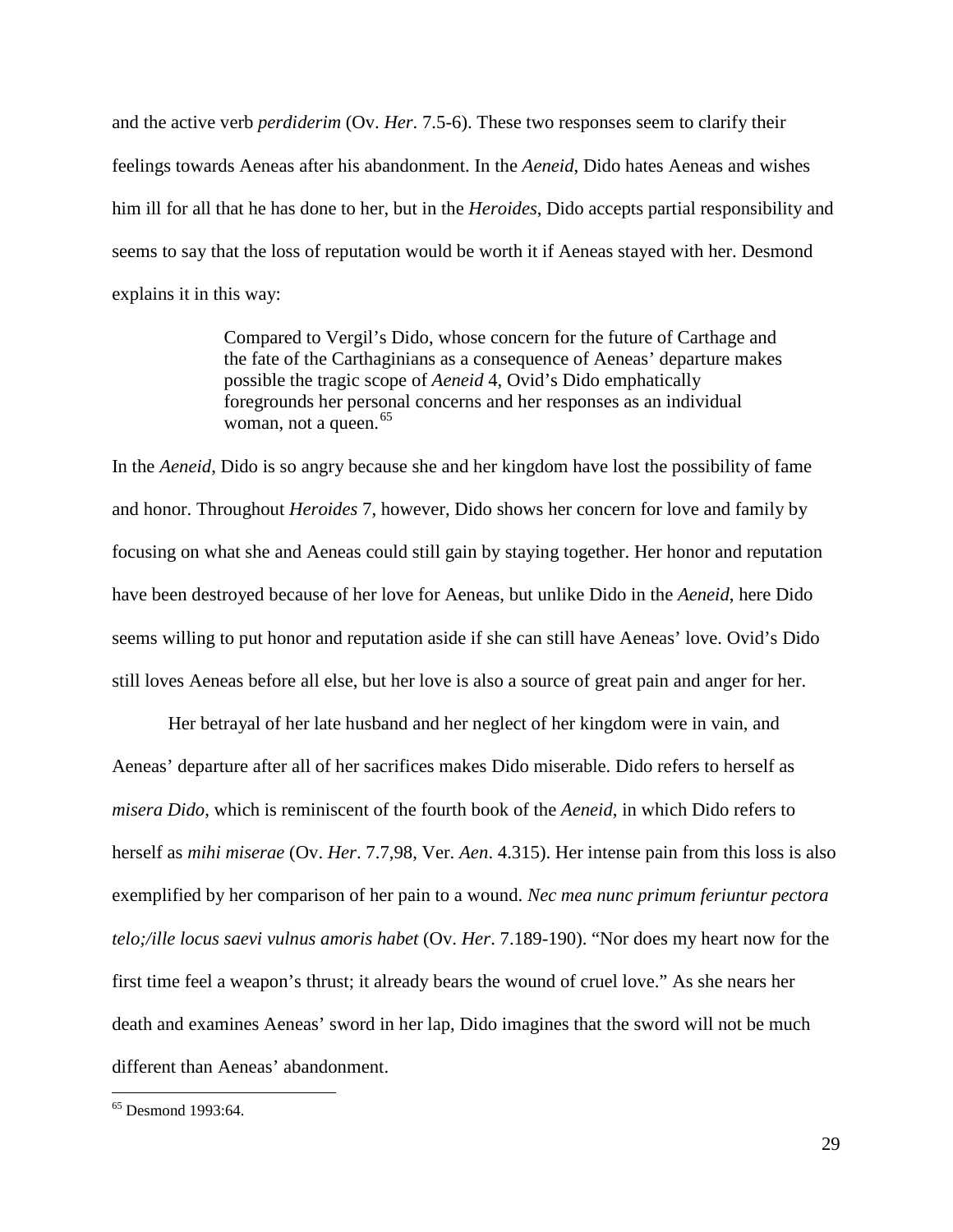and the active verb *perdiderim* (Ov. *Her*. 7.5-6). These two responses seem to clarify their feelings towards Aeneas after his abandonment. In the *Aeneid*, Dido hates Aeneas and wishes him ill for all that he has done to her, but in the *Heroides*, Dido accepts partial responsibility and seems to say that the loss of reputation would be worth it if Aeneas stayed with her. Desmond explains it in this way:

> Compared to Vergil's Dido, whose concern for the future of Carthage and the fate of the Carthaginians as a consequence of Aeneas' departure makes possible the tragic scope of *Aeneid* 4, Ovid's Dido emphatically foregrounds her personal concerns and her responses as an individual woman, not a queen.<sup>[65](#page-29-0)</sup>

In the *Aeneid*, Dido is so angry because she and her kingdom have lost the possibility of fame and honor. Throughout *Heroides* 7, however, Dido shows her concern for love and family by focusing on what she and Aeneas could still gain by staying together. Her honor and reputation have been destroyed because of her love for Aeneas, but unlike Dido in the *Aeneid*, here Dido seems willing to put honor and reputation aside if she can still have Aeneas' love. Ovid's Dido still loves Aeneas before all else, but her love is also a source of great pain and anger for her.

Her betrayal of her late husband and her neglect of her kingdom were in vain, and Aeneas' departure after all of her sacrifices makes Dido miserable. Dido refers to herself as *misera Dido*, which is reminiscent of the fourth book of the *Aeneid*, in which Dido refers to herself as *mihi miserae* (Ov. *Her*. 7.7,98, Ver. *Aen*. 4.315). Her intense pain from this loss is also exemplified by her comparison of her pain to a wound. *Nec mea nunc primum feriuntur pectora telo;/ille locus saevi vulnus amoris habet* (Ov. *Her*. 7.189-190). "Nor does my heart now for the first time feel a weapon's thrust; it already bears the wound of cruel love." As she nears her death and examines Aeneas' sword in her lap, Dido imagines that the sword will not be much different than Aeneas' abandonment.

<span id="page-29-0"></span> <sup>65</sup> Desmond 1993:64.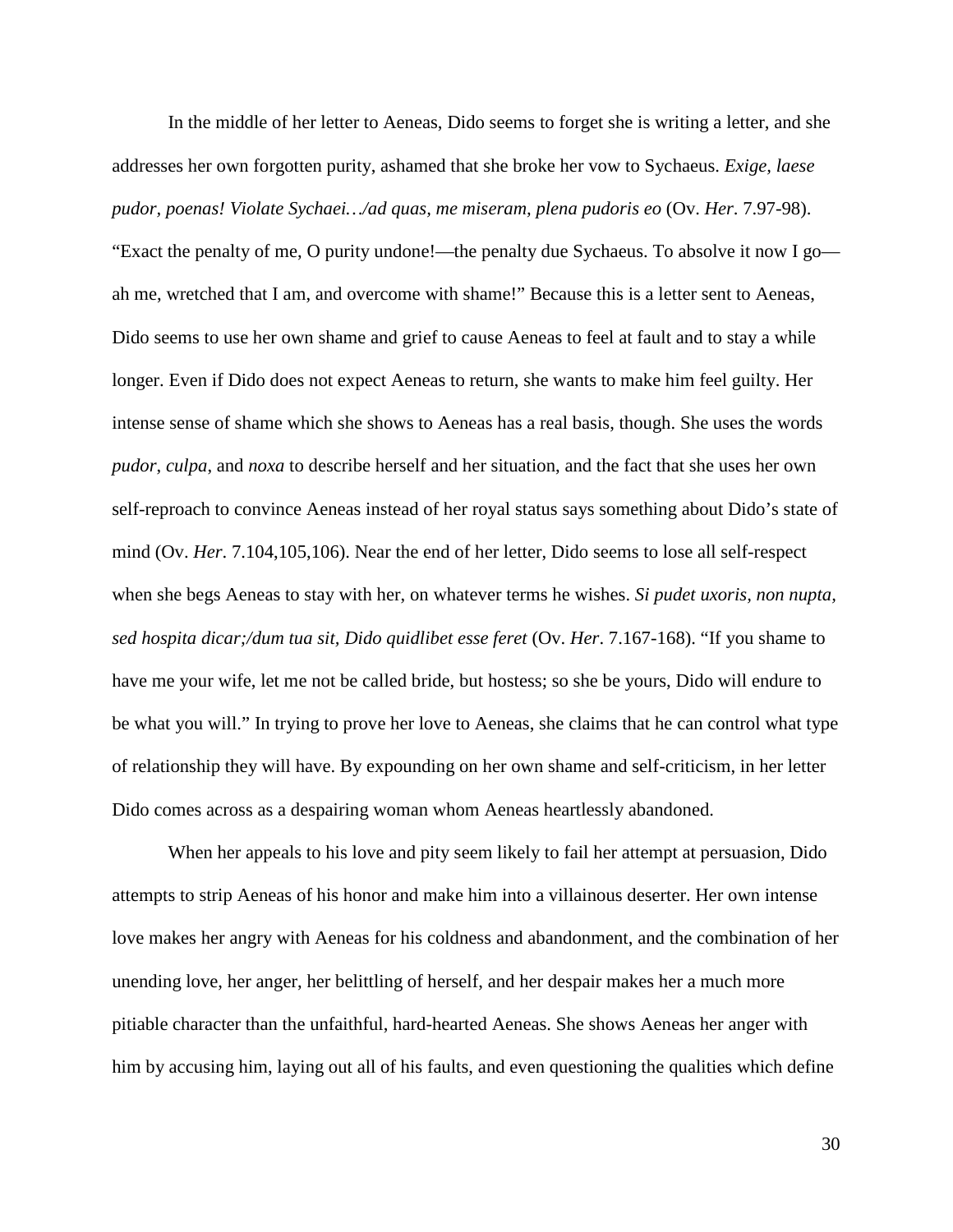In the middle of her letter to Aeneas, Dido seems to forget she is writing a letter, and she addresses her own forgotten purity, ashamed that she broke her vow to Sychaeus. *Exige, laese pudor, poenas! Violate Sychaei…/ad quas, me miseram, plena pudoris eo* (Ov. *Her*. 7.97-98).

"Exact the penalty of me, O purity undone!—the penalty due Sychaeus. To absolve it now I go ah me, wretched that I am, and overcome with shame!" Because this is a letter sent to Aeneas, Dido seems to use her own shame and grief to cause Aeneas to feel at fault and to stay a while longer. Even if Dido does not expect Aeneas to return, she wants to make him feel guilty. Her intense sense of shame which she shows to Aeneas has a real basis, though. She uses the words *pudor*, *culpa*, and *noxa* to describe herself and her situation, and the fact that she uses her own self-reproach to convince Aeneas instead of her royal status says something about Dido's state of mind (Ov. *Her*. 7.104,105,106). Near the end of her letter, Dido seems to lose all self-respect when she begs Aeneas to stay with her, on whatever terms he wishes. *Si pudet uxoris, non nupta, sed hospita dicar;/dum tua sit, Dido quidlibet esse feret* (Ov. *Her*. 7.167-168). "If you shame to have me your wife, let me not be called bride, but hostess; so she be yours, Dido will endure to be what you will." In trying to prove her love to Aeneas, she claims that he can control what type of relationship they will have. By expounding on her own shame and self-criticism, in her letter Dido comes across as a despairing woman whom Aeneas heartlessly abandoned.

When her appeals to his love and pity seem likely to fail her attempt at persuasion, Dido attempts to strip Aeneas of his honor and make him into a villainous deserter. Her own intense love makes her angry with Aeneas for his coldness and abandonment, and the combination of her unending love, her anger, her belittling of herself, and her despair makes her a much more pitiable character than the unfaithful, hard-hearted Aeneas. She shows Aeneas her anger with him by accusing him, laying out all of his faults, and even questioning the qualities which define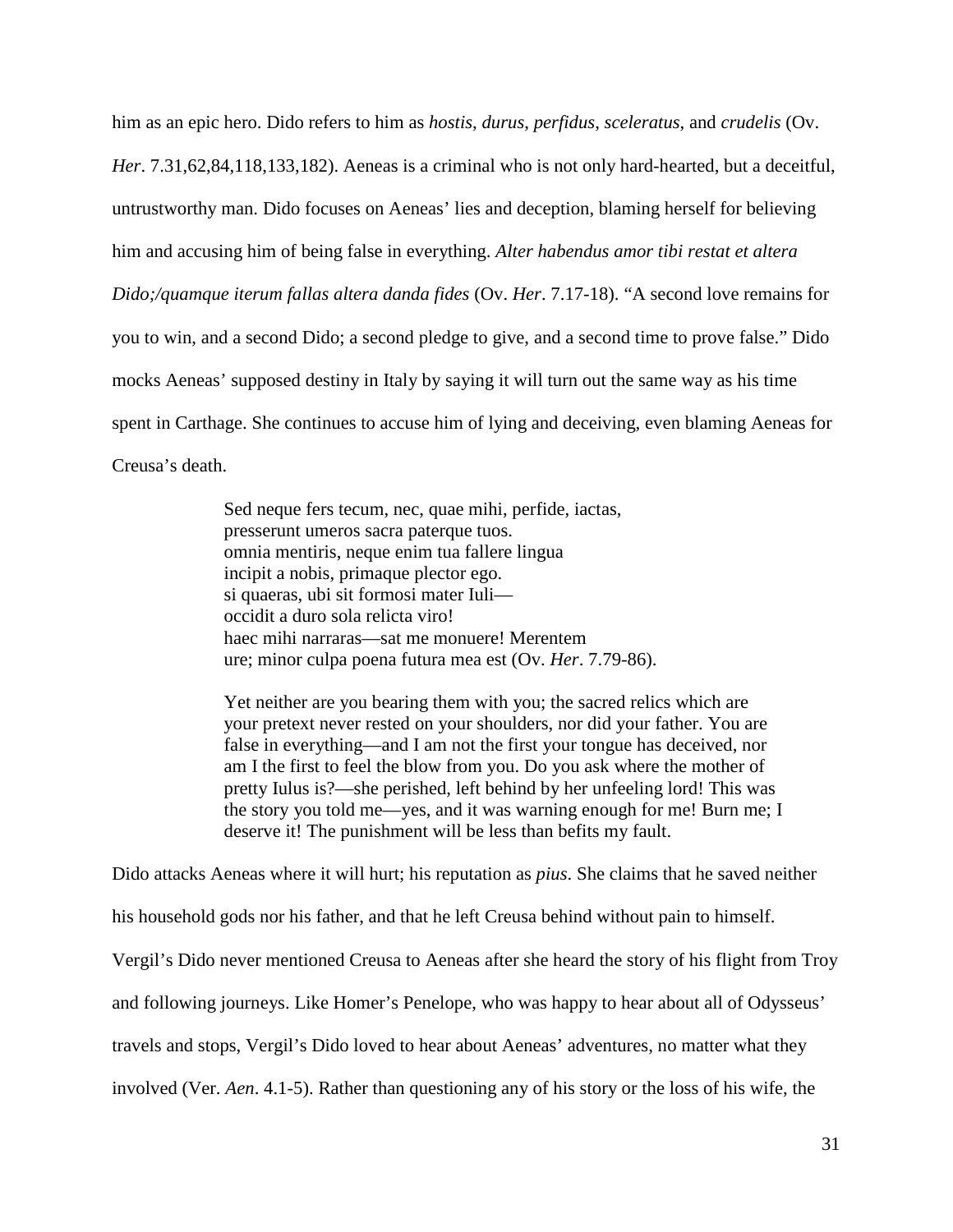him as an epic hero. Dido refers to him as *hostis*, *durus*, *perfidus*, *sceleratus*, and *crudelis* (Ov. *Her*. 7.31,62,84,118,133,182). Aeneas is a criminal who is not only hard-hearted, but a deceitful, untrustworthy man. Dido focuses on Aeneas' lies and deception, blaming herself for believing him and accusing him of being false in everything. *Alter habendus amor tibi restat et altera Dido;/quamque iterum fallas altera danda fides* (Ov. *Her*. 7.17-18). "A second love remains for you to win, and a second Dido; a second pledge to give, and a second time to prove false." Dido mocks Aeneas' supposed destiny in Italy by saying it will turn out the same way as his time spent in Carthage. She continues to accuse him of lying and deceiving, even blaming Aeneas for Creusa's death.

> Sed neque fers tecum, nec, quae mihi, perfide, iactas, presserunt umeros sacra paterque tuos. omnia mentiris, neque enim tua fallere lingua incipit a nobis, primaque plector ego. si quaeras, ubi sit formosi mater Iuli occidit a duro sola relicta viro! haec mihi narraras—sat me monuere! Merentem ure; minor culpa poena futura mea est (Ov. *Her*. 7.79-86).

Yet neither are you bearing them with you; the sacred relics which are your pretext never rested on your shoulders, nor did your father. You are false in everything—and I am not the first your tongue has deceived, nor am I the first to feel the blow from you. Do you ask where the mother of pretty Iulus is?—she perished, left behind by her unfeeling lord! This was the story you told me—yes, and it was warning enough for me! Burn me; I deserve it! The punishment will be less than befits my fault.

Dido attacks Aeneas where it will hurt; his reputation as *pius*. She claims that he saved neither his household gods nor his father, and that he left Creusa behind without pain to himself. Vergil's Dido never mentioned Creusa to Aeneas after she heard the story of his flight from Troy and following journeys. Like Homer's Penelope, who was happy to hear about all of Odysseus' travels and stops, Vergil's Dido loved to hear about Aeneas' adventures, no matter what they involved (Ver. *Aen*. 4.1-5). Rather than questioning any of his story or the loss of his wife, the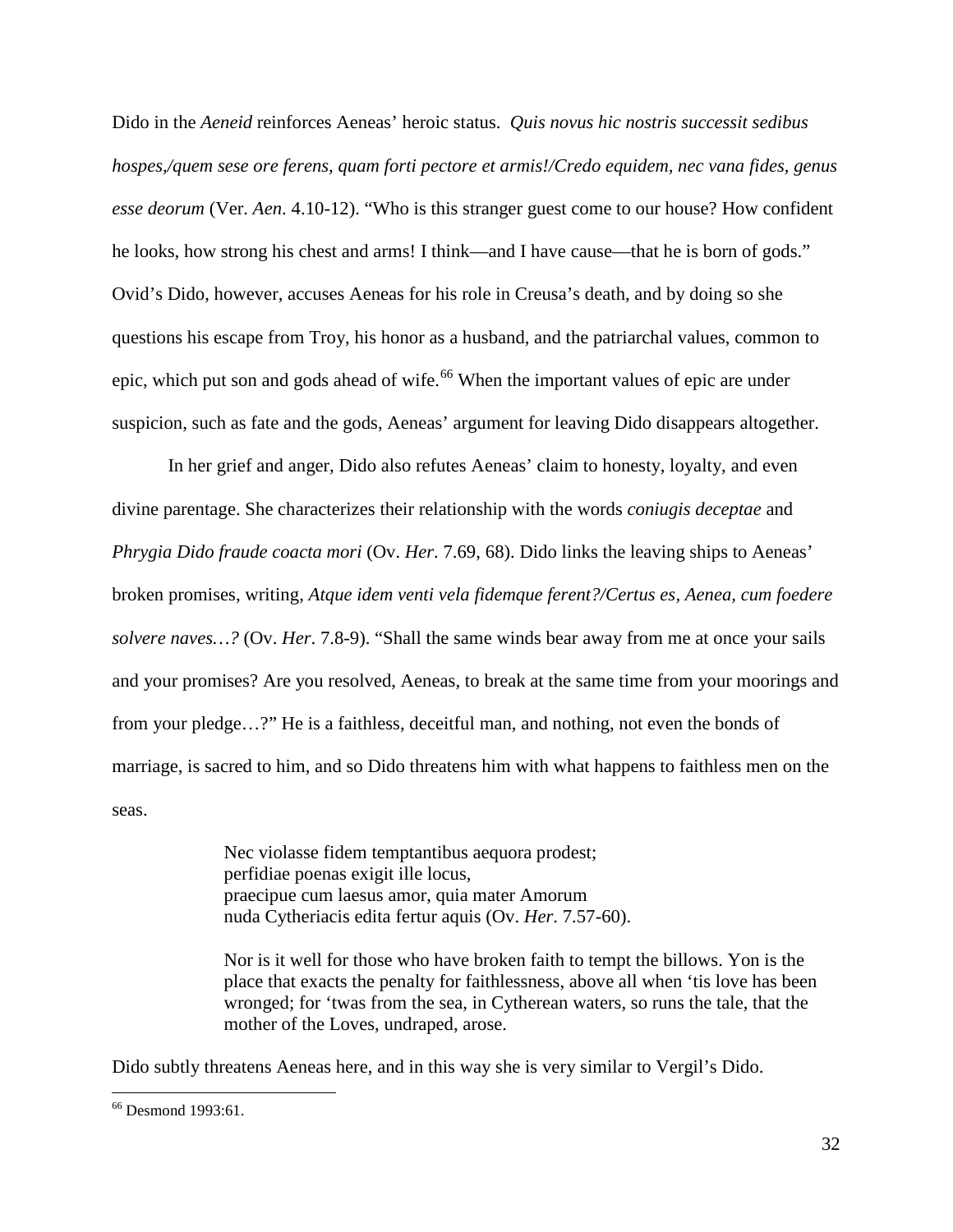Dido in the *Aeneid* reinforces Aeneas' heroic status. *Quis novus hic nostris successit sedibus hospes,/quem sese ore ferens, quam forti pectore et armis!/Credo equidem, nec vana fides, genus esse deorum* (Ver. *Aen*. 4.10-12). "Who is this stranger guest come to our house? How confident he looks, how strong his chest and arms! I think—and I have cause—that he is born of gods." Ovid's Dido, however, accuses Aeneas for his role in Creusa's death, and by doing so she questions his escape from Troy, his honor as a husband, and the patriarchal values, common to epic, which put son and gods ahead of wife.<sup>[66](#page-32-0)</sup> When the important values of epic are under suspicion, such as fate and the gods, Aeneas' argument for leaving Dido disappears altogether.

In her grief and anger, Dido also refutes Aeneas' claim to honesty, loyalty, and even divine parentage. She characterizes their relationship with the words *coniugis deceptae* and *Phrygia Dido fraude coacta mori* (Ov. *Her*. 7.69, 68). Dido links the leaving ships to Aeneas' broken promises, writing, *Atque idem venti vela fidemque ferent?/Certus es, Aenea, cum foedere solvere naves…?* (Ov. *Her*. 7.8-9). "Shall the same winds bear away from me at once your sails and your promises? Are you resolved, Aeneas, to break at the same time from your moorings and from your pledge…?" He is a faithless, deceitful man, and nothing, not even the bonds of marriage, is sacred to him, and so Dido threatens him with what happens to faithless men on the seas.

> Nec violasse fidem temptantibus aequora prodest; perfidiae poenas exigit ille locus, praecipue cum laesus amor, quia mater Amorum nuda Cytheriacis edita fertur aquis (Ov. *Her*. 7.57-60).

Nor is it well for those who have broken faith to tempt the billows. Yon is the place that exacts the penalty for faithlessness, above all when 'tis love has been wronged; for 'twas from the sea, in Cytherean waters, so runs the tale, that the mother of the Loves, undraped, arose.

Dido subtly threatens Aeneas here, and in this way she is very similar to Vergil's Dido.

<span id="page-32-0"></span><sup>&</sup>lt;sup>66</sup> Desmond 1993:61.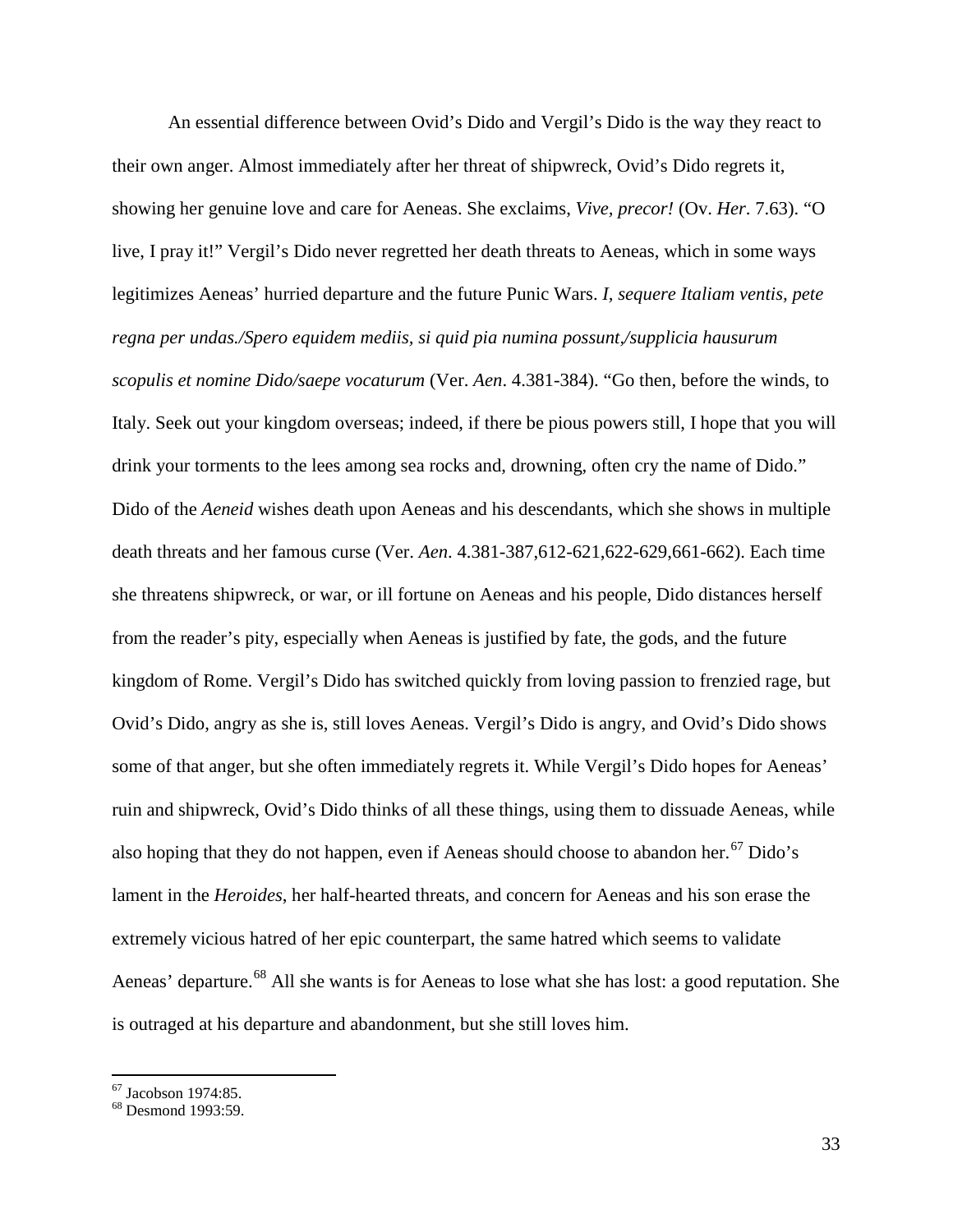An essential difference between Ovid's Dido and Vergil's Dido is the way they react to their own anger. Almost immediately after her threat of shipwreck, Ovid's Dido regrets it, showing her genuine love and care for Aeneas. She exclaims, *Vive, precor!* (Ov. *Her*. 7.63). "O live, I pray it!" Vergil's Dido never regretted her death threats to Aeneas, which in some ways legitimizes Aeneas' hurried departure and the future Punic Wars. *I, sequere Italiam ventis, pete regna per undas./Spero equidem mediis, si quid pia numina possunt,/supplicia hausurum scopulis et nomine Dido/saepe vocaturum* (Ver. *Aen*. 4.381-384). "Go then, before the winds, to Italy. Seek out your kingdom overseas; indeed, if there be pious powers still, I hope that you will drink your torments to the lees among sea rocks and, drowning, often cry the name of Dido." Dido of the *Aeneid* wishes death upon Aeneas and his descendants, which she shows in multiple death threats and her famous curse (Ver. *Aen*. 4.381-387,612-621,622-629,661-662). Each time she threatens shipwreck, or war, or ill fortune on Aeneas and his people, Dido distances herself from the reader's pity, especially when Aeneas is justified by fate, the gods, and the future kingdom of Rome. Vergil's Dido has switched quickly from loving passion to frenzied rage, but Ovid's Dido, angry as she is, still loves Aeneas. Vergil's Dido is angry, and Ovid's Dido shows some of that anger, but she often immediately regrets it. While Vergil's Dido hopes for Aeneas' ruin and shipwreck, Ovid's Dido thinks of all these things, using them to dissuade Aeneas, while also hoping that they do not happen, even if Aeneas should choose to abandon her.<sup>[67](#page-33-0)</sup> Dido's lament in the *Heroides*, her half-hearted threats, and concern for Aeneas and his son erase the extremely vicious hatred of her epic counterpart, the same hatred which seems to validate Aeneas' departure.<sup>[68](#page-33-1)</sup> All she wants is for Aeneas to lose what she has lost: a good reputation. She is outraged at his departure and abandonment, but she still loves him.

<span id="page-33-1"></span><span id="page-33-0"></span> $67$  Jacobson 1974:85.<br> $68$  Desmond 1993:59.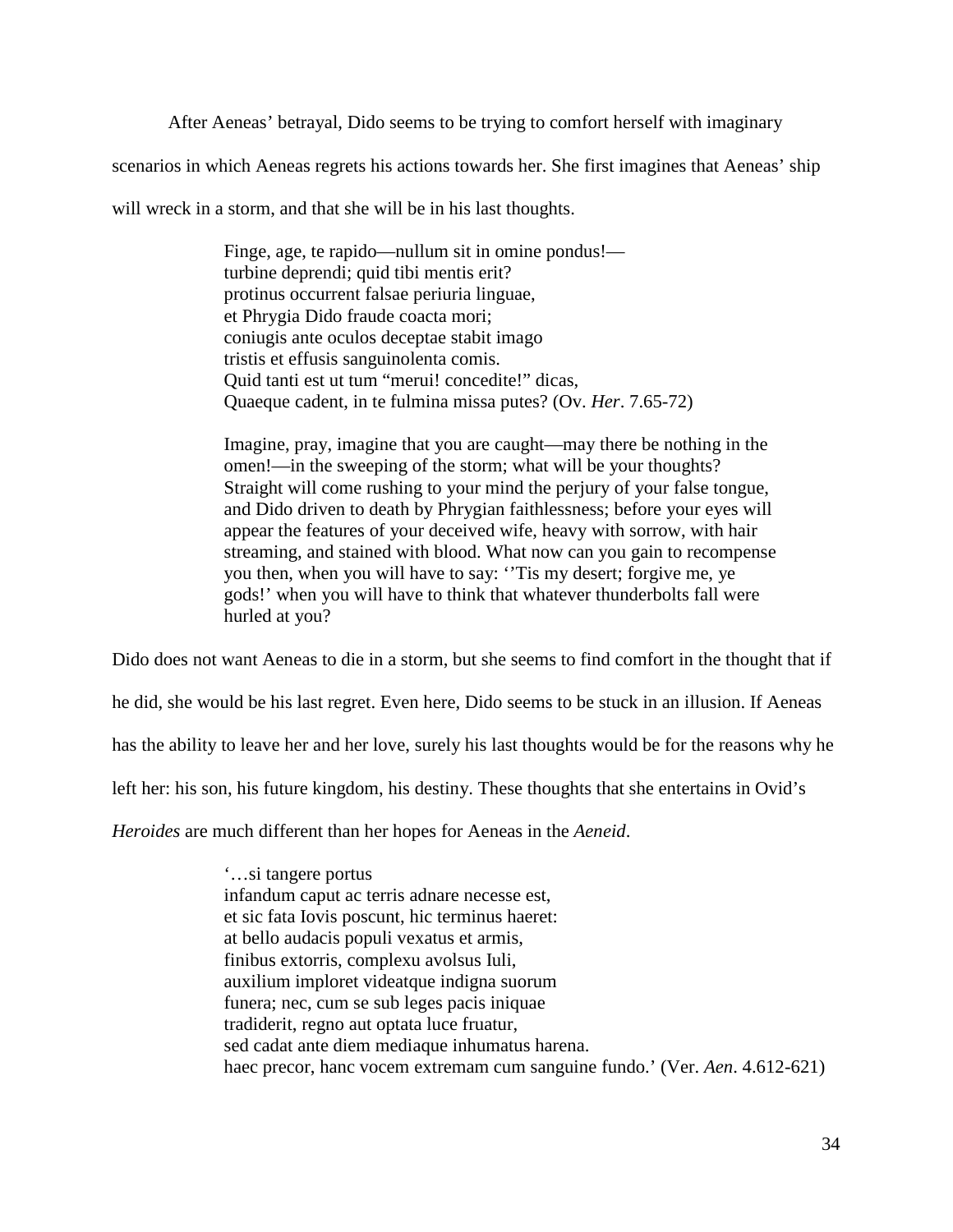After Aeneas' betrayal, Dido seems to be trying to comfort herself with imaginary

scenarios in which Aeneas regrets his actions towards her. She first imagines that Aeneas' ship

will wreck in a storm, and that she will be in his last thoughts.

Finge, age, te rapido—nullum sit in omine pondus! turbine deprendi; quid tibi mentis erit? protinus occurrent falsae periuria linguae, et Phrygia Dido fraude coacta mori; coniugis ante oculos deceptae stabit imago tristis et effusis sanguinolenta comis. Quid tanti est ut tum "merui! concedite!" dicas, Quaeque cadent, in te fulmina missa putes? (Ov. *Her*. 7.65-72)

Imagine, pray, imagine that you are caught—may there be nothing in the omen!—in the sweeping of the storm; what will be your thoughts? Straight will come rushing to your mind the perjury of your false tongue, and Dido driven to death by Phrygian faithlessness; before your eyes will appear the features of your deceived wife, heavy with sorrow, with hair streaming, and stained with blood. What now can you gain to recompense you then, when you will have to say: ''Tis my desert; forgive me, ye gods!' when you will have to think that whatever thunderbolts fall were hurled at you?

Dido does not want Aeneas to die in a storm, but she seems to find comfort in the thought that if

he did, she would be his last regret. Even here, Dido seems to be stuck in an illusion. If Aeneas

has the ability to leave her and her love, surely his last thoughts would be for the reasons why he

left her: his son, his future kingdom, his destiny. These thoughts that she entertains in Ovid's

*Heroides* are much different than her hopes for Aeneas in the *Aeneid*.

'…si tangere portus infandum caput ac terris adnare necesse est, et sic fata Iovis poscunt, hic terminus haeret: at bello audacis populi vexatus et armis, finibus extorris, complexu avolsus Iuli, auxilium imploret videatque indigna suorum funera; nec, cum se sub leges pacis iniquae tradiderit, regno aut optata luce fruatur, sed cadat ante diem mediaque inhumatus harena. haec precor, hanc vocem extremam cum sanguine fundo.' (Ver. *Aen*. 4.612-621)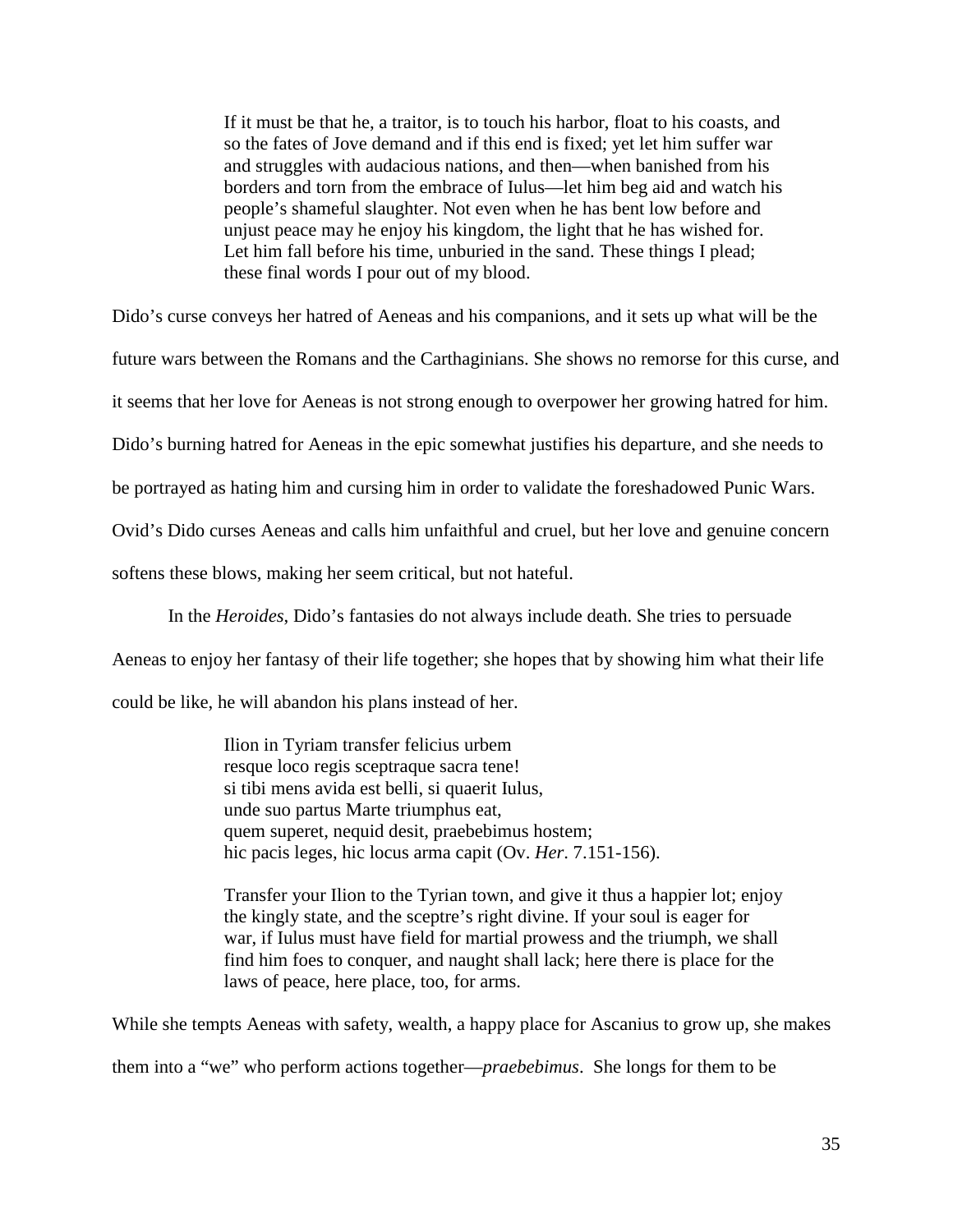If it must be that he, a traitor, is to touch his harbor, float to his coasts, and so the fates of Jove demand and if this end is fixed; yet let him suffer war and struggles with audacious nations, and then—when banished from his borders and torn from the embrace of Iulus—let him beg aid and watch his people's shameful slaughter. Not even when he has bent low before and unjust peace may he enjoy his kingdom, the light that he has wished for. Let him fall before his time, unburied in the sand. These things I plead; these final words I pour out of my blood.

Dido's curse conveys her hatred of Aeneas and his companions, and it sets up what will be the

future wars between the Romans and the Carthaginians. She shows no remorse for this curse, and

it seems that her love for Aeneas is not strong enough to overpower her growing hatred for him.

Dido's burning hatred for Aeneas in the epic somewhat justifies his departure, and she needs to

be portrayed as hating him and cursing him in order to validate the foreshadowed Punic Wars.

Ovid's Dido curses Aeneas and calls him unfaithful and cruel, but her love and genuine concern

softens these blows, making her seem critical, but not hateful.

In the *Heroides*, Dido's fantasies do not always include death. She tries to persuade

Aeneas to enjoy her fantasy of their life together; she hopes that by showing him what their life

could be like, he will abandon his plans instead of her.

Ilion in Tyriam transfer felicius urbem resque loco regis sceptraque sacra tene! si tibi mens avida est belli, si quaerit Iulus, unde suo partus Marte triumphus eat, quem superet, nequid desit, praebebimus hostem; hic pacis leges, hic locus arma capit (Ov. *Her*. 7.151-156).

Transfer your Ilion to the Tyrian town, and give it thus a happier lot; enjoy the kingly state, and the sceptre's right divine. If your soul is eager for war, if Iulus must have field for martial prowess and the triumph, we shall find him foes to conquer, and naught shall lack; here there is place for the laws of peace, here place, too, for arms.

While she tempts Aeneas with safety, wealth, a happy place for Ascanius to grow up, she makes them into a "we" who perform actions together—*praebebimus*. She longs for them to be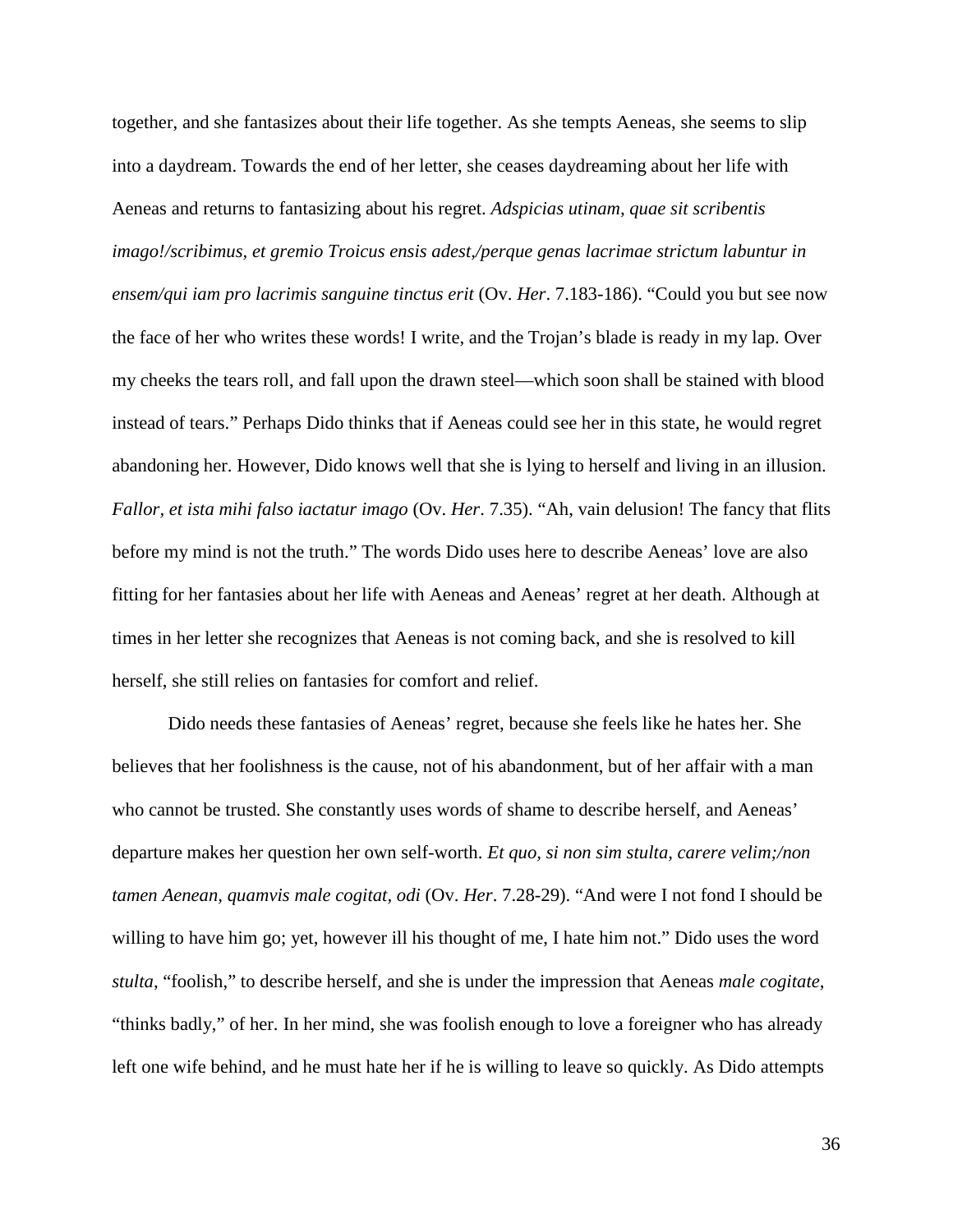together, and she fantasizes about their life together. As she tempts Aeneas, she seems to slip into a daydream. Towards the end of her letter, she ceases daydreaming about her life with Aeneas and returns to fantasizing about his regret. *Adspicias utinam, quae sit scribentis imago!/scribimus, et gremio Troicus ensis adest,/perque genas lacrimae strictum labuntur in ensem/qui iam pro lacrimis sanguine tinctus erit* (Ov. *Her*. 7.183-186). "Could you but see now the face of her who writes these words! I write, and the Trojan's blade is ready in my lap. Over my cheeks the tears roll, and fall upon the drawn steel—which soon shall be stained with blood instead of tears." Perhaps Dido thinks that if Aeneas could see her in this state, he would regret abandoning her. However, Dido knows well that she is lying to herself and living in an illusion. *Fallor, et ista mihi falso iactatur imago* (Ov. *Her*. 7.35). "Ah, vain delusion! The fancy that flits before my mind is not the truth." The words Dido uses here to describe Aeneas' love are also fitting for her fantasies about her life with Aeneas and Aeneas' regret at her death. Although at times in her letter she recognizes that Aeneas is not coming back, and she is resolved to kill herself, she still relies on fantasies for comfort and relief.

Dido needs these fantasies of Aeneas' regret, because she feels like he hates her. She believes that her foolishness is the cause, not of his abandonment, but of her affair with a man who cannot be trusted. She constantly uses words of shame to describe herself, and Aeneas' departure makes her question her own self-worth. *Et quo, si non sim stulta, carere velim;/non tamen Aenean, quamvis male cogitat, odi* (Ov. *Her*. 7.28-29). "And were I not fond I should be willing to have him go; yet, however ill his thought of me, I hate him not." Dido uses the word *stulta*, "foolish," to describe herself, and she is under the impression that Aeneas *male cogitate*, "thinks badly," of her. In her mind, she was foolish enough to love a foreigner who has already left one wife behind, and he must hate her if he is willing to leave so quickly. As Dido attempts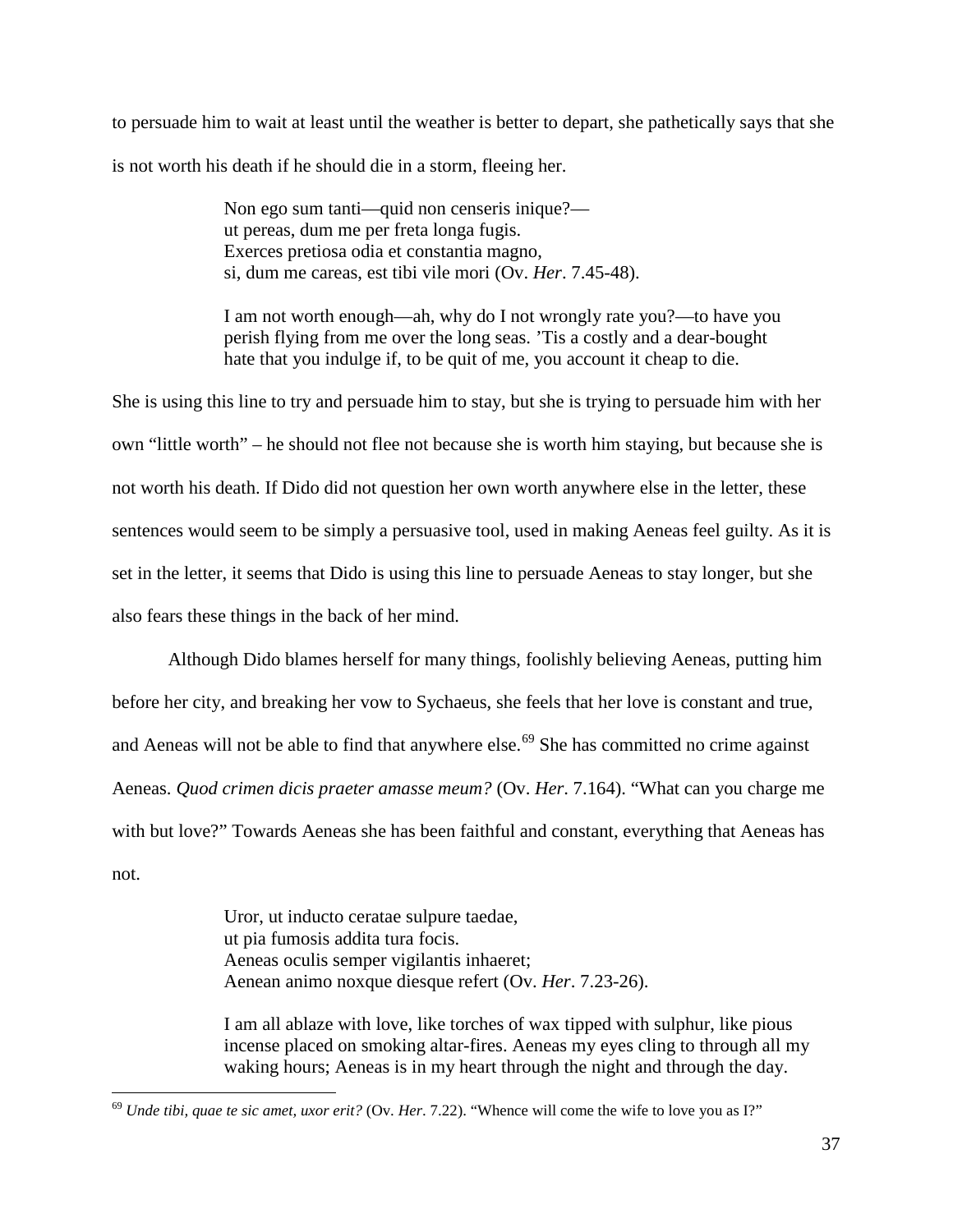to persuade him to wait at least until the weather is better to depart, she pathetically says that she is not worth his death if he should die in a storm, fleeing her.

> Non ego sum tanti—quid non censeris inique? ut pereas, dum me per freta longa fugis. Exerces pretiosa odia et constantia magno, si, dum me careas, est tibi vile mori (Ov. *Her*. 7.45-48).

I am not worth enough—ah, why do I not wrongly rate you?—to have you perish flying from me over the long seas. 'Tis a costly and a dear-bought hate that you indulge if, to be quit of me, you account it cheap to die.

She is using this line to try and persuade him to stay, but she is trying to persuade him with her own "little worth" – he should not flee not because she is worth him staying, but because she is not worth his death. If Dido did not question her own worth anywhere else in the letter, these sentences would seem to be simply a persuasive tool, used in making Aeneas feel guilty. As it is set in the letter, it seems that Dido is using this line to persuade Aeneas to stay longer, but she also fears these things in the back of her mind.

Although Dido blames herself for many things, foolishly believing Aeneas, putting him before her city, and breaking her vow to Sychaeus, she feels that her love is constant and true, and Aeneas will not be able to find that anywhere  $else.^{69}$  $else.^{69}$  $else.^{69}$  She has committed no crime against Aeneas. *Quod crimen dicis praeter amasse meum?* (Ov. *Her*. 7.164). "What can you charge me with but love?" Towards Aeneas she has been faithful and constant, everything that Aeneas has not.

> Uror, ut inducto ceratae sulpure taedae, ut pia fumosis addita tura focis. Aeneas oculis semper vigilantis inhaeret; Aenean animo noxque diesque refert (Ov. *Her*. 7.23-26).

I am all ablaze with love, like torches of wax tipped with sulphur, like pious incense placed on smoking altar-fires. Aeneas my eyes cling to through all my waking hours; Aeneas is in my heart through the night and through the day.

<span id="page-37-0"></span> <sup>69</sup> *Unde tibi, quae te sic amet, uxor erit?* (Ov. *Her*. 7.22). "Whence will come the wife to love you as I?"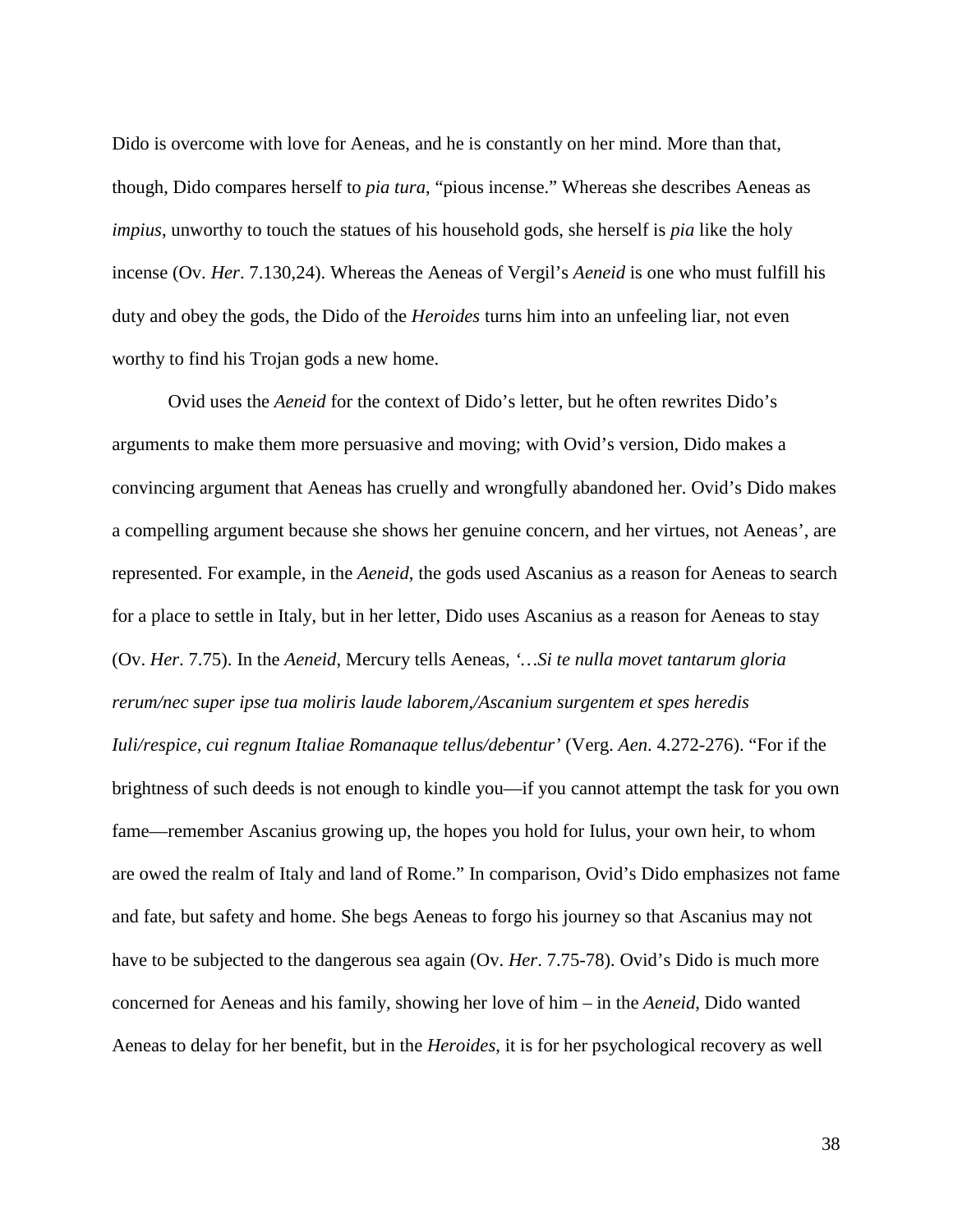Dido is overcome with love for Aeneas, and he is constantly on her mind. More than that, though, Dido compares herself to *pia tura*, "pious incense." Whereas she describes Aeneas as *impius*, unworthy to touch the statues of his household gods, she herself is *pia* like the holy incense (Ov. *Her*. 7.130,24). Whereas the Aeneas of Vergil's *Aeneid* is one who must fulfill his duty and obey the gods, the Dido of the *Heroides* turns him into an unfeeling liar, not even worthy to find his Trojan gods a new home.

Ovid uses the *Aeneid* for the context of Dido's letter, but he often rewrites Dido's arguments to make them more persuasive and moving; with Ovid's version, Dido makes a convincing argument that Aeneas has cruelly and wrongfully abandoned her. Ovid's Dido makes a compelling argument because she shows her genuine concern, and her virtues, not Aeneas', are represented. For example, in the *Aeneid*, the gods used Ascanius as a reason for Aeneas to search for a place to settle in Italy, but in her letter, Dido uses Ascanius as a reason for Aeneas to stay (Ov. *Her*. 7.75). In the *Aeneid*, Mercury tells Aeneas, *'…Si te nulla movet tantarum gloria rerum/nec super ipse tua moliris laude laborem,/Ascanium surgentem et spes heredis Iuli/respice, cui regnum Italiae Romanaque tellus/debentur'* (Verg. *Aen*. 4.272-276). "For if the brightness of such deeds is not enough to kindle you—if you cannot attempt the task for you own fame—remember Ascanius growing up, the hopes you hold for Iulus, your own heir, to whom are owed the realm of Italy and land of Rome." In comparison, Ovid's Dido emphasizes not fame and fate, but safety and home. She begs Aeneas to forgo his journey so that Ascanius may not have to be subjected to the dangerous sea again (Ov. *Her*. 7.75-78). Ovid's Dido is much more concerned for Aeneas and his family, showing her love of him – in the *Aeneid*, Dido wanted Aeneas to delay for her benefit, but in the *Heroides*, it is for her psychological recovery as well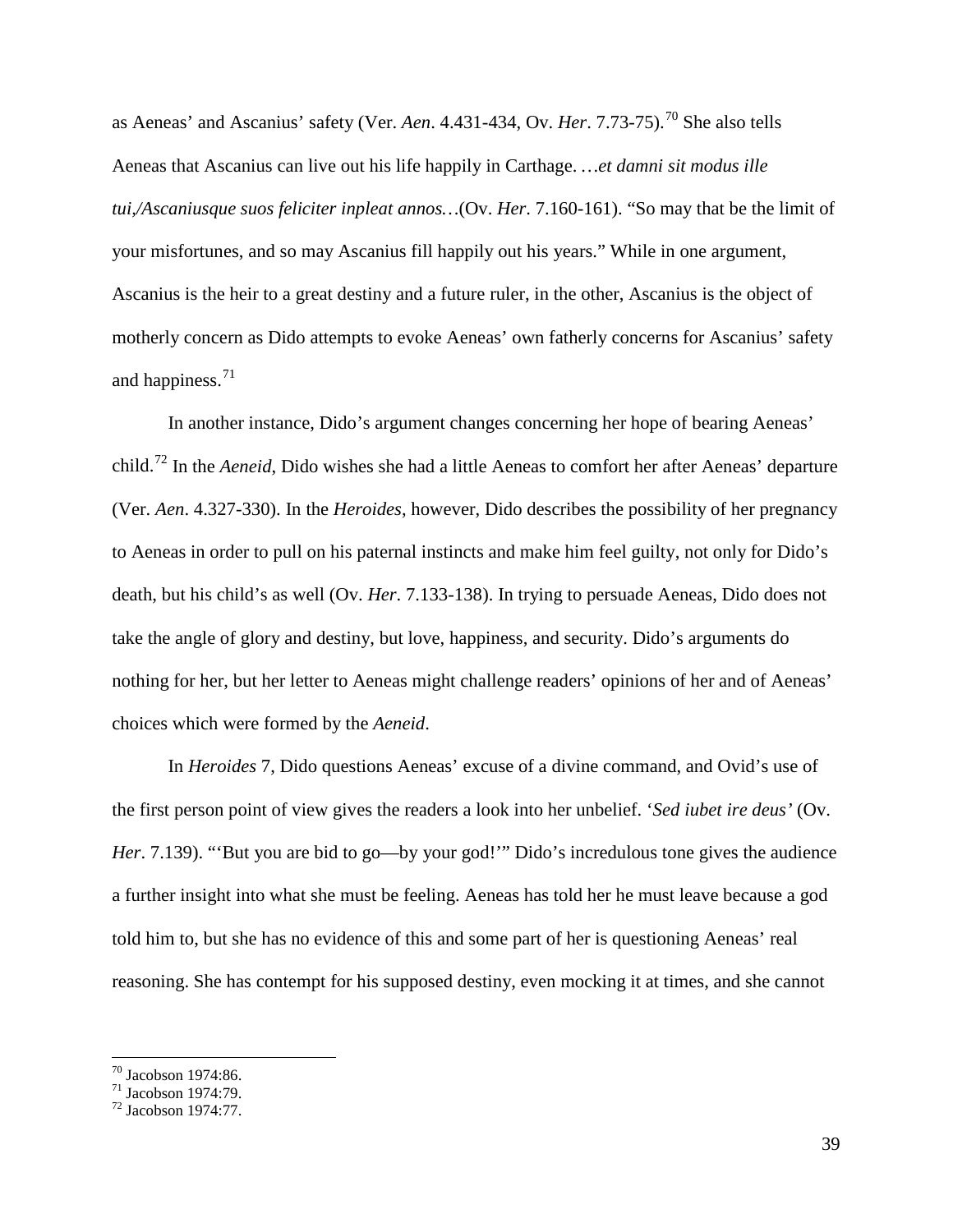as Aeneas' and Ascanius' safety (Ver. *Aen.* 4.431-434, Ov. *Her.* 7.73-75).<sup>[70](#page-39-0)</sup> She also tells Aeneas that Ascanius can live out his life happily in Carthage. *…et damni sit modus ille tui,/Ascaniusque suos feliciter inpleat annos…*(Ov. *Her*. 7.160-161). "So may that be the limit of your misfortunes, and so may Ascanius fill happily out his years." While in one argument, Ascanius is the heir to a great destiny and a future ruler, in the other, Ascanius is the object of motherly concern as Dido attempts to evoke Aeneas' own fatherly concerns for Ascanius' safety and happiness. $71$ 

In another instance, Dido's argument changes concerning her hope of bearing Aeneas' child.[72](#page-39-2) In the *Aeneid*, Dido wishes she had a little Aeneas to comfort her after Aeneas' departure (Ver. *Aen*. 4.327-330). In the *Heroides*, however, Dido describes the possibility of her pregnancy to Aeneas in order to pull on his paternal instincts and make him feel guilty, not only for Dido's death, but his child's as well (Ov. *Her*. 7.133-138). In trying to persuade Aeneas, Dido does not take the angle of glory and destiny, but love, happiness, and security. Dido's arguments do nothing for her, but her letter to Aeneas might challenge readers' opinions of her and of Aeneas' choices which were formed by the *Aeneid*.

In *Heroides* 7, Dido questions Aeneas' excuse of a divine command, and Ovid's use of the first person point of view gives the readers a look into her unbelief. '*Sed iubet ire deus'* (Ov. *Her*. 7.139). "But you are bid to go—by your god!" Dido's incredulous tone gives the audience a further insight into what she must be feeling. Aeneas has told her he must leave because a god told him to, but she has no evidence of this and some part of her is questioning Aeneas' real reasoning. She has contempt for his supposed destiny, even mocking it at times, and she cannot

<span id="page-39-2"></span><span id="page-39-1"></span>

<span id="page-39-0"></span><sup>&</sup>lt;sup>70</sup> Jacobson 1974:86.<br><sup>71</sup> Jacobson 1974:79.<br><sup>72</sup> Jacobson 1974:77.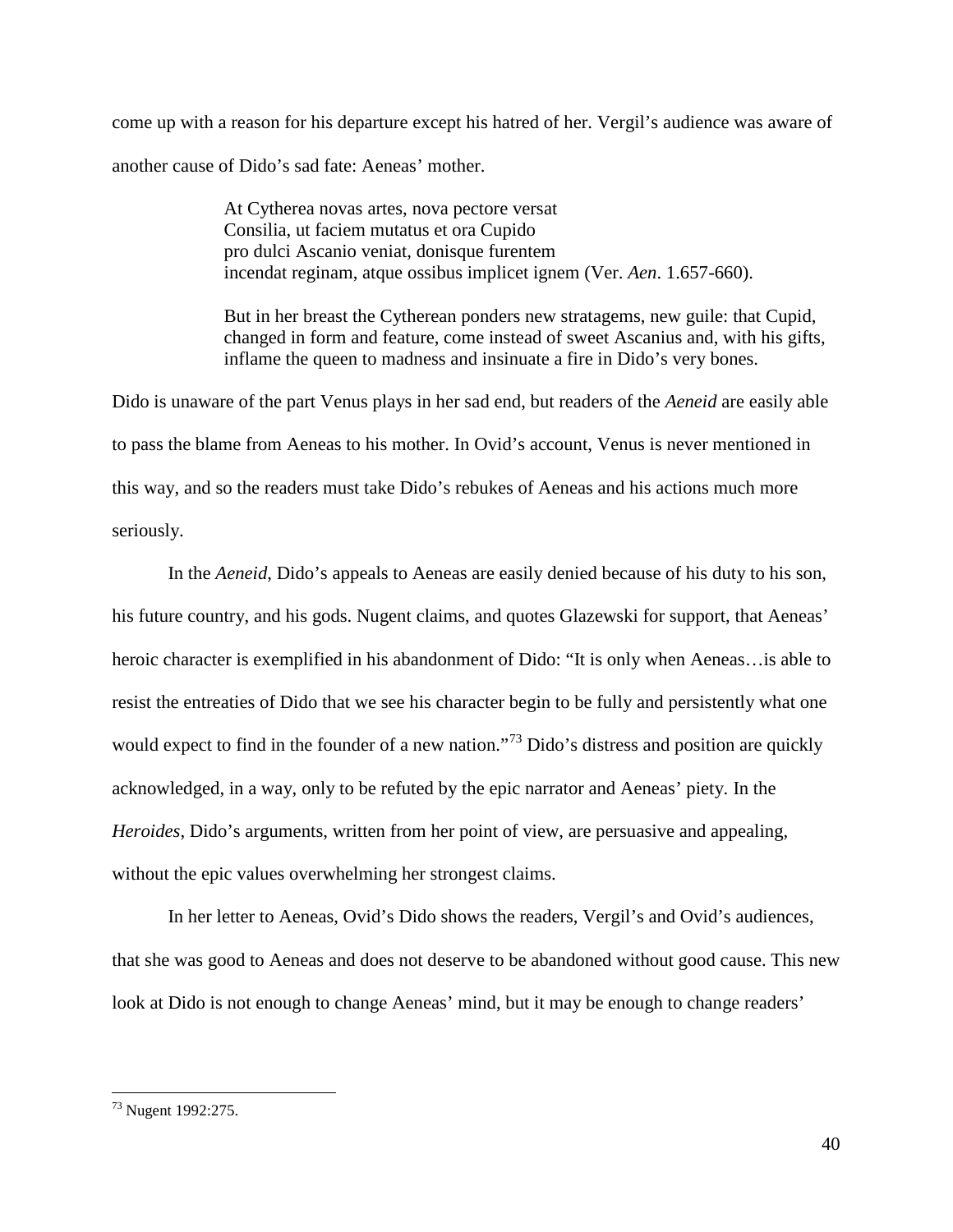come up with a reason for his departure except his hatred of her. Vergil's audience was aware of another cause of Dido's sad fate: Aeneas' mother.

> At Cytherea novas artes, nova pectore versat Consilia, ut faciem mutatus et ora Cupido pro dulci Ascanio veniat, donisque furentem incendat reginam, atque ossibus implicet ignem (Ver. *Aen*. 1.657-660).

But in her breast the Cytherean ponders new stratagems, new guile: that Cupid, changed in form and feature, come instead of sweet Ascanius and, with his gifts, inflame the queen to madness and insinuate a fire in Dido's very bones.

Dido is unaware of the part Venus plays in her sad end, but readers of the *Aeneid* are easily able to pass the blame from Aeneas to his mother. In Ovid's account, Venus is never mentioned in this way, and so the readers must take Dido's rebukes of Aeneas and his actions much more seriously.

In the *Aeneid*, Dido's appeals to Aeneas are easily denied because of his duty to his son, his future country, and his gods. Nugent claims, and quotes Glazewski for support, that Aeneas' heroic character is exemplified in his abandonment of Dido: "It is only when Aeneas... is able to resist the entreaties of Dido that we see his character begin to be fully and persistently what one would expect to find in the founder of a new nation."<sup>[73](#page-40-0)</sup> Dido's distress and position are quickly acknowledged, in a way, only to be refuted by the epic narrator and Aeneas' piety. In the *Heroides*, Dido's arguments, written from her point of view, are persuasive and appealing, without the epic values overwhelming her strongest claims.

In her letter to Aeneas, Ovid's Dido shows the readers, Vergil's and Ovid's audiences, that she was good to Aeneas and does not deserve to be abandoned without good cause. This new look at Dido is not enough to change Aeneas' mind, but it may be enough to change readers'

<span id="page-40-0"></span> <sup>73</sup> Nugent 1992:275.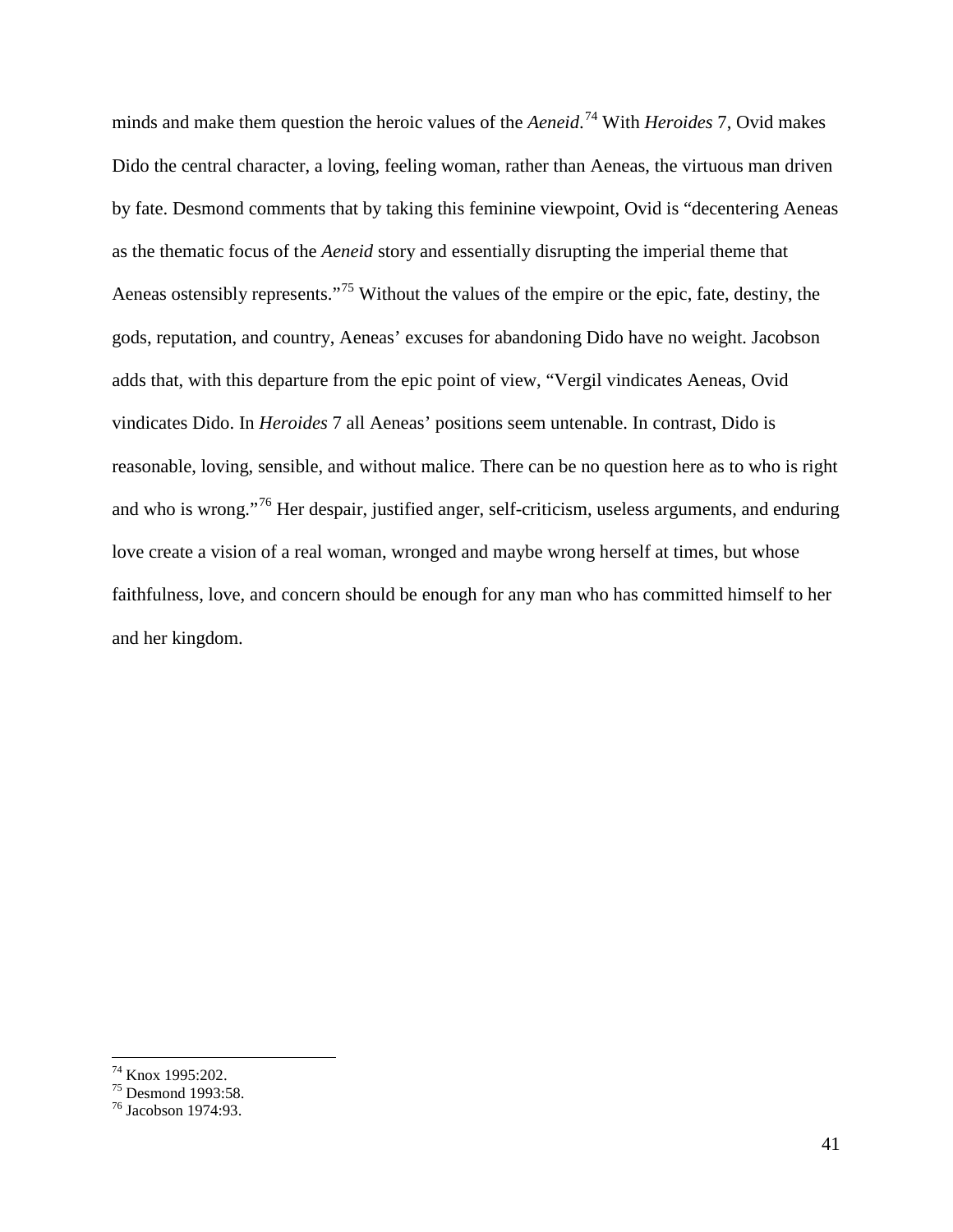minds and make them question the heroic values of the *Aeneid*. [74](#page-41-0) With *Heroides* 7, Ovid makes Dido the central character, a loving, feeling woman, rather than Aeneas, the virtuous man driven by fate. Desmond comments that by taking this feminine viewpoint, Ovid is "decentering Aeneas as the thematic focus of the *Aeneid* story and essentially disrupting the imperial theme that Aeneas ostensibly represents."<sup>[75](#page-41-1)</sup> Without the values of the empire or the epic, fate, destiny, the gods, reputation, and country, Aeneas' excuses for abandoning Dido have no weight. Jacobson adds that, with this departure from the epic point of view, "Vergil vindicates Aeneas, Ovid vindicates Dido. In *Heroides* 7 all Aeneas' positions seem untenable. In contrast, Dido is reasonable, loving, sensible, and without malice. There can be no question here as to who is right and who is wrong."[76](#page-41-2) Her despair, justified anger, self-criticism, useless arguments, and enduring love create a vision of a real woman, wronged and maybe wrong herself at times, but whose faithfulness, love, and concern should be enough for any man who has committed himself to her and her kingdom.

<span id="page-41-2"></span><span id="page-41-1"></span>

<span id="page-41-0"></span><sup>&</sup>lt;sup>74</sup> Knox 1995:202.<br><sup>75</sup> Desmond 1993:58.<br><sup>76</sup> Jacobson 1974:93.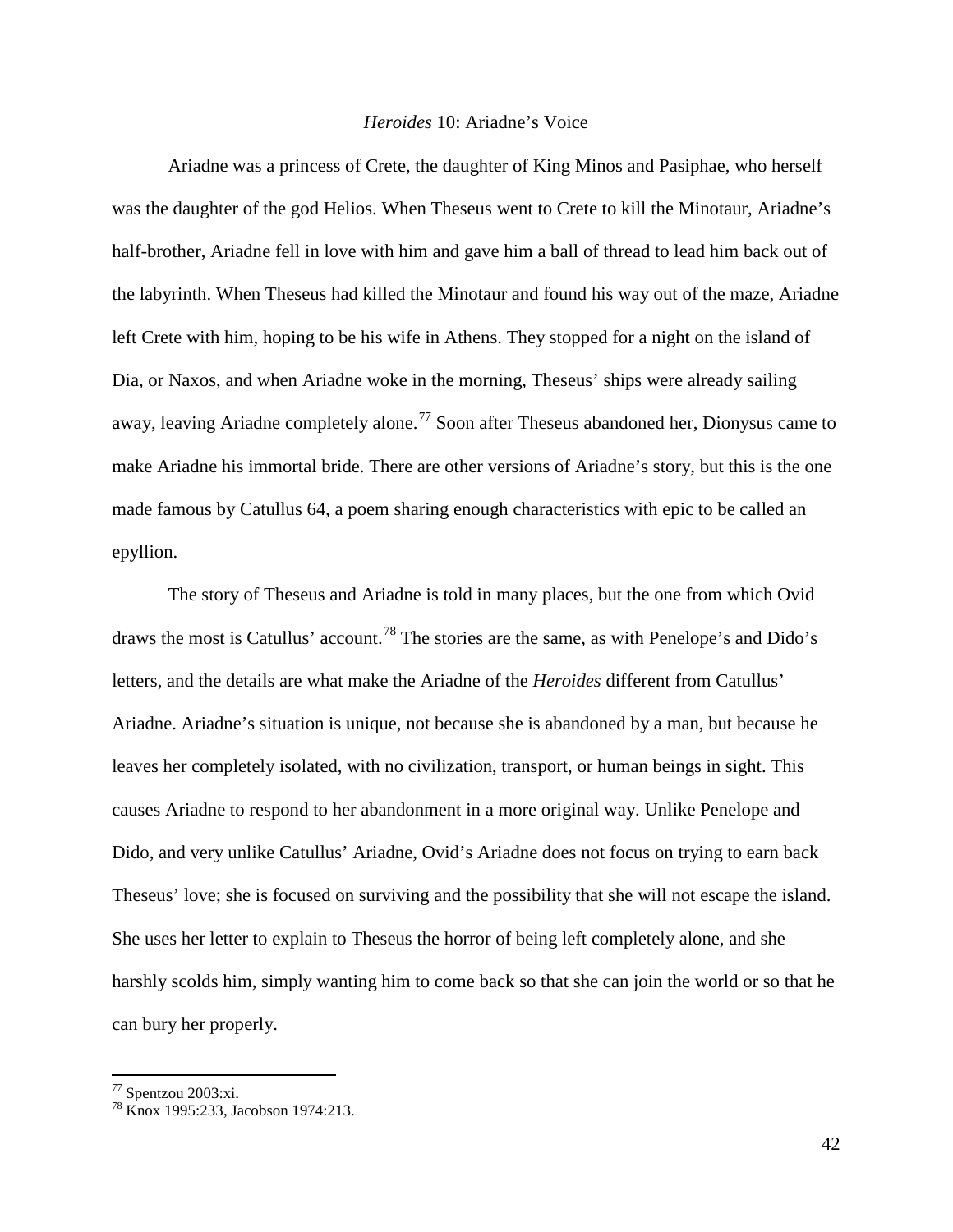#### *Heroides* 10: Ariadne's Voice

Ariadne was a princess of Crete, the daughter of King Minos and Pasiphae, who herself was the daughter of the god Helios. When Theseus went to Crete to kill the Minotaur, Ariadne's half-brother, Ariadne fell in love with him and gave him a ball of thread to lead him back out of the labyrinth. When Theseus had killed the Minotaur and found his way out of the maze, Ariadne left Crete with him, hoping to be his wife in Athens. They stopped for a night on the island of Dia, or Naxos, and when Ariadne woke in the morning, Theseus' ships were already sailing away, leaving Ariadne completely alone.<sup>[77](#page-42-0)</sup> Soon after Theseus abandoned her, Dionysus came to make Ariadne his immortal bride. There are other versions of Ariadne's story, but this is the one made famous by Catullus 64, a poem sharing enough characteristics with epic to be called an epyllion.

The story of Theseus and Ariadne is told in many places, but the one from which Ovid draws the most is Catullus' account.<sup>[78](#page-42-1)</sup> The stories are the same, as with Penelope's and Dido's letters, and the details are what make the Ariadne of the *Heroides* different from Catullus' Ariadne. Ariadne's situation is unique, not because she is abandoned by a man, but because he leaves her completely isolated, with no civilization, transport, or human beings in sight. This causes Ariadne to respond to her abandonment in a more original way. Unlike Penelope and Dido, and very unlike Catullus' Ariadne, Ovid's Ariadne does not focus on trying to earn back Theseus' love; she is focused on surviving and the possibility that she will not escape the island. She uses her letter to explain to Theseus the horror of being left completely alone, and she harshly scolds him, simply wanting him to come back so that she can join the world or so that he can bury her properly.

<span id="page-42-1"></span><span id="page-42-0"></span> $^{77}$  Spentzou 2003:xi.<br><sup>78</sup> Knox 1995:233, Jacobson 1974:213.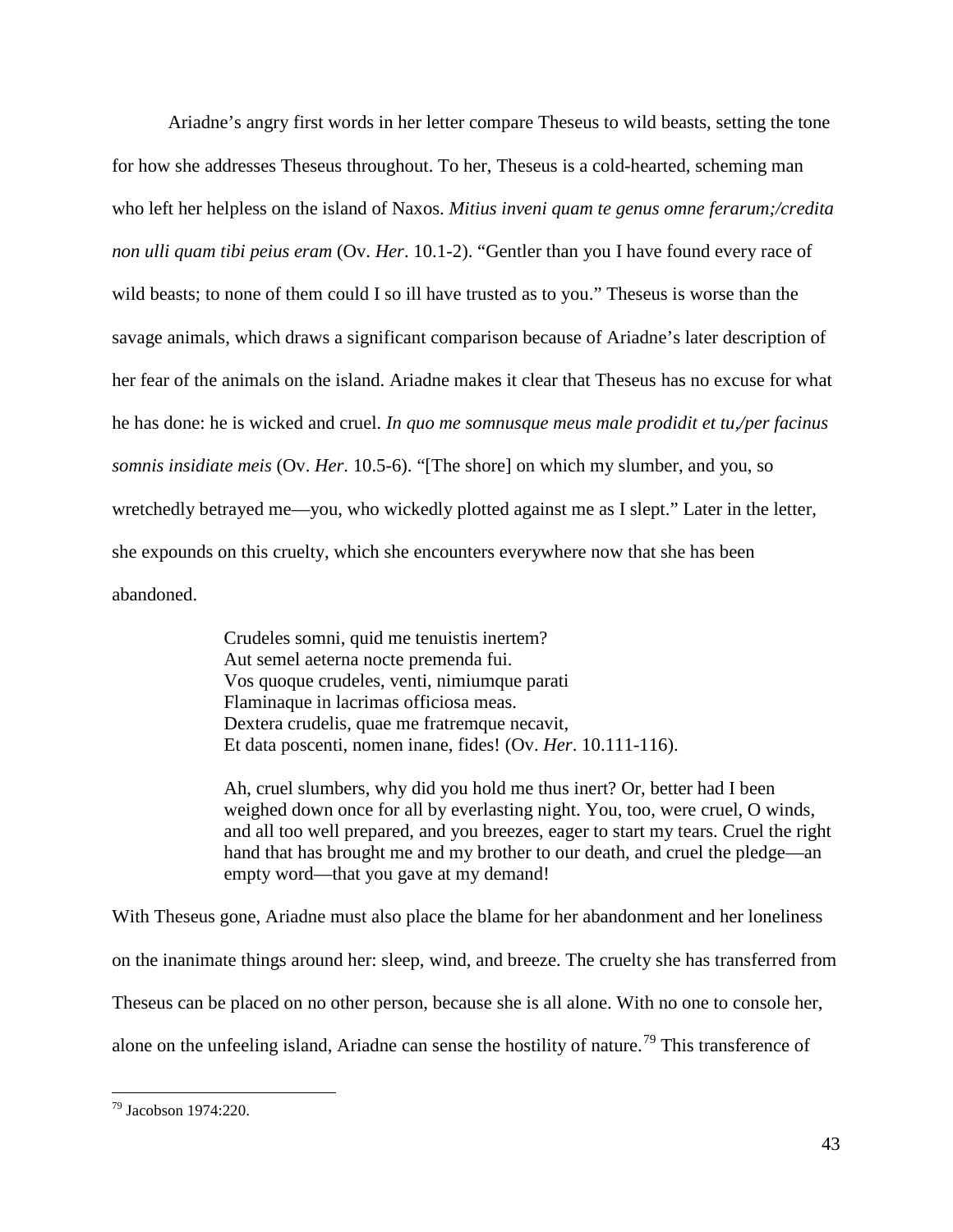Ariadne's angry first words in her letter compare Theseus to wild beasts, setting the tone for how she addresses Theseus throughout. To her, Theseus is a cold-hearted, scheming man who left her helpless on the island of Naxos. *Mitius inveni quam te genus omne ferarum;/credita non ulli quam tibi peius eram* (Ov. *Her*. 10.1-2). "Gentler than you I have found every race of wild beasts; to none of them could I so ill have trusted as to you." Theseus is worse than the savage animals, which draws a significant comparison because of Ariadne's later description of her fear of the animals on the island. Ariadne makes it clear that Theseus has no excuse for what he has done: he is wicked and cruel. *In quo me somnusque meus male prodidit et tu,/per facinus somnis insidiate meis* (Ov. *Her*. 10.5-6). "[The shore] on which my slumber, and you, so wretchedly betrayed me—you, who wickedly plotted against me as I slept." Later in the letter, she expounds on this cruelty, which she encounters everywhere now that she has been abandoned.

> Crudeles somni, quid me tenuistis inertem? Aut semel aeterna nocte premenda fui. Vos quoque crudeles, venti, nimiumque parati Flaminaque in lacrimas officiosa meas. Dextera crudelis, quae me fratremque necavit, Et data poscenti, nomen inane, fides! (Ov. *Her*. 10.111-116).

Ah, cruel slumbers, why did you hold me thus inert? Or, better had I been weighed down once for all by everlasting night. You, too, were cruel, O winds, and all too well prepared, and you breezes, eager to start my tears. Cruel the right hand that has brought me and my brother to our death, and cruel the pledge—an empty word—that you gave at my demand!

With Theseus gone, Ariadne must also place the blame for her abandonment and her loneliness on the inanimate things around her: sleep, wind, and breeze. The cruelty she has transferred from Theseus can be placed on no other person, because she is all alone. With no one to console her, alone on the unfeeling island, Ariadne can sense the hostility of nature.<sup>[79](#page-43-0)</sup> This transference of

<span id="page-43-0"></span> <sup>79</sup> Jacobson 1974:220.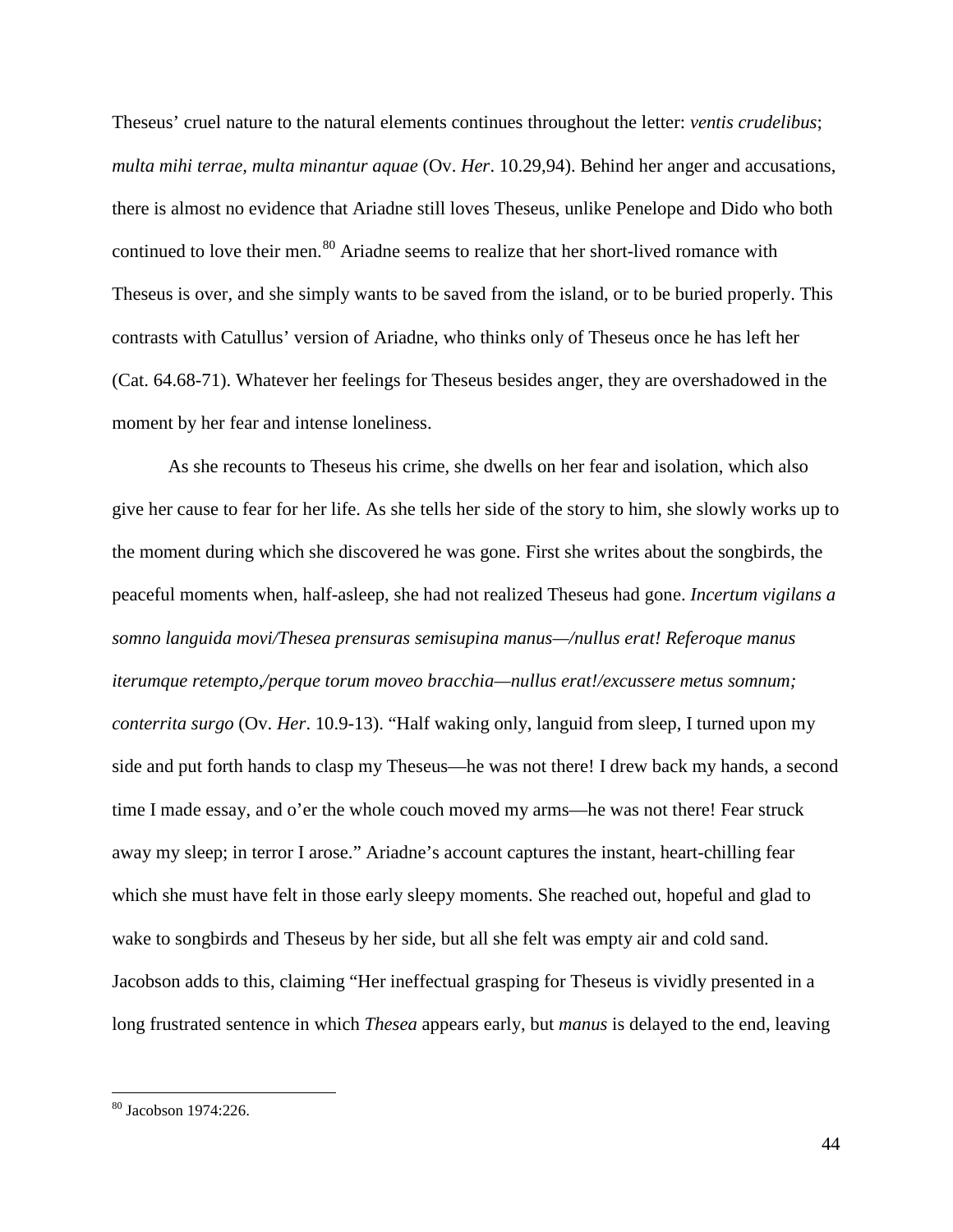Theseus' cruel nature to the natural elements continues throughout the letter: *ventis crudelibus*; *multa mihi terrae, multa minantur aquae* (Ov. *Her*. 10.29,94). Behind her anger and accusations, there is almost no evidence that Ariadne still loves Theseus, unlike Penelope and Dido who both continued to love their men.<sup>[80](#page-44-0)</sup> Ariadne seems to realize that her short-lived romance with Theseus is over, and she simply wants to be saved from the island, or to be buried properly. This contrasts with Catullus' version of Ariadne, who thinks only of Theseus once he has left her (Cat. 64.68-71). Whatever her feelings for Theseus besides anger, they are overshadowed in the moment by her fear and intense loneliness.

As she recounts to Theseus his crime, she dwells on her fear and isolation, which also give her cause to fear for her life. As she tells her side of the story to him, she slowly works up to the moment during which she discovered he was gone. First she writes about the songbirds, the peaceful moments when, half-asleep, she had not realized Theseus had gone. *Incertum vigilans a somno languida movi/Thesea prensuras semisupina manus—/nullus erat! Referoque manus iterumque retempto,/perque torum moveo bracchia—nullus erat!/excussere metus somnum; conterrita surgo* (Ov. *Her*. 10.9-13). "Half waking only, languid from sleep, I turned upon my side and put forth hands to clasp my Theseus—he was not there! I drew back my hands, a second time I made essay, and o'er the whole couch moved my arms—he was not there! Fear struck away my sleep; in terror I arose." Ariadne's account captures the instant, heart-chilling fear which she must have felt in those early sleepy moments. She reached out, hopeful and glad to wake to songbirds and Theseus by her side, but all she felt was empty air and cold sand. Jacobson adds to this, claiming "Her ineffectual grasping for Theseus is vividly presented in a long frustrated sentence in which *Thesea* appears early, but *manus* is delayed to the end, leaving

<span id="page-44-0"></span> <sup>80</sup> Jacobson 1974:226.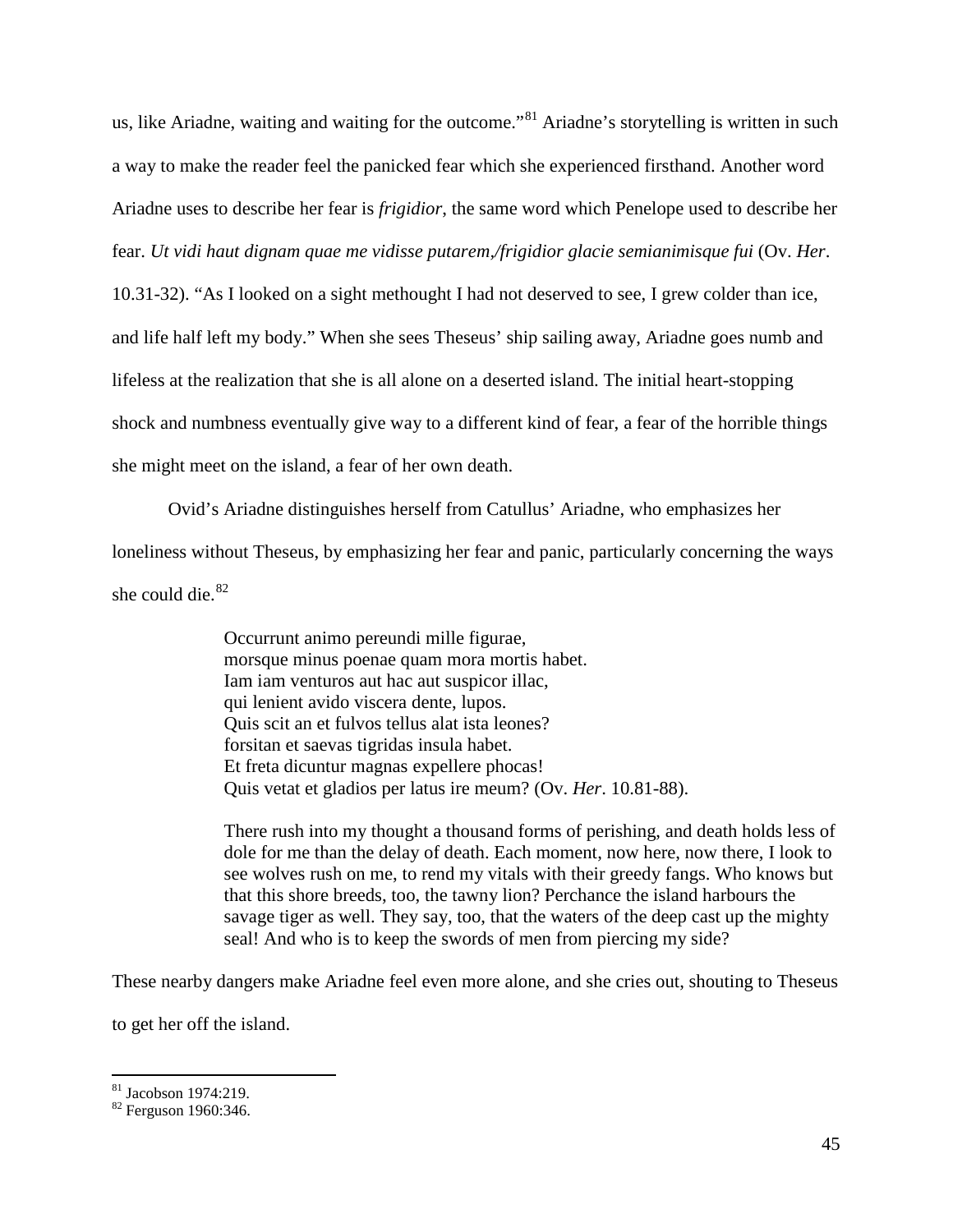us, like Ariadne, waiting and waiting for the outcome."<sup>[81](#page-45-0)</sup> Ariadne's storytelling is written in such a way to make the reader feel the panicked fear which she experienced firsthand. Another word Ariadne uses to describe her fear is *frigidior*, the same word which Penelope used to describe her fear. *Ut vidi haut dignam quae me vidisse putarem,/frigidior glacie semianimisque fui* (Ov. *Her*.

10.31-32). "As I looked on a sight methought I had not deserved to see, I grew colder than ice, and life half left my body." When she sees Theseus' ship sailing away, Ariadne goes numb and lifeless at the realization that she is all alone on a deserted island. The initial heart-stopping shock and numbness eventually give way to a different kind of fear, a fear of the horrible things she might meet on the island, a fear of her own death.

Ovid's Ariadne distinguishes herself from Catullus' Ariadne, who emphasizes her loneliness without Theseus, by emphasizing her fear and panic, particularly concerning the ways she could die.<sup>[82](#page-45-1)</sup>

> Occurrunt animo pereundi mille figurae, morsque minus poenae quam mora mortis habet. Iam iam venturos aut hac aut suspicor illac, qui lenient avido viscera dente, lupos. Quis scit an et fulvos tellus alat ista leones? forsitan et saevas tigridas insula habet. Et freta dicuntur magnas expellere phocas! Quis vetat et gladios per latus ire meum? (Ov. *Her*. 10.81-88).

There rush into my thought a thousand forms of perishing, and death holds less of dole for me than the delay of death. Each moment, now here, now there, I look to see wolves rush on me, to rend my vitals with their greedy fangs. Who knows but that this shore breeds, too, the tawny lion? Perchance the island harbours the savage tiger as well. They say, too, that the waters of the deep cast up the mighty seal! And who is to keep the swords of men from piercing my side?

These nearby dangers make Ariadne feel even more alone, and she cries out, shouting to Theseus

to get her off the island.

<span id="page-45-1"></span><span id="page-45-0"></span> $81 \overline{32}$  Jacobson 1974:219.<br> $82 \overline{1}$  Ferguson 1960:346.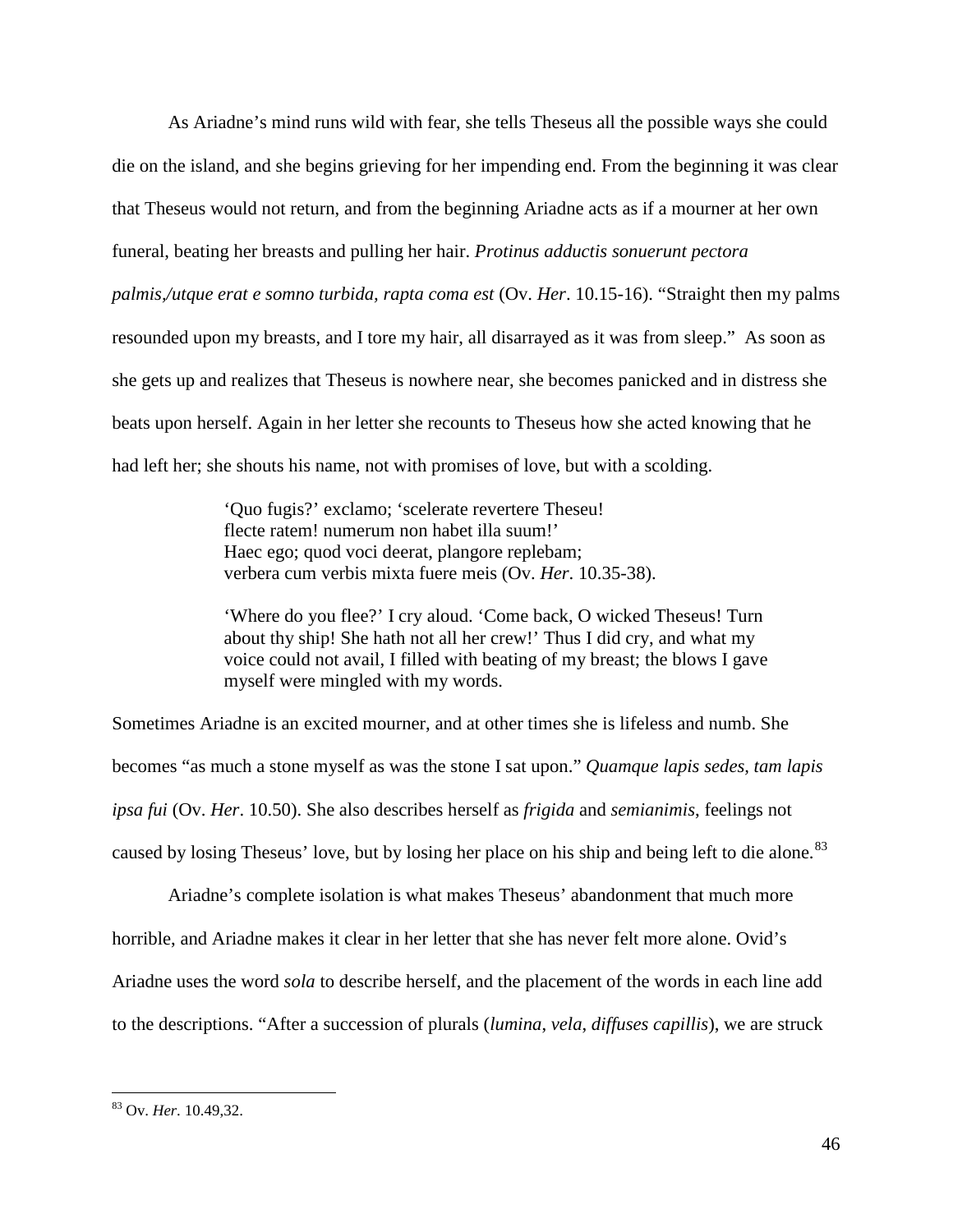As Ariadne's mind runs wild with fear, she tells Theseus all the possible ways she could die on the island, and she begins grieving for her impending end. From the beginning it was clear that Theseus would not return, and from the beginning Ariadne acts as if a mourner at her own funeral, beating her breasts and pulling her hair. *Protinus adductis sonuerunt pectora palmis,/utque erat e somno turbida, rapta coma est* (Ov. *Her*. 10.15-16). "Straight then my palms resounded upon my breasts, and I tore my hair, all disarrayed as it was from sleep." As soon as she gets up and realizes that Theseus is nowhere near, she becomes panicked and in distress she beats upon herself. Again in her letter she recounts to Theseus how she acted knowing that he had left her; she shouts his name, not with promises of love, but with a scolding.

> 'Quo fugis?' exclamo; 'scelerate revertere Theseu! flecte ratem! numerum non habet illa suum!' Haec ego; quod voci deerat, plangore replebam; verbera cum verbis mixta fuere meis (Ov. *Her*. 10.35-38).

'Where do you flee?' I cry aloud. 'Come back, O wicked Theseus! Turn about thy ship! She hath not all her crew!' Thus I did cry, and what my voice could not avail, I filled with beating of my breast; the blows I gave myself were mingled with my words.

Sometimes Ariadne is an excited mourner, and at other times she is lifeless and numb. She becomes "as much a stone myself as was the stone I sat upon." *Quamque lapis sedes, tam lapis ipsa fui* (Ov. *Her*. 10.50). She also describes herself as *frigida* and *semianimis*, feelings not caused by losing Theseus' love, but by losing her place on his ship and being left to die alone.<sup>[83](#page-46-0)</sup>

Ariadne's complete isolation is what makes Theseus' abandonment that much more horrible, and Ariadne makes it clear in her letter that she has never felt more alone. Ovid's Ariadne uses the word *sola* to describe herself, and the placement of the words in each line add to the descriptions. "After a succession of plurals (*lumina*, *vela*, *diffuses capillis*), we are struck

<span id="page-46-0"></span> <sup>83</sup> Ov. *Her*. 10.49,32.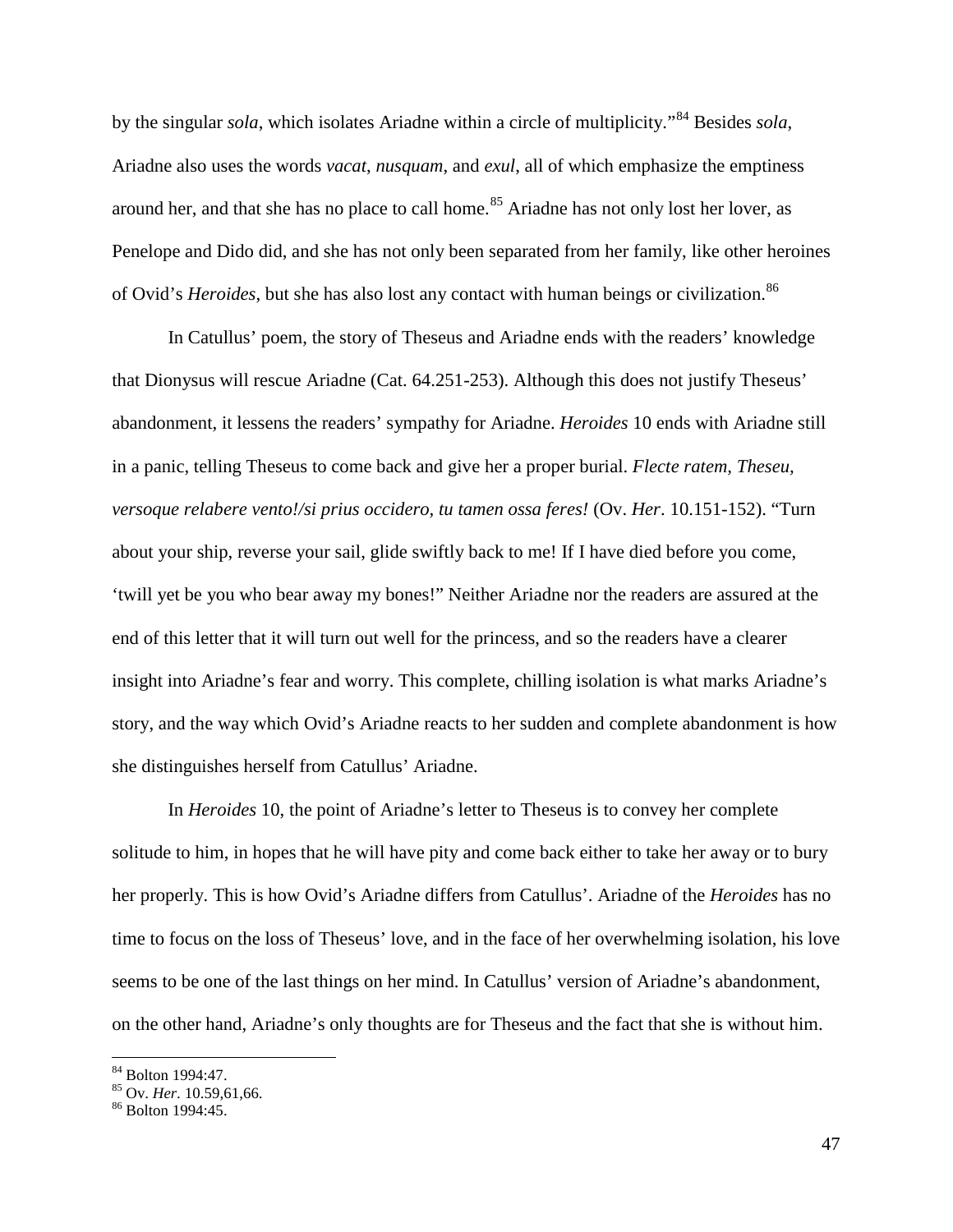by the singular *sola*, which isolates Ariadne within a circle of multiplicity."[84](#page-47-0) Besides *sola*, Ariadne also uses the words *vacat*, *nusquam*, and *exul*, all of which emphasize the emptiness around her, and that she has no place to call home.<sup>[85](#page-47-1)</sup> Ariadne has not only lost her lover, as Penelope and Dido did, and she has not only been separated from her family, like other heroines of Ovid's *Heroides*, but she has also lost any contact with human beings or civilization.<sup>[86](#page-47-2)</sup>

In Catullus' poem, the story of Theseus and Ariadne ends with the readers' knowledge that Dionysus will rescue Ariadne (Cat. 64.251-253). Although this does not justify Theseus' abandonment, it lessens the readers' sympathy for Ariadne. *Heroides* 10 ends with Ariadne still in a panic, telling Theseus to come back and give her a proper burial. *Flecte ratem, Theseu, versoque relabere vento!/si prius occidero, tu tamen ossa feres!* (Ov. *Her*. 10.151-152). "Turn about your ship, reverse your sail, glide swiftly back to me! If I have died before you come, 'twill yet be you who bear away my bones!" Neither Ariadne nor the readers are assured at the end of this letter that it will turn out well for the princess, and so the readers have a clearer insight into Ariadne's fear and worry. This complete, chilling isolation is what marks Ariadne's story, and the way which Ovid's Ariadne reacts to her sudden and complete abandonment is how she distinguishes herself from Catullus' Ariadne.

In *Heroides* 10, the point of Ariadne's letter to Theseus is to convey her complete solitude to him, in hopes that he will have pity and come back either to take her away or to bury her properly. This is how Ovid's Ariadne differs from Catullus'. Ariadne of the *Heroides* has no time to focus on the loss of Theseus' love, and in the face of her overwhelming isolation, his love seems to be one of the last things on her mind. In Catullus' version of Ariadne's abandonment, on the other hand, Ariadne's only thoughts are for Theseus and the fact that she is without him.

<span id="page-47-1"></span><span id="page-47-0"></span><sup>&</sup>lt;sup>84</sup> Bolton 1994:47.<br><sup>85</sup> Ov. *Her*. 10.59,61,66.<br><sup>86</sup> Bolton 1994:45.

<span id="page-47-2"></span>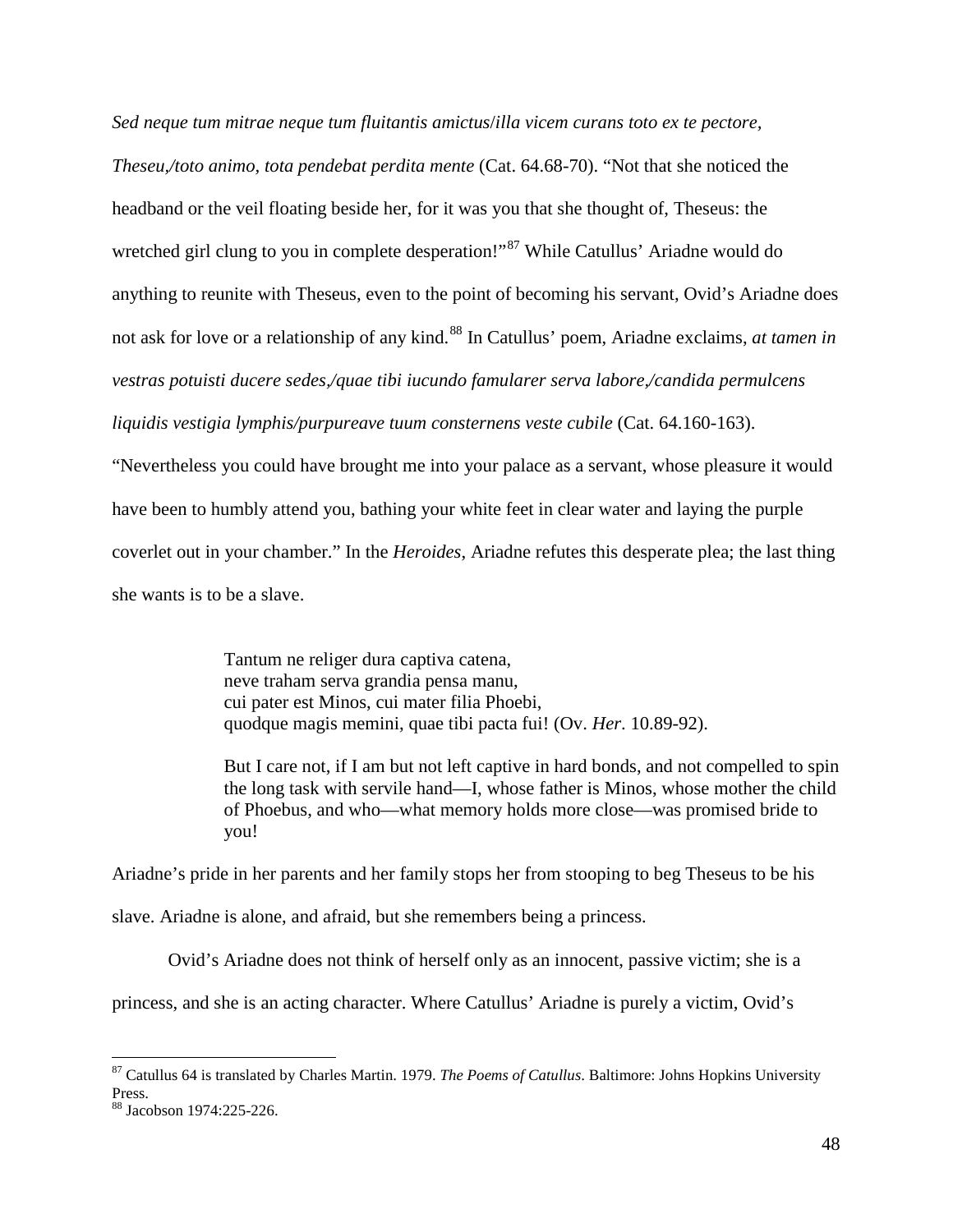*Sed neque tum mitrae neque tum fluitantis amictus*/*illa vicem curans toto ex te pectore,* 

*Theseu,/toto animo, tota pendebat perdita mente* (Cat. 64.68-70). "Not that she noticed the headband or the veil floating beside her, for it was you that she thought of, Theseus: the wretched girl clung to you in complete desperation!"<sup>[87](#page-48-0)</sup> While Catullus' Ariadne would do anything to reunite with Theseus, even to the point of becoming his servant, Ovid's Ariadne does not ask for love or a relationship of any kind.<sup>[88](#page-48-1)</sup> In Catullus' poem, Ariadne exclaims, *at tamen in vestras potuisti ducere sedes,/quae tibi iucundo famularer serva labore,/candida permulcens liquidis vestigia lymphis/purpureave tuum consternens veste cubile* (Cat. 64.160-163).

"Nevertheless you could have brought me into your palace as a servant, whose pleasure it would have been to humbly attend you, bathing your white feet in clear water and laying the purple coverlet out in your chamber." In the *Heroides*, Ariadne refutes this desperate plea; the last thing she wants is to be a slave.

> Tantum ne religer dura captiva catena, neve traham serva grandia pensa manu, cui pater est Minos, cui mater filia Phoebi, quodque magis memini, quae tibi pacta fui! (Ov. *Her*. 10.89-92).

But I care not, if I am but not left captive in hard bonds, and not compelled to spin the long task with servile hand—I, whose father is Minos, whose mother the child of Phoebus, and who—what memory holds more close—was promised bride to you!

Ariadne's pride in her parents and her family stops her from stooping to beg Theseus to be his slave. Ariadne is alone, and afraid, but she remembers being a princess.

Ovid's Ariadne does not think of herself only as an innocent, passive victim; she is a

princess, and she is an acting character. Where Catullus' Ariadne is purely a victim, Ovid's

<span id="page-48-0"></span> <sup>87</sup> Catullus 64 is translated by Charles Martin. 1979. *The Poems of Catullus*. Baltimore: Johns Hopkins University Press.

<span id="page-48-1"></span><sup>88</sup> Jacobson 1974:225-226.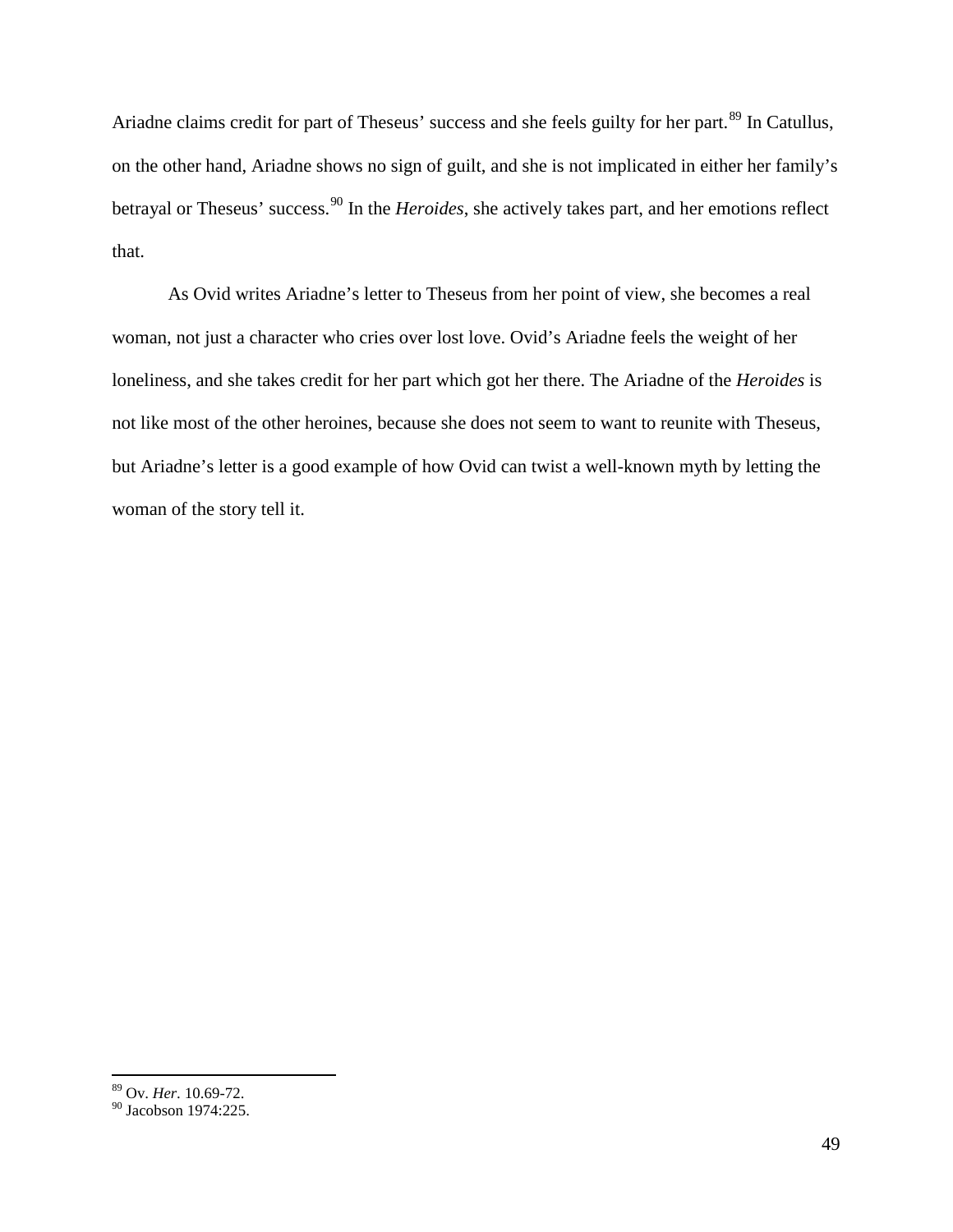Ariadne claims credit for part of Theseus' success and she feels guilty for her part.<sup>[89](#page-49-0)</sup> In Catullus, on the other hand, Ariadne shows no sign of guilt, and she is not implicated in either her family's betrayal or Theseus' success.[90](#page-49-1) In the *Heroides*, she actively takes part, and her emotions reflect that.

As Ovid writes Ariadne's letter to Theseus from her point of view, she becomes a real woman, not just a character who cries over lost love. Ovid's Ariadne feels the weight of her loneliness, and she takes credit for her part which got her there. The Ariadne of the *Heroides* is not like most of the other heroines, because she does not seem to want to reunite with Theseus, but Ariadne's letter is a good example of how Ovid can twist a well-known myth by letting the woman of the story tell it.

 <sup>89</sup> Ov. *Her*. 10.69-72.

<span id="page-49-1"></span><span id="page-49-0"></span><sup>&</sup>lt;sup>90</sup> Jacobson 1974:225.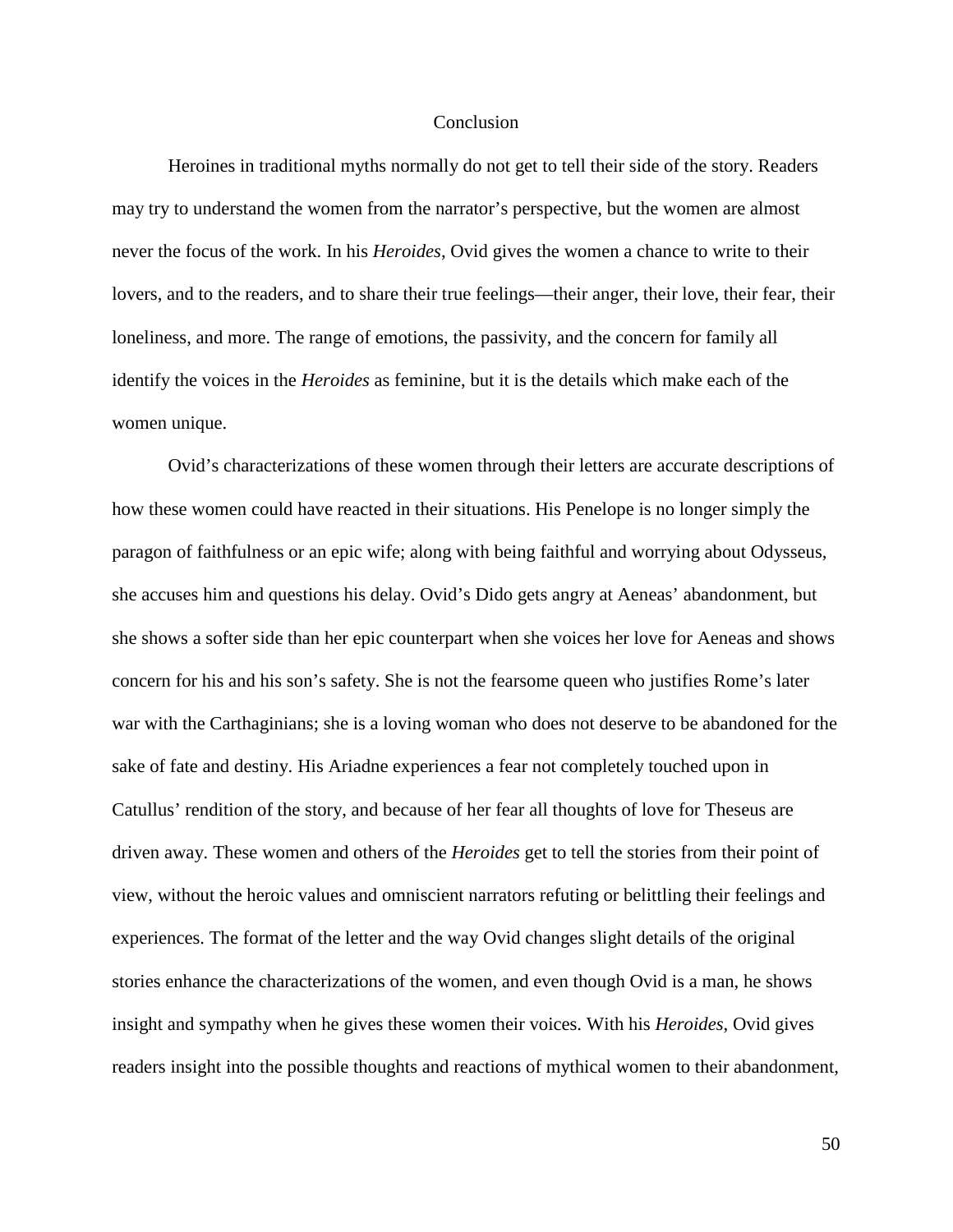#### **Conclusion**

Heroines in traditional myths normally do not get to tell their side of the story. Readers may try to understand the women from the narrator's perspective, but the women are almost never the focus of the work. In his *Heroides*, Ovid gives the women a chance to write to their lovers, and to the readers, and to share their true feelings—their anger, their love, their fear, their loneliness, and more. The range of emotions, the passivity, and the concern for family all identify the voices in the *Heroides* as feminine, but it is the details which make each of the women unique.

Ovid's characterizations of these women through their letters are accurate descriptions of how these women could have reacted in their situations. His Penelope is no longer simply the paragon of faithfulness or an epic wife; along with being faithful and worrying about Odysseus, she accuses him and questions his delay. Ovid's Dido gets angry at Aeneas' abandonment, but she shows a softer side than her epic counterpart when she voices her love for Aeneas and shows concern for his and his son's safety. She is not the fearsome queen who justifies Rome's later war with the Carthaginians; she is a loving woman who does not deserve to be abandoned for the sake of fate and destiny. His Ariadne experiences a fear not completely touched upon in Catullus' rendition of the story, and because of her fear all thoughts of love for Theseus are driven away. These women and others of the *Heroides* get to tell the stories from their point of view, without the heroic values and omniscient narrators refuting or belittling their feelings and experiences. The format of the letter and the way Ovid changes slight details of the original stories enhance the characterizations of the women, and even though Ovid is a man, he shows insight and sympathy when he gives these women their voices. With his *Heroides*, Ovid gives readers insight into the possible thoughts and reactions of mythical women to their abandonment,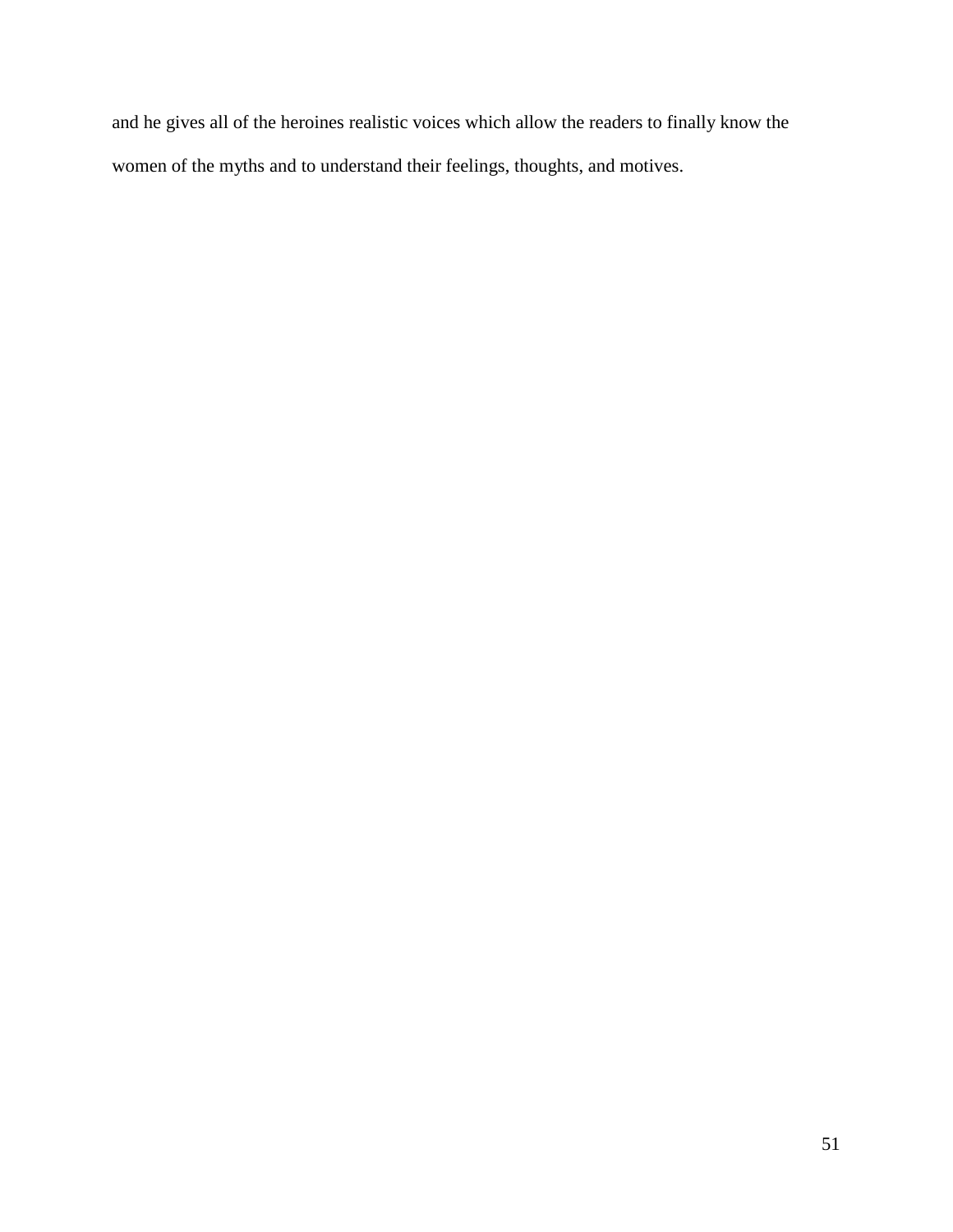and he gives all of the heroines realistic voices which allow the readers to finally know the women of the myths and to understand their feelings, thoughts, and motives.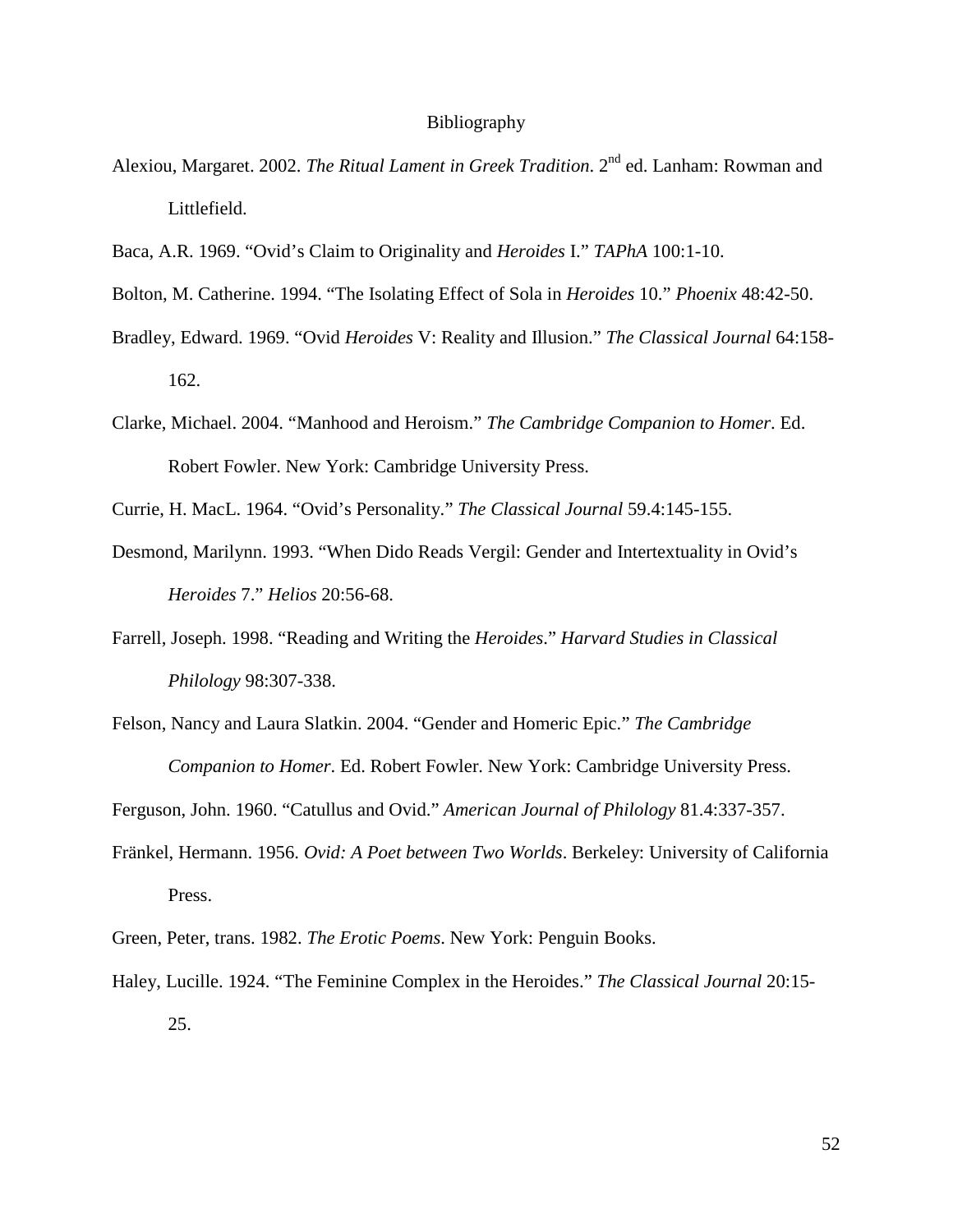#### Bibliography

- Alexiou, Margaret. 2002. *The Ritual Lament in Greek Tradition*. 2nd ed. Lanham: Rowman and Littlefield.
- Baca, A.R. 1969. "Ovid's Claim to Originality and *Heroides* I." *TAPhA* 100:1-10.
- Bolton, M. Catherine. 1994. "The Isolating Effect of Sola in *Heroides* 10." *Phoenix* 48:42-50.
- Bradley, Edward. 1969. "Ovid *Heroides* V: Reality and Illusion." *The Classical Journal* 64:158- 162.
- Clarke, Michael. 2004. "Manhood and Heroism." *The Cambridge Companion to Homer*. Ed. Robert Fowler. New York: Cambridge University Press.
- Currie, H. MacL. 1964. "Ovid's Personality." *The Classical Journal* 59.4:145-155.
- Desmond, Marilynn. 1993. "When Dido Reads Vergil: Gender and Intertextuality in Ovid's *Heroides* 7." *Helios* 20:56-68.
- Farrell, Joseph. 1998. "Reading and Writing the *Heroides*." *Harvard Studies in Classical Philology* 98:307-338.
- Felson, Nancy and Laura Slatkin. 2004. "Gender and Homeric Epic." *The Cambridge Companion to Homer*. Ed. Robert Fowler. New York: Cambridge University Press.
- Ferguson, John. 1960. "Catullus and Ovid." *American Journal of Philology* 81.4:337-357.
- Fränkel, Hermann. 1956. *Ovid: A Poet between Two Worlds*. Berkeley: University of California Press.
- Green, Peter, trans. 1982. *The Erotic Poems*. New York: Penguin Books.
- Haley, Lucille. 1924. "The Feminine Complex in the Heroides." *The Classical Journal* 20:15- 25.